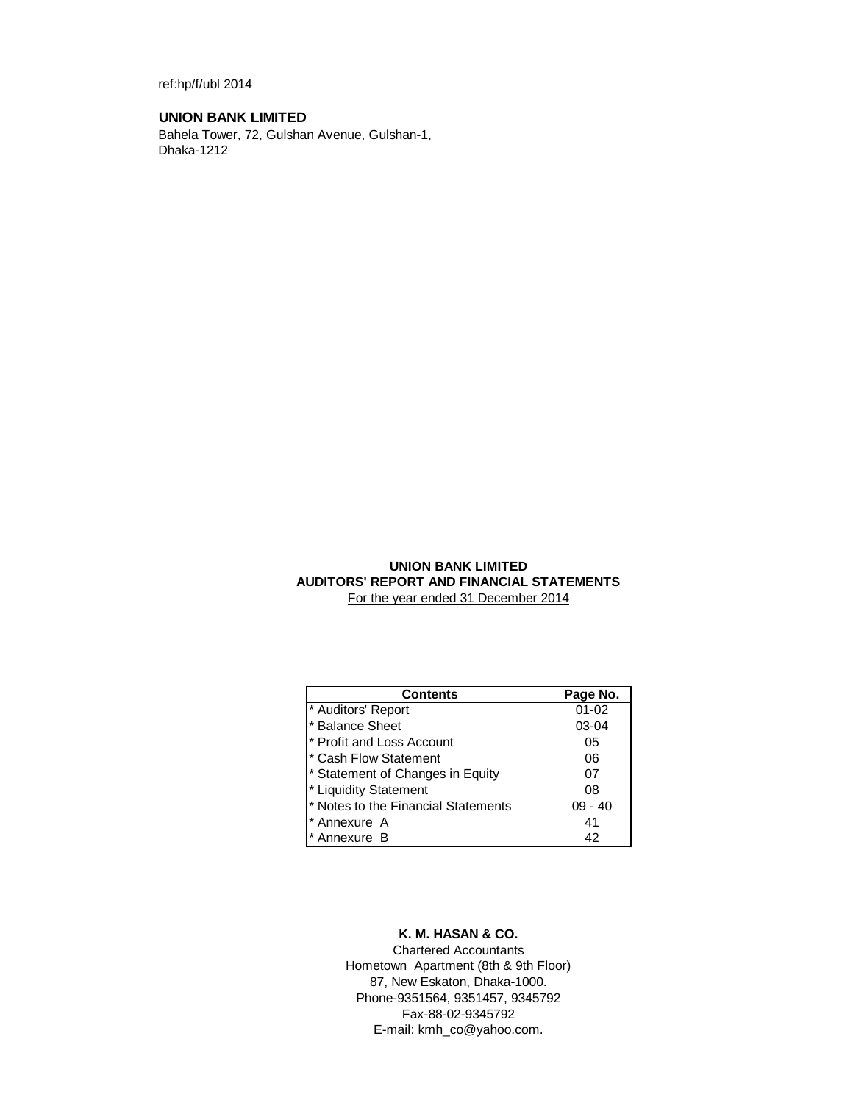ref:hp/f/ubl 2014

# **UNION BANK LIMITED**

Bahela Tower, 72, Gulshan Avenue, Gulshan-1, Dhaka-1212

# **UNION BANK LIMITED AUDITORS' REPORT AND FINANCIAL STATEMENTS** For the year ended 31 December 2014

| <b>Contents</b>                     | Page No.  |
|-------------------------------------|-----------|
| * Auditors' Report                  | $01 - 02$ |
| * Balance Sheet                     | 03-04     |
| * Profit and Loss Account           | 05        |
| * Cash Flow Statement               | 06        |
| * Statement of Changes in Equity    | 07        |
| * Liquidity Statement               | 08        |
| * Notes to the Financial Statements | $09 - 40$ |
| * Annexure A                        | 41        |
| Annexure B                          | 42        |

# **K. M. HASAN & CO.**

Chartered Accountants Hometown Apartment (8th & 9th Floor) 87, New Eskaton, Dhaka-1000. Phone-9351564, 9351457, 9345792 Fax-88-02-9345792 E-mail: kmh\_co@yahoo.com.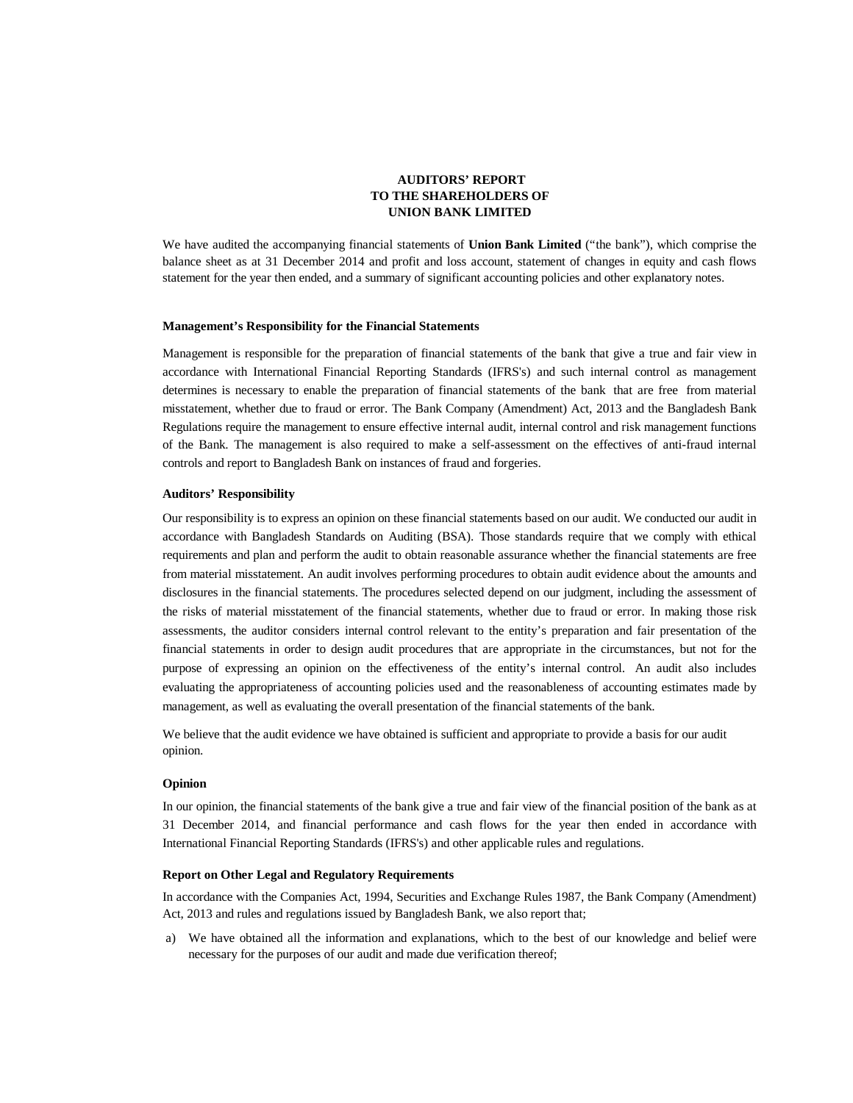## **AUDITORS' REPORT TO THE SHAREHOLDERS OF UNION BANK LIMITED**

We have audited the accompanying financial statements of **Union Bank Limited** ("the bank"), which comprise the balance sheet as at 31 December 2014 and profit and loss account, statement of changes in equity and cash flows statement for the year then ended, and a summary of significant accounting policies and other explanatory notes.

### **Management's Responsibility for the Financial Statements**

Management is responsible for the preparation of financial statements of the bank that give a true and fair view in accordance with International Financial Reporting Standards (IFRS's) and such internal control as management determines is necessary to enable the preparation of financial statements of the bank that are free from material misstatement, whether due to fraud or error. The Bank Company (Amendment) Act, 2013 and the Bangladesh Bank Regulations require the management to ensure effective internal audit, internal control and risk management functions of the Bank. The management is also required to make a self-assessment on the effectives of anti-fraud internal controls and report to Bangladesh Bank on instances of fraud and forgeries.

### **Auditors' Responsibility**

Our responsibility is to express an opinion on these financial statements based on our audit. We conducted our audit in accordance with Bangladesh Standards on Auditing (BSA). Those standards require that we comply with ethical requirements and plan and perform the audit to obtain reasonable assurance whether the financial statements are free from material misstatement. An audit involves performing procedures to obtain audit evidence about the amounts and disclosures in the financial statements. The procedures selected depend on our judgment, including the assessment of the risks of material misstatement of the financial statements, whether due to fraud or error. In making those risk assessments, the auditor considers internal control relevant to the entity's preparation and fair presentation of the financial statements in order to design audit procedures that are appropriate in the circumstances, but not for the purpose of expressing an opinion on the effectiveness of the entity's internal control. An audit also includes evaluating the appropriateness of accounting policies used and the reasonableness of accounting estimates made by management, as well as evaluating the overall presentation of the financial statements of the bank.

We believe that the audit evidence we have obtained is sufficient and appropriate to provide a basis for our audit opinion.

### **Opinion**

In our opinion, the financial statements of the bank give a true and fair view of the financial position of the bank as at 31 December 2014, and financial performance and cash flows for the year then ended in accordance with International Financial Reporting Standards (IFRS's) and other applicable rules and regulations.

### **Report on Other Legal and Regulatory Requirements**

In accordance with the Companies Act, 1994, Securities and Exchange Rules 1987, the Bank Company (Amendment) Act, 2013 and rules and regulations issued by Bangladesh Bank, we also report that;

 a) We have obtained all the information and explanations, which to the best of our knowledge and belief were necessary for the purposes of our audit and made due verification thereof;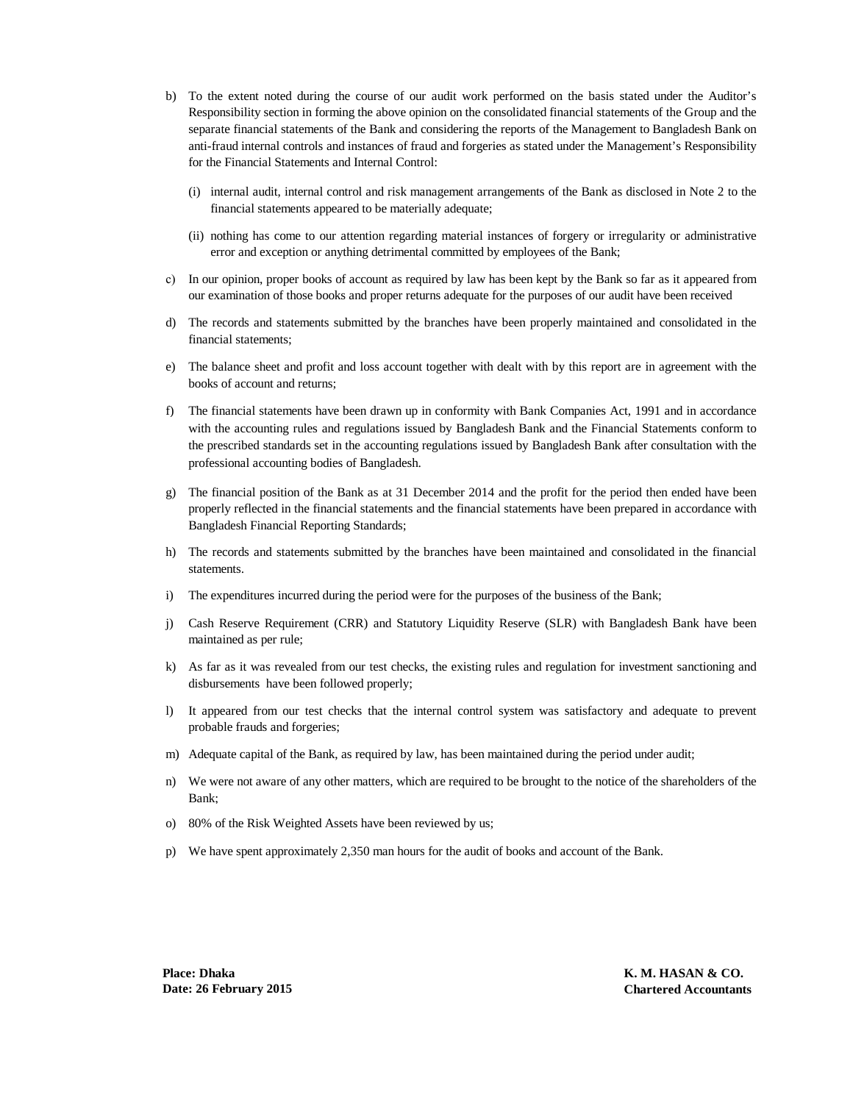- b) To the extent noted during the course of our audit work performed on the basis stated under the Auditor's Responsibility section in forming the above opinion on the consolidated financial statements of the Group and the separate financial statements of the Bank and considering the reports of the Management to Bangladesh Bank on anti-fraud internal controls and instances of fraud and forgeries as stated under the Management's Responsibility for the Financial Statements and Internal Control:
	- (i) internal audit, internal control and risk management arrangements of the Bank as disclosed in Note 2 to the financial statements appeared to be materially adequate;
	- (ii) nothing has come to our attention regarding material instances of forgery or irregularity or administrative error and exception or anything detrimental committed by employees of the Bank;
- c) In our opinion, proper books of account as required by law has been kept by the Bank so far as it appeared from our examination of those books and proper returns adequate for the purposes of our audit have been received
- d) The records and statements submitted by the branches have been properly maintained and consolidated in the financial statements;
- e) The balance sheet and profit and loss account together with dealt with by this report are in agreement with the books of account and returns;
- f) The financial statements have been drawn up in conformity with Bank Companies Act, 1991 and in accordance with the accounting rules and regulations issued by Bangladesh Bank and the Financial Statements conform to the prescribed standards set in the accounting regulations issued by Bangladesh Bank after consultation with the professional accounting bodies of Bangladesh.
- g) The financial position of the Bank as at 31 December 2014 and the profit for the period then ended have been properly reflected in the financial statements and the financial statements have been prepared in accordance with Bangladesh Financial Reporting Standards;
- h) The records and statements submitted by the branches have been maintained and consolidated in the financial statements.
- i) The expenditures incurred during the period were for the purposes of the business of the Bank;
- j) Cash Reserve Requirement (CRR) and Statutory Liquidity Reserve (SLR) with Bangladesh Bank have been maintained as per rule;
- k) As far as it was revealed from our test checks, the existing rules and regulation for investment sanctioning and disbursements have been followed properly;
- l) It appeared from our test checks that the internal control system was satisfactory and adequate to prevent probable frauds and forgeries;
- m) Adequate capital of the Bank, as required by law, has been maintained during the period under audit;
- n) We were not aware of any other matters, which are required to be brought to the notice of the shareholders of the Bank;
- o) 80% of the Risk Weighted Assets have been reviewed by us;
- p) We have spent approximately 2,350 man hours for the audit of books and account of the Bank.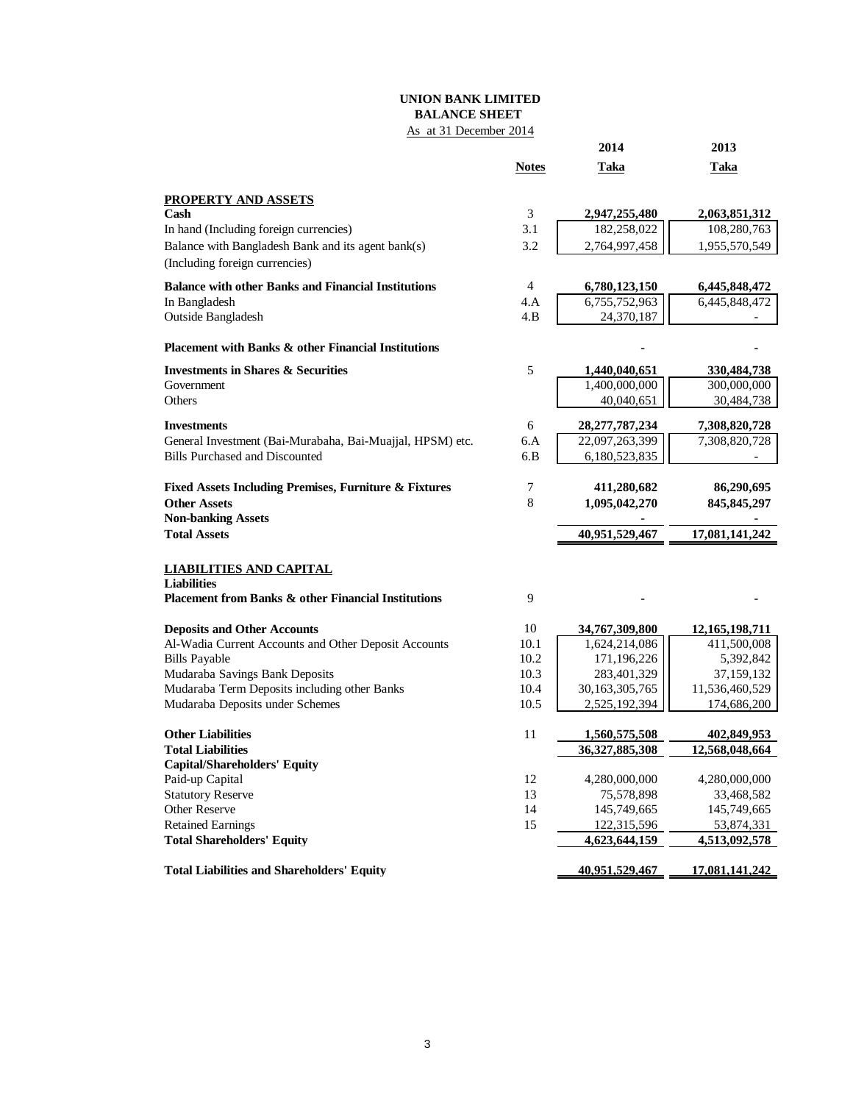# **UNION BANK LIMITED BALANCE SHEET**

# As at 31 December 2014

|                                                                |                | 2014              | 2013           |
|----------------------------------------------------------------|----------------|-------------------|----------------|
|                                                                | <b>Notes</b>   | Taka              | Taka           |
| <b>PROPERTY AND ASSETS</b>                                     |                |                   |                |
| Cash                                                           | 3              | 2,947,255,480     | 2,063,851,312  |
| In hand (Including foreign currencies)                         | 3.1            | 182,258,022       | 108,280,763    |
| Balance with Bangladesh Bank and its agent bank(s)             | 3.2            | 2,764,997,458     | 1,955,570,549  |
| (Including foreign currencies)                                 |                |                   |                |
| <b>Balance with other Banks and Financial Institutions</b>     | $\overline{4}$ | 6,780,123,150     | 6,445,848,472  |
| In Bangladesh                                                  | 4.A            | 6,755,752,963     | 6,445,848,472  |
| Outside Bangladesh                                             | 4.B            | 24,370,187        |                |
| Placement with Banks & other Financial Institutions            |                |                   |                |
| <b>Investments in Shares &amp; Securities</b>                  | 5              | 1,440,040,651     | 330, 484, 738  |
| Government                                                     |                | 1,400,000,000     | 300,000,000    |
| Others                                                         |                | 40,040,651        | 30,484,738     |
| <b>Investments</b>                                             | 6              | 28, 277, 787, 234 | 7,308,820,728  |
| General Investment (Bai-Murabaha, Bai-Muajjal, HPSM) etc.      | 6.A            | 22,097,263,399    | 7,308,820,728  |
| <b>Bills Purchased and Discounted</b>                          | 6.B            | 6,180,523,835     |                |
| Fixed Assets Including Premises, Furniture & Fixtures          | 7              | 411,280,682       | 86,290,695     |
| <b>Other Assets</b>                                            | 8              | 1,095,042,270     | 845, 845, 297  |
| <b>Non-banking Assets</b>                                      |                |                   |                |
| <b>Total Assets</b>                                            |                | 40,951,529,467    | 17,081,141,242 |
| <b>LIABILITIES AND CAPITAL</b>                                 |                |                   |                |
| <b>Liabilities</b>                                             |                |                   |                |
| <b>Placement from Banks &amp; other Financial Institutions</b> | 9              |                   |                |
| <b>Deposits and Other Accounts</b>                             | 10             | 34,767,309,800    | 12,165,198,711 |
| Al-Wadia Current Accounts and Other Deposit Accounts           | 10.1           | 1,624,214,086     | 411,500,008    |
| <b>Bills Payable</b>                                           | 10.2           | 171,196,226       | 5,392,842      |
| Mudaraba Savings Bank Deposits                                 | 10.3           | 283,401,329       | 37,159,132     |
| Mudaraba Term Deposits including other Banks                   | 10.4           | 30,163,305,765    | 11,536,460,529 |
| Mudaraba Deposits under Schemes                                | 10.5           | 2,525,192,394     | 174,686,200    |
| <b>Other Liabilities</b>                                       | 11             | 1,560,575,508     | 402,849,953    |
| <b>Total Liabilities</b>                                       |                | 36,327,885,308    | 12,568,048,664 |
| <b>Capital/Shareholders' Equity</b>                            |                |                   |                |
| Paid-up Capital                                                | 12             | 4,280,000,000     | 4,280,000,000  |
| <b>Statutory Reserve</b>                                       | 13             | 75,578,898        | 33,468,582     |
| Other Reserve                                                  | 14             | 145,749,665       | 145,749,665    |
| <b>Retained Earnings</b>                                       | 15             | 122,315,596       | 53,874,331     |
| <b>Total Shareholders' Equity</b>                              |                | 4,623,644,159     | 4,513,092,578  |
| <b>Total Liabilities and Shareholders' Equity</b>              |                | 40,951,529,467    | 17,081,141,242 |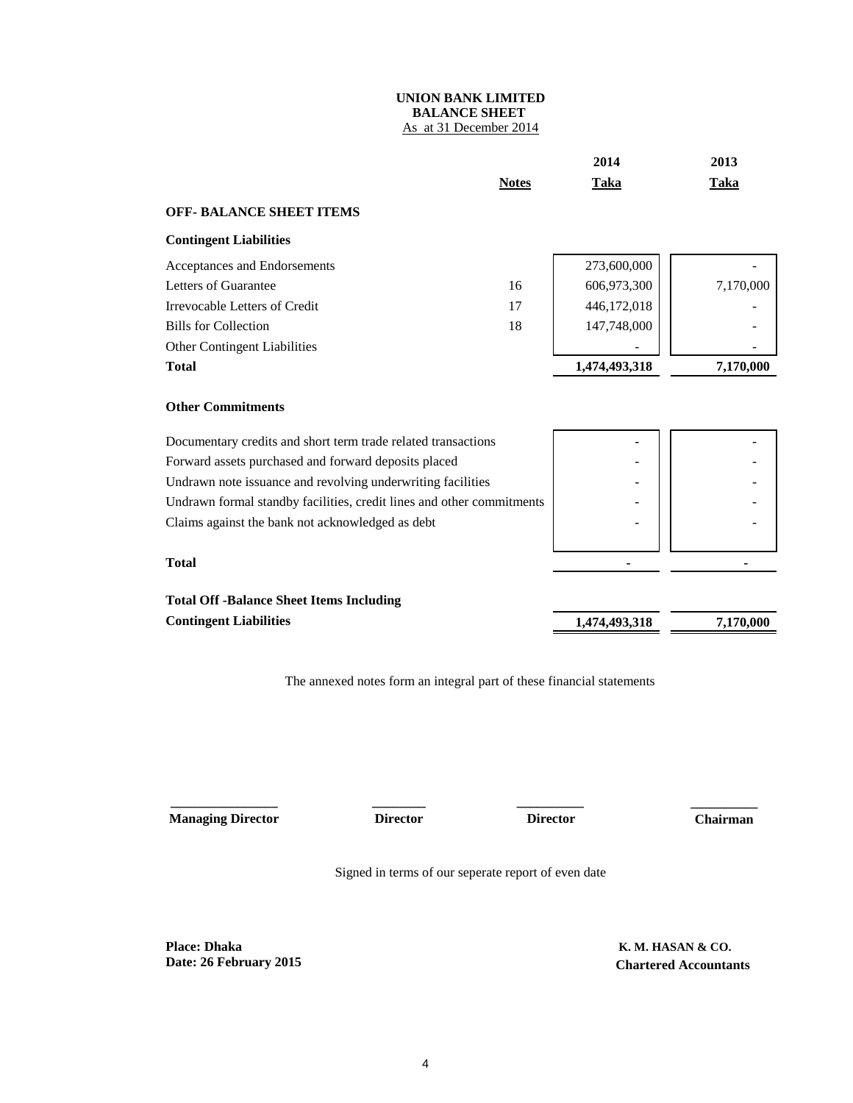# **UNION BANK LIMITED BALANCE SHEET**  As at 31 December 2014

|                                                                       |              | 2014          | 2013        |
|-----------------------------------------------------------------------|--------------|---------------|-------------|
|                                                                       | <b>Notes</b> | <b>Taka</b>   | <b>Taka</b> |
| <b>OFF- BALANCE SHEET ITEMS</b>                                       |              |               |             |
| <b>Contingent Liabilities</b>                                         |              |               |             |
| Acceptances and Endorsements                                          |              | 273,600,000   |             |
| Letters of Guarantee                                                  | 16           | 606,973,300   | 7,170,000   |
| Irrevocable Letters of Credit                                         | 17           | 446,172,018   |             |
| <b>Bills for Collection</b>                                           | 18           | 147,748,000   |             |
| Other Contingent Liabilities                                          |              |               |             |
| <b>Total</b>                                                          |              | 1,474,493,318 | 7,170,000   |
| <b>Other Commitments</b>                                              |              |               |             |
| Documentary credits and short term trade related transactions         |              |               |             |
| Forward assets purchased and forward deposits placed                  |              |               |             |
| Undrawn note issuance and revolving underwriting facilities           |              |               |             |
| Undrawn formal standby facilities, credit lines and other commitments |              |               |             |
| Claims against the bank not acknowledged as debt                      |              |               |             |
| <b>Total</b>                                                          |              |               |             |
| <b>Total Off -Balance Sheet Items Including</b>                       |              |               |             |
| <b>Contingent Liabilities</b>                                         |              | 1.474.493.318 | 7,170,000   |

The annexed notes form an integral part of these financial statements

 **Managing Director Director Chairman**

**\_\_\_\_\_\_\_\_\_\_\_\_\_\_\_\_ \_\_\_\_\_\_\_\_ \_\_\_\_\_\_\_\_\_\_**

 **Director**

 **\_\_\_\_\_\_\_\_\_\_**

Signed in terms of our seperate report of even date

**Place: Dhaka Date: 26 February 2015**  **K. M. HASAN & CO. Chartered Accountants**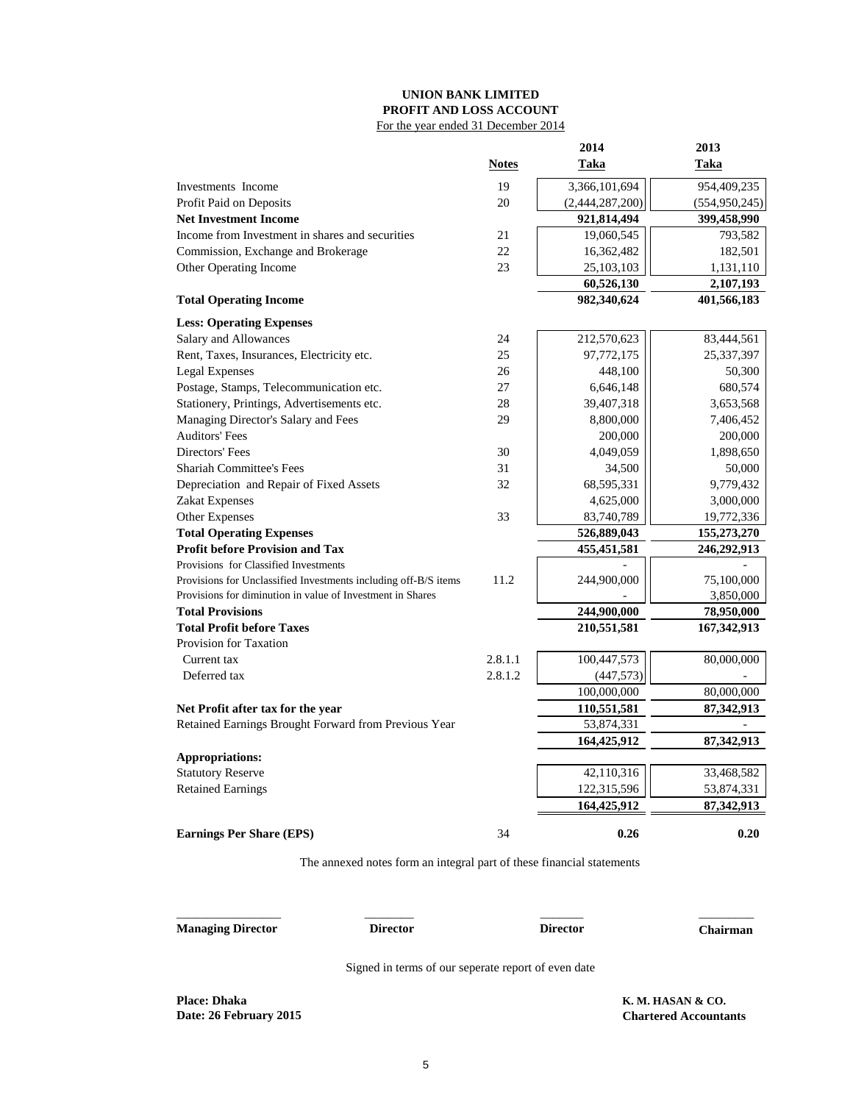# **UNION BANK LIMITED PROFIT AND LOSS ACCOUNT** For the year ended 31 December 2014

|                                                                 |         | 2014            | 2013            |
|-----------------------------------------------------------------|---------|-----------------|-----------------|
|                                                                 | Notes   | Taka            | Taka            |
| Investments Income                                              | 19      | 3,366,101,694   | 954,409,235     |
| Profit Paid on Deposits                                         | 20      | (2,444,287,200) | (554, 950, 245) |
| <b>Net Investment Income</b>                                    |         | 921,814,494     | 399,458,990     |
| Income from Investment in shares and securities                 | 21      | 19,060,545      | 793,582         |
| Commission, Exchange and Brokerage                              | 22      | 16,362,482      | 182,501         |
| Other Operating Income                                          | 23      | 25, 103, 103    | 1,131,110       |
|                                                                 |         | 60,526,130      | 2,107,193       |
| <b>Total Operating Income</b>                                   |         | 982,340,624     | 401,566,183     |
| <b>Less: Operating Expenses</b>                                 |         |                 |                 |
| Salary and Allowances                                           | 24      | 212,570,623     | 83,444,561      |
| Rent, Taxes, Insurances, Electricity etc.                       | 25      | 97,772,175      | 25,337,397      |
| <b>Legal Expenses</b>                                           | 26      | 448,100         | 50,300          |
| Postage, Stamps, Telecommunication etc.                         | 27      | 6,646,148       | 680,574         |
| Stationery, Printings, Advertisements etc.                      | 28      | 39,407,318      | 3,653,568       |
| Managing Director's Salary and Fees                             | 29      | 8,800,000       | 7,406,452       |
| <b>Auditors' Fees</b>                                           |         | 200,000         | 200,000         |
| Directors' Fees                                                 | 30      | 4,049,059       | 1,898,650       |
| <b>Shariah Committee's Fees</b>                                 | 31      | 34,500          | 50,000          |
| Depreciation and Repair of Fixed Assets                         | 32      | 68,595,331      | 9,779,432       |
| Zakat Expenses                                                  |         | 4,625,000       | 3,000,000       |
| Other Expenses                                                  | 33      | 83,740,789      | 19,772,336      |
| <b>Total Operating Expenses</b>                                 |         | 526,889,043     | 155,273,270     |
| <b>Profit before Provision and Tax</b>                          |         | 455,451,581     | 246,292,913     |
| Provisions for Classified Investments                           |         |                 |                 |
| Provisions for Unclassified Investments including off-B/S items | 11.2    | 244,900,000     | 75,100,000      |
| Provisions for diminution in value of Investment in Shares      |         |                 | 3,850,000       |
| <b>Total Provisions</b>                                         |         | 244,900,000     | 78,950,000      |
| <b>Total Profit before Taxes</b>                                |         | 210,551,581     | 167, 342, 913   |
| Provision for Taxation                                          |         |                 |                 |
| Current tax                                                     | 2.8.1.1 | 100,447,573     | 80,000,000      |
| Deferred tax                                                    | 2.8.1.2 | (447, 573)      |                 |
|                                                                 |         | 100,000,000     | 80,000,000      |
| Net Profit after tax for the year                               |         | 110,551,581     | 87,342,913      |
| Retained Earnings Brought Forward from Previous Year            |         | 53,874,331      |                 |
|                                                                 |         | 164,425,912     | 87,342,913      |
| Appropriations:                                                 |         |                 |                 |
| <b>Statutory Reserve</b>                                        |         | 42,110,316      | 33,468,582      |
| <b>Retained Earnings</b>                                        |         | 122,315,596     | 53,874,331      |
|                                                                 |         | 164,425,912     | 87,342,913      |
| <b>Earnings Per Share (EPS)</b>                                 | 34      | 0.26            | 0.20            |

The annexed notes form an integral part of these financial statements

| <b>Managing Director</b> | <b>Director</b>                                     | <b>Director</b> | <b>Chairman</b>   |
|--------------------------|-----------------------------------------------------|-----------------|-------------------|
|                          | Signed in terms of our seperate report of even date |                 |                   |
| <b>Place: Dhaka</b>      |                                                     |                 | K. M. HASAN & CO. |

**Date: 26 February 2015 Chartered Accountants**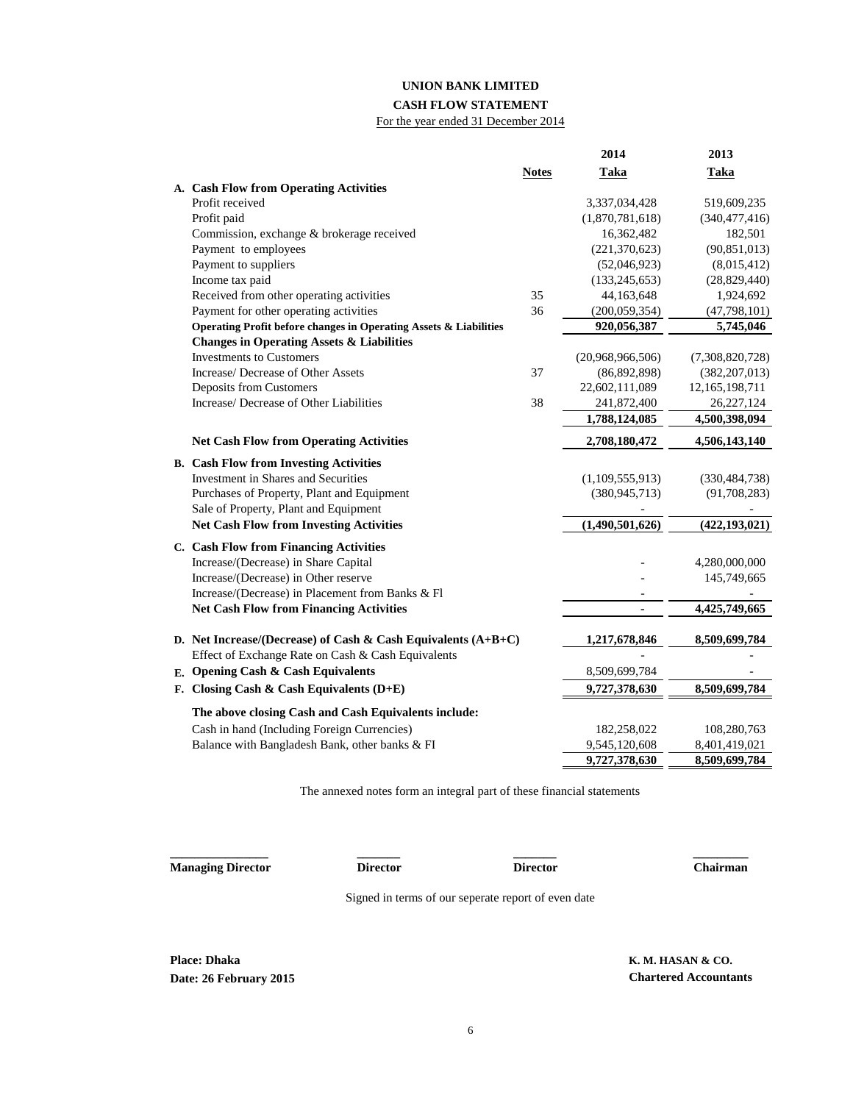# **UNION BANK LIMITED**

### **CASH FLOW STATEMENT**

For the year ended 31 December 2014

|                                                                   |              | 2014             | 2013            |
|-------------------------------------------------------------------|--------------|------------------|-----------------|
|                                                                   | <b>Notes</b> | <b>Taka</b>      | <b>Taka</b>     |
| A. Cash Flow from Operating Activities                            |              |                  |                 |
| Profit received                                                   |              | 3,337,034,428    | 519,609,235     |
| Profit paid                                                       |              | (1,870,781,618)  | (340, 477, 416) |
| Commission, exchange & brokerage received                         |              | 16,362,482       | 182,501         |
| Payment to employees                                              |              | (221, 370, 623)  | (90, 851, 013)  |
| Payment to suppliers                                              |              | (52,046,923)     | (8,015,412)     |
| Income tax paid                                                   |              | (133, 245, 653)  | (28, 829, 440)  |
| Received from other operating activities                          | 35           | 44,163,648       | 1,924,692       |
| Payment for other operating activities                            | 36           | (200, 059, 354)  | (47, 798, 101)  |
| Operating Profit before changes in Operating Assets & Liabilities |              | 920,056,387      | 5,745,046       |
| <b>Changes in Operating Assets &amp; Liabilities</b>              |              |                  |                 |
| <b>Investments to Customers</b>                                   |              | (20,968,966,506) | (7,308,820,728) |
| Increase/ Decrease of Other Assets                                | 37           | (86,892,898)     | (382, 207, 013) |
| Deposits from Customers                                           |              | 22,602,111,089   | 12,165,198,711  |
| Increase/ Decrease of Other Liabilities                           | 38           | 241,872,400      | 26,227,124      |
|                                                                   |              | 1,788,124,085    | 4,500,398,094   |
| <b>Net Cash Flow from Operating Activities</b>                    |              | 2,708,180,472    | 4,506,143,140   |
| <b>B.</b> Cash Flow from Investing Activities                     |              |                  |                 |
| <b>Investment in Shares and Securities</b>                        |              | (1,109,555,913)  | (330, 484, 738) |
| Purchases of Property, Plant and Equipment                        |              | (380, 945, 713)  | (91,708,283)    |
| Sale of Property, Plant and Equipment                             |              |                  |                 |
| <b>Net Cash Flow from Investing Activities</b>                    |              | (1,490,501,626)  | (422, 193, 021) |
| C. Cash Flow from Financing Activities                            |              |                  |                 |
| Increase/(Decrease) in Share Capital                              |              |                  | 4,280,000,000   |
| Increase/(Decrease) in Other reserve                              |              |                  | 145,749,665     |
| Increase/(Decrease) in Placement from Banks & Fl                  |              |                  |                 |
| <b>Net Cash Flow from Financing Activities</b>                    |              |                  | 4,425,749,665   |
| D. Net Increase/(Decrease) of Cash & Cash Equivalents $(A+B+C)$   |              | 1,217,678,846    | 8,509,699,784   |
| Effect of Exchange Rate on Cash & Cash Equivalents                |              |                  |                 |
| E. Opening Cash & Cash Equivalents                                |              | 8,509,699,784    |                 |
| F. Closing Cash & Cash Equivalents $(D+E)$                        |              | 9,727,378,630    | 8,509,699,784   |
| The above closing Cash and Cash Equivalents include:              |              |                  |                 |
| Cash in hand (Including Foreign Currencies)                       |              | 182,258,022      | 108,280,763     |
| Balance with Bangladesh Bank, other banks & FI                    |              | 9,545,120,608    | 8,401,419,021   |
|                                                                   |              | 9,727,378,630    | 8,509,699,784   |

The annexed notes form an integral part of these financial statements

**Managing Director Director Director Chairman**

**\_\_\_\_\_\_\_\_\_\_\_\_\_\_\_\_ \_\_\_\_\_\_\_ \_\_\_\_\_\_\_ \_\_\_\_\_\_\_\_\_**

Signed in terms of our seperate report of even date

**Place: Dhaka K. M. HASAN & CO. Date: 26 February 2015 Chartered Accountants**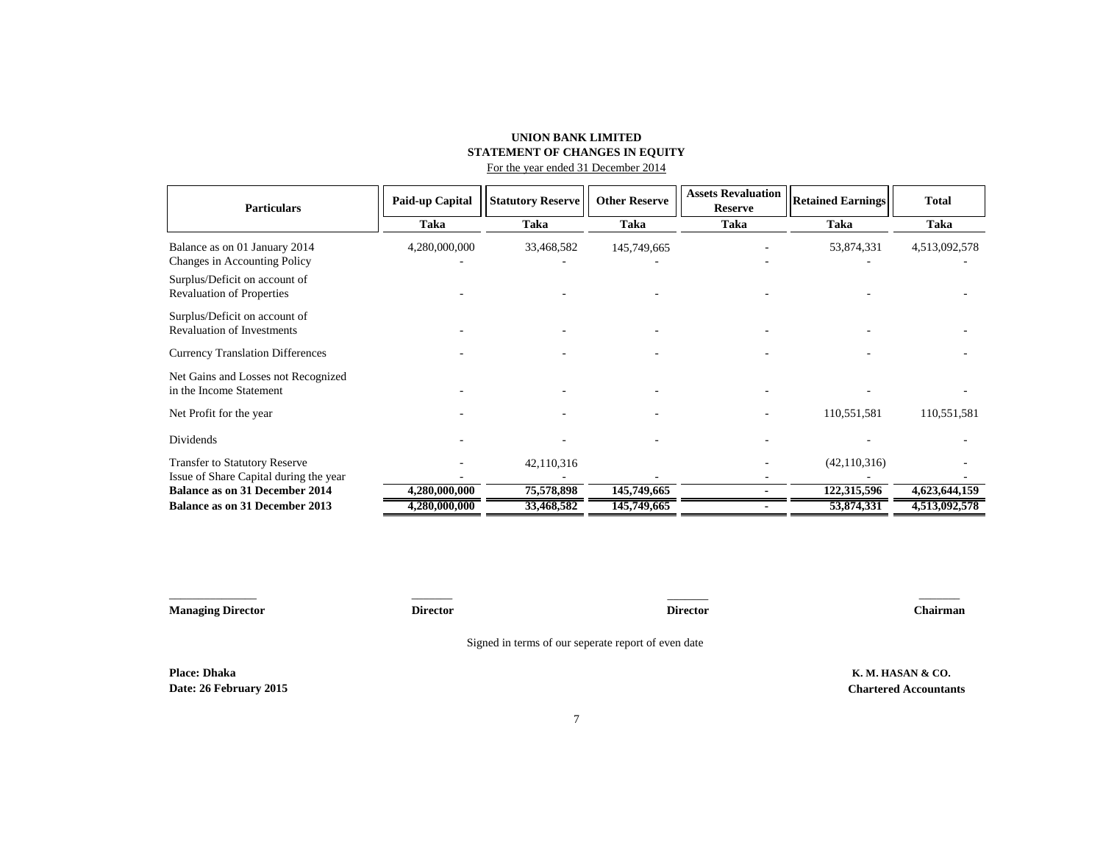## **UNION BANK LIMITED STATEMENT OF CHANGES IN EQUITY** For the year ended 31 December 2014

| <b>Particulars</b>                                                              | Paid-up Capital | <b>Statutory Reserve</b> | <b>Other Reserve</b> | <b>Assets Revaluation</b><br><b>Reserve</b> | <b>Retained Earnings</b> | <b>Total</b>  |
|---------------------------------------------------------------------------------|-----------------|--------------------------|----------------------|---------------------------------------------|--------------------------|---------------|
|                                                                                 | Taka            | Taka                     | Taka                 | Taka                                        | Taka                     | Taka          |
| Balance as on 01 January 2014<br>Changes in Accounting Policy                   | 4,280,000,000   | 33,468,582               | 145,749,665          |                                             | 53,874,331               | 4,513,092,578 |
| Surplus/Deficit on account of<br><b>Revaluation of Properties</b>               |                 |                          |                      |                                             |                          |               |
| Surplus/Deficit on account of<br><b>Revaluation of Investments</b>              |                 |                          |                      |                                             |                          |               |
| <b>Currency Translation Differences</b>                                         |                 |                          |                      |                                             |                          |               |
| Net Gains and Losses not Recognized<br>in the Income Statement                  |                 |                          |                      |                                             |                          |               |
| Net Profit for the year                                                         |                 |                          |                      |                                             | 110,551,581              | 110,551,581   |
| Dividends                                                                       |                 |                          |                      |                                             |                          |               |
| <b>Transfer to Statutory Reserve</b>                                            |                 | 42,110,316               |                      |                                             | (42, 110, 316)           |               |
| Issue of Share Capital during the year<br><b>Balance as on 31 December 2014</b> | 4,280,000,000   | 75,578,898               | 145,749,665          |                                             | 122,315,596              | 4,623,644,159 |
| <b>Balance as on 31 December 2013</b>                                           | 4,280,000,000   | 33,468,582               | 145,749,665          |                                             | 53,874,331               | 4,513,092,578 |

\_\_\_\_\_\_\_\_\_\_\_\_\_\_\_ \_\_\_\_\_\_\_ \_\_\_\_\_\_\_ **Managing Director Director Chairman Place: Dhaka K. M. HASAN & CO. Date: 26 February 2015 Chartered Accountants**  $\overline{\phantom{a}}$ **Director** Signed in terms of our seperate report of even date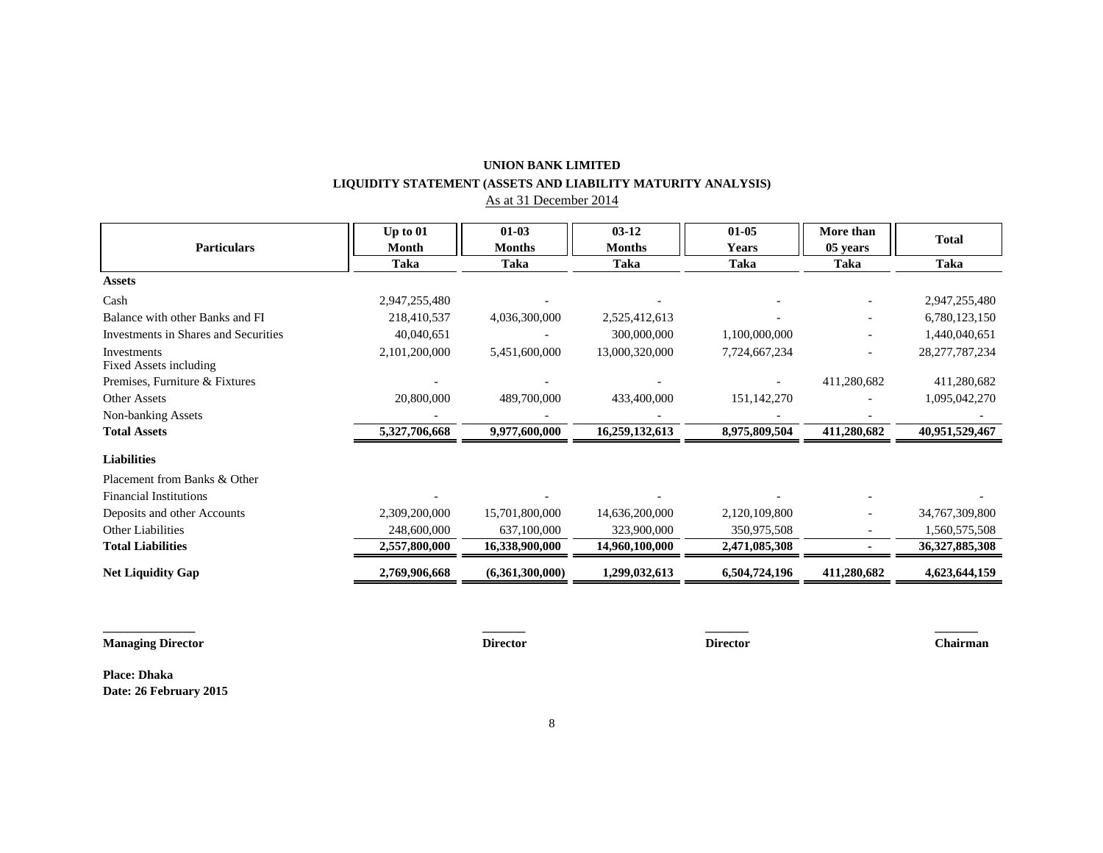# **UNION BANK LIMITED LIQUIDITY STATEMENT (ASSETS AND LIABILITY MATURITY ANALYSIS)**

As at 31 December 2014

|                                             | Up to $01$    | $01 - 03$       | $03 - 12$      | $01 - 05$     | More than   | <b>Total</b>      |
|---------------------------------------------|---------------|-----------------|----------------|---------------|-------------|-------------------|
| <b>Particulars</b>                          | Month         | <b>Months</b>   | <b>Months</b>  | <b>Years</b>  | 05 years    |                   |
|                                             | Taka          | Taka            | <b>Taka</b>    | <b>Taka</b>   | <b>Taka</b> | Taka              |
| <b>Assets</b>                               |               |                 |                |               |             |                   |
| Cash                                        | 2,947,255,480 |                 |                |               |             | 2,947,255,480     |
| Balance with other Banks and FI             | 218,410,537   | 4,036,300,000   | 2,525,412,613  |               |             | 6,780,123,150     |
| <b>Investments in Shares and Securities</b> | 40,040,651    |                 | 300,000,000    | 1,100,000,000 |             | 1,440,040,651     |
| Investments                                 | 2,101,200,000 | 5,451,600,000   | 13,000,320,000 | 7,724,667,234 |             | 28, 277, 787, 234 |
| Fixed Assets including                      |               |                 |                |               |             |                   |
| Premises, Furniture & Fixtures              |               |                 |                |               | 411,280,682 | 411,280,682       |
| <b>Other Assets</b>                         | 20,800,000    | 489,700,000     | 433,400,000    | 151,142,270   |             | 1,095,042,270     |
| Non-banking Assets                          |               |                 |                |               |             |                   |
| <b>Total Assets</b>                         | 5,327,706,668 | 9,977,600,000   | 16,259,132,613 | 8,975,809,504 | 411,280,682 | 40,951,529,467    |
| <b>Liabilities</b>                          |               |                 |                |               |             |                   |
| Placement from Banks & Other                |               |                 |                |               |             |                   |
| <b>Financial Institutions</b>               |               |                 |                |               |             |                   |
| Deposits and other Accounts                 | 2,309,200,000 | 15,701,800,000  | 14,636,200,000 | 2,120,109,800 |             | 34,767,309,800    |
| Other Liabilities                           | 248,600,000   | 637,100,000     | 323,900,000    | 350,975,508   |             | 1,560,575,508     |
| <b>Total Liabilities</b>                    | 2,557,800,000 | 16,338,900,000  | 14,960,100,000 | 2,471,085,308 |             | 36,327,885,308    |
| <b>Net Liquidity Gap</b>                    | 2,769,906,668 | (6,361,300,000) | 1,299,032,613  | 6,504,724,196 | 411,280,682 | 4,623,644,159     |
|                                             |               |                 |                |               |             |                   |
|                                             |               |                 |                |               |             |                   |
|                                             |               |                 |                |               |             |                   |

**Managing Director Director Director Chairman**

**Place: Dhaka Date: 26 February 2015**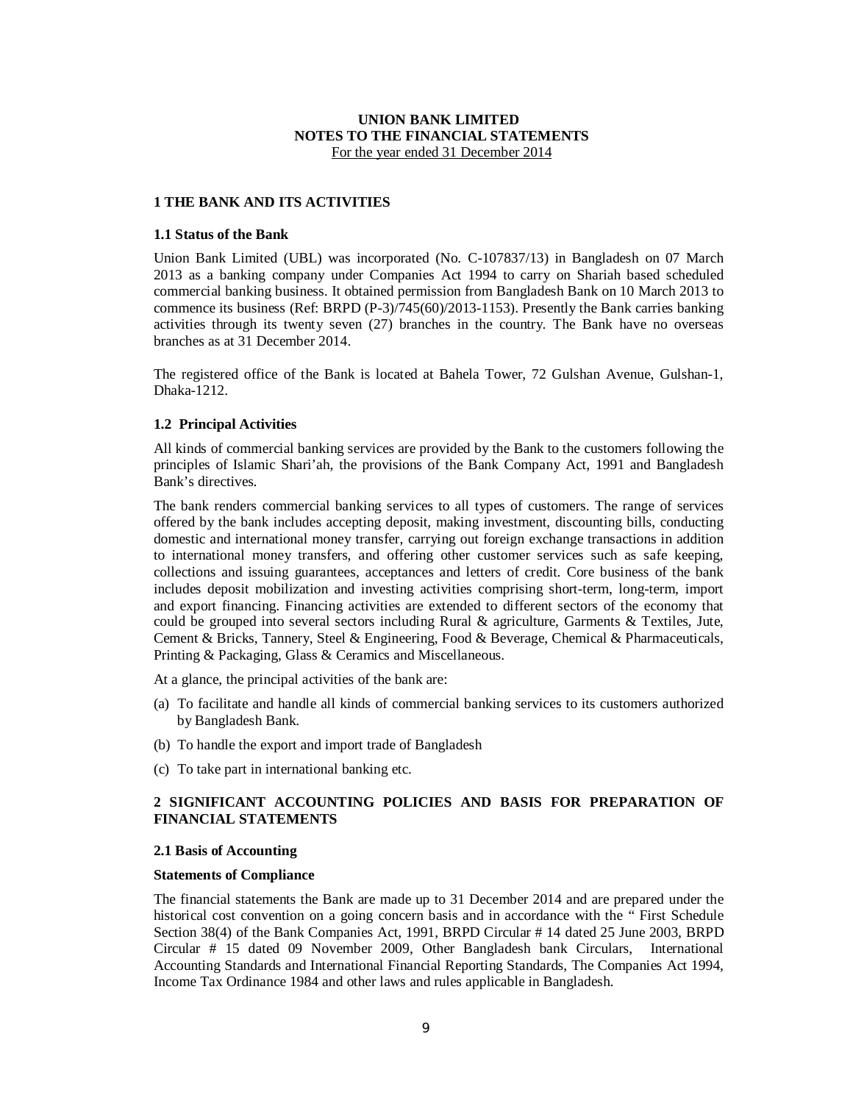# **UNION BANK LIMITED NOTES TO THE FINANCIAL STATEMENTS** For the year ended 31 December 2014

### **1 THE BANK AND ITS ACTIVITIES**

### **1.1 Status of the Bank**

Union Bank Limited (UBL) was incorporated (No. C-107837/13) in Bangladesh on 07 March 2013 as a banking company under Companies Act 1994 to carry on Shariah based scheduled commercial banking business. It obtained permission from Bangladesh Bank on 10 March 2013 to commence its business (Ref: BRPD (P-3)/745(60)/2013-1153). Presently the Bank carries banking activities through its twenty seven (27) branches in the country. The Bank have no overseas branches as at 31 December 2014.

The registered office of the Bank is located at Bahela Tower, 72 Gulshan Avenue, Gulshan-1, Dhaka-1212.

### **1.2 Principal Activities**

All kinds of commercial banking services are provided by the Bank to the customers following the principles of Islamic Shari'ah, the provisions of the Bank Company Act, 1991 and Bangladesh Bank's directives.

The bank renders commercial banking services to all types of customers. The range of services offered by the bank includes accepting deposit, making investment, discounting bills, conducting domestic and international money transfer, carrying out foreign exchange transactions in addition to international money transfers, and offering other customer services such as safe keeping, collections and issuing guarantees, acceptances and letters of credit. Core business of the bank includes deposit mobilization and investing activities comprising short-term, long-term, import and export financing. Financing activities are extended to different sectors of the economy that could be grouped into several sectors including Rural & agriculture, Garments & Textiles, Jute, Cement & Bricks, Tannery, Steel & Engineering, Food & Beverage, Chemical & Pharmaceuticals, Printing & Packaging, Glass & Ceramics and Miscellaneous.

At a glance, the principal activities of the bank are:

- (a) To facilitate and handle all kinds of commercial banking services to its customers authorized by Bangladesh Bank.
- (b) To handle the export and import trade of Bangladesh
- (c) To take part in international banking etc.

# **2 SIGNIFICANT ACCOUNTING POLICIES AND BASIS FOR PREPARATION OF FINANCIAL STATEMENTS**

### **2.1 Basis of Accounting**

### **Statements of Compliance**

The financial statements the Bank are made up to 31 December 2014 and are prepared under the historical cost convention on a going concern basis and in accordance with the " First Schedule Section 38(4) of the Bank Companies Act, 1991, BRPD Circular # 14 dated 25 June 2003, BRPD Circular # 15 dated 09 November 2009, Other Bangladesh bank Circulars, International Accounting Standards and International Financial Reporting Standards, The Companies Act 1994, Income Tax Ordinance 1984 and other laws and rules applicable in Bangladesh.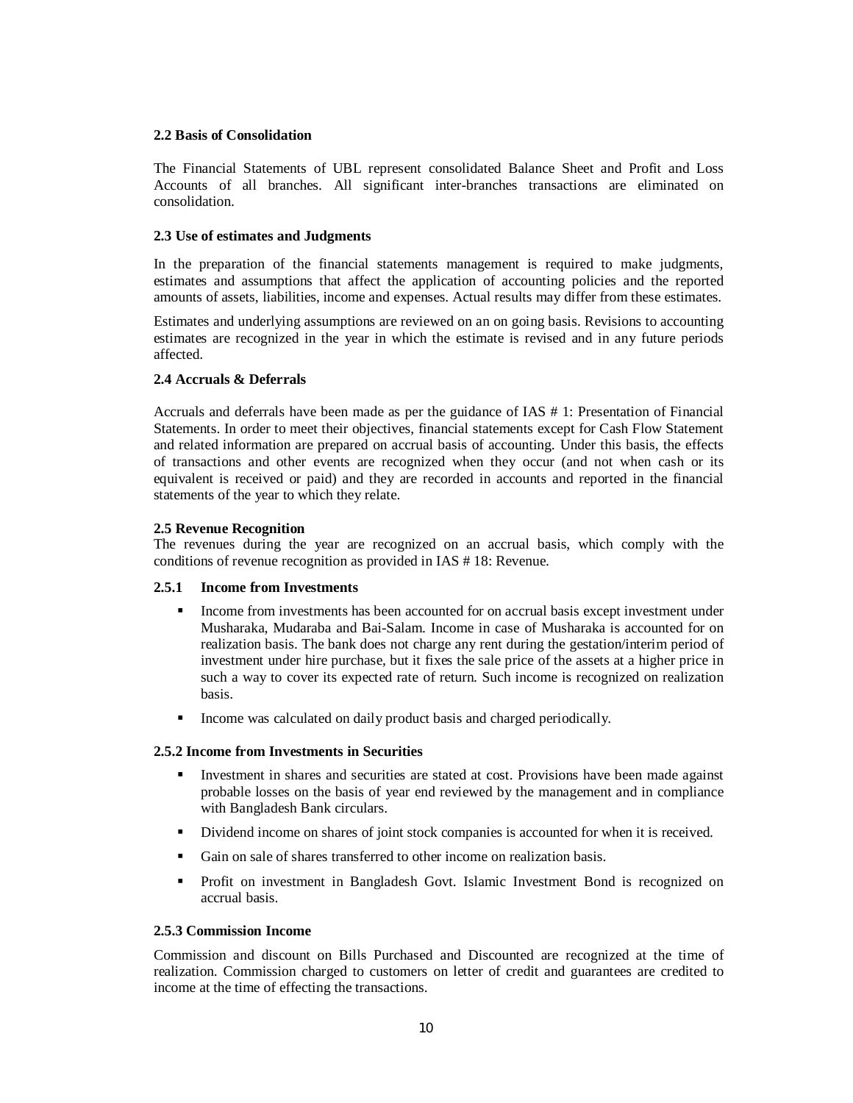## **2.2 Basis of Consolidation**

The Financial Statements of UBL represent consolidated Balance Sheet and Profit and Loss Accounts of all branches. All significant inter-branches transactions are eliminated on consolidation.

## **2.3 Use of estimates and Judgments**

In the preparation of the financial statements management is required to make judgments, estimates and assumptions that affect the application of accounting policies and the reported amounts of assets, liabilities, income and expenses. Actual results may differ from these estimates.

Estimates and underlying assumptions are reviewed on an on going basis. Revisions to accounting estimates are recognized in the year in which the estimate is revised and in any future periods affected.

# **2.4 Accruals & Deferrals**

Accruals and deferrals have been made as per the guidance of IAS # 1: Presentation of Financial Statements. In order to meet their objectives, financial statements except for Cash Flow Statement and related information are prepared on accrual basis of accounting. Under this basis, the effects of transactions and other events are recognized when they occur (and not when cash or its equivalent is received or paid) and they are recorded in accounts and reported in the financial statements of the year to which they relate.

## **2.5 Revenue Recognition**

The revenues during the year are recognized on an accrual basis, which comply with the conditions of revenue recognition as provided in IAS # 18: Revenue.

### **2.5.1 Income from Investments**

- Income from investments has been accounted for on accrual basis except investment under Musharaka, Mudaraba and Bai-Salam. Income in case of Musharaka is accounted for on realization basis. The bank does not charge any rent during the gestation/interim period of investment under hire purchase, but it fixes the sale price of the assets at a higher price in such a way to cover its expected rate of return. Such income is recognized on realization basis.
- Income was calculated on daily product basis and charged periodically.

### **2.5.2 Income from Investments in Securities**

- Investment in shares and securities are stated at cost. Provisions have been made against probable losses on the basis of year end reviewed by the management and in compliance with Bangladesh Bank circulars.
- Dividend income on shares of joint stock companies is accounted for when it is received.
- Gain on sale of shares transferred to other income on realization basis.
- Profit on investment in Bangladesh Govt. Islamic Investment Bond is recognized on accrual basis.

### **2.5.3 Commission Income**

Commission and discount on Bills Purchased and Discounted are recognized at the time of realization. Commission charged to customers on letter of credit and guarantees are credited to income at the time of effecting the transactions.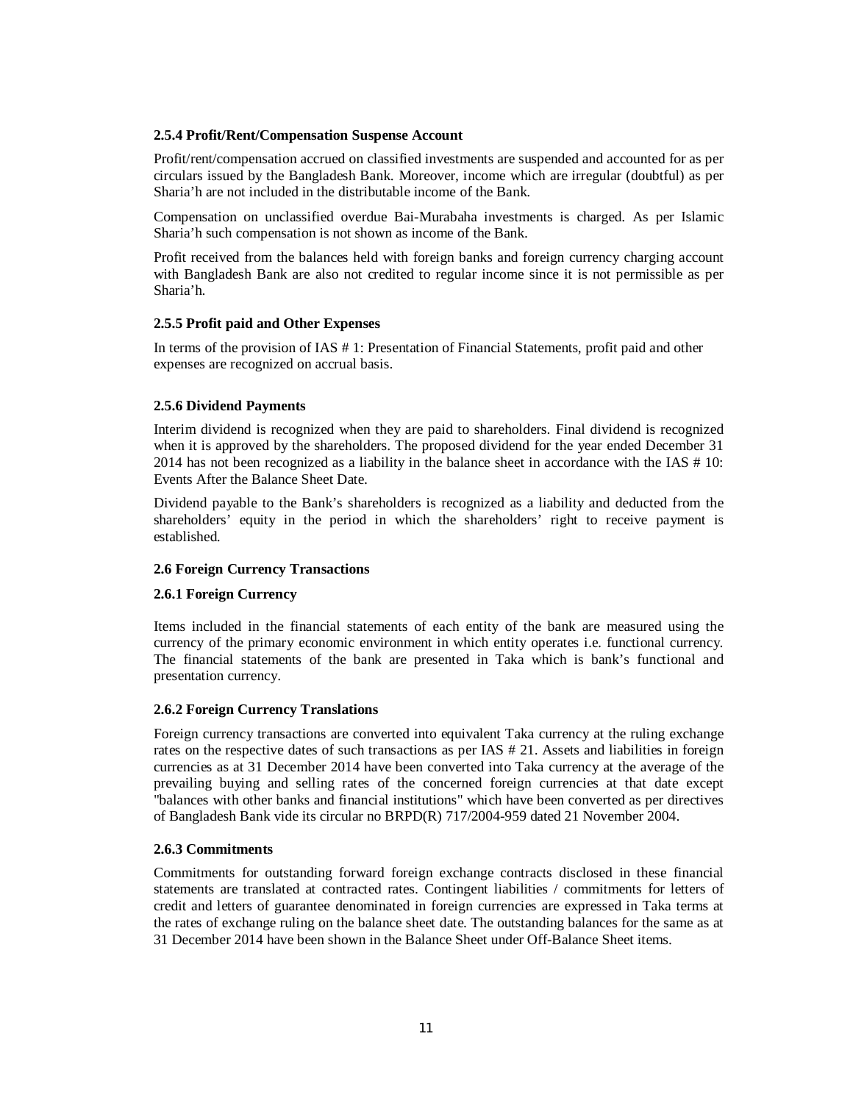# **2.5.4 Profit/Rent/Compensation Suspense Account**

Profit/rent/compensation accrued on classified investments are suspended and accounted for as per circulars issued by the Bangladesh Bank. Moreover, income which are irregular (doubtful) as per Sharia'h are not included in the distributable income of the Bank.

Compensation on unclassified overdue Bai-Murabaha investments is charged. As per Islamic Sharia'h such compensation is not shown as income of the Bank.

Profit received from the balances held with foreign banks and foreign currency charging account with Bangladesh Bank are also not credited to regular income since it is not permissible as per Sharia'h.

# **2.5.5 Profit paid and Other Expenses**

In terms of the provision of IAS # 1: Presentation of Financial Statements, profit paid and other expenses are recognized on accrual basis.

# **2.5.6 Dividend Payments**

Interim dividend is recognized when they are paid to shareholders. Final dividend is recognized when it is approved by the shareholders. The proposed dividend for the year ended December 31 2014 has not been recognized as a liability in the balance sheet in accordance with the IAS  $# 10$ : Events After the Balance Sheet Date.

Dividend payable to the Bank's shareholders is recognized as a liability and deducted from the shareholders' equity in the period in which the shareholders' right to receive payment is established.

# **2.6 Foreign Currency Transactions**

# **2.6.1 Foreign Currency**

Items included in the financial statements of each entity of the bank are measured using the currency of the primary economic environment in which entity operates i.e. functional currency. The financial statements of the bank are presented in Taka which is bank's functional and presentation currency.

### **2.6.2 Foreign Currency Translations**

Foreign currency transactions are converted into equivalent Taka currency at the ruling exchange rates on the respective dates of such transactions as per IAS # 21. Assets and liabilities in foreign currencies as at 31 December 2014 have been converted into Taka currency at the average of the prevailing buying and selling rates of the concerned foreign currencies at that date except "balances with other banks and financial institutions" which have been converted as per directives of Bangladesh Bank vide its circular no BRPD(R) 717/2004-959 dated 21 November 2004.

# **2.6.3 Commitments**

Commitments for outstanding forward foreign exchange contracts disclosed in these financial statements are translated at contracted rates. Contingent liabilities / commitments for letters of credit and letters of guarantee denominated in foreign currencies are expressed in Taka terms at the rates of exchange ruling on the balance sheet date. The outstanding balances for the same as at 31 December 2014 have been shown in the Balance Sheet under Off-Balance Sheet items.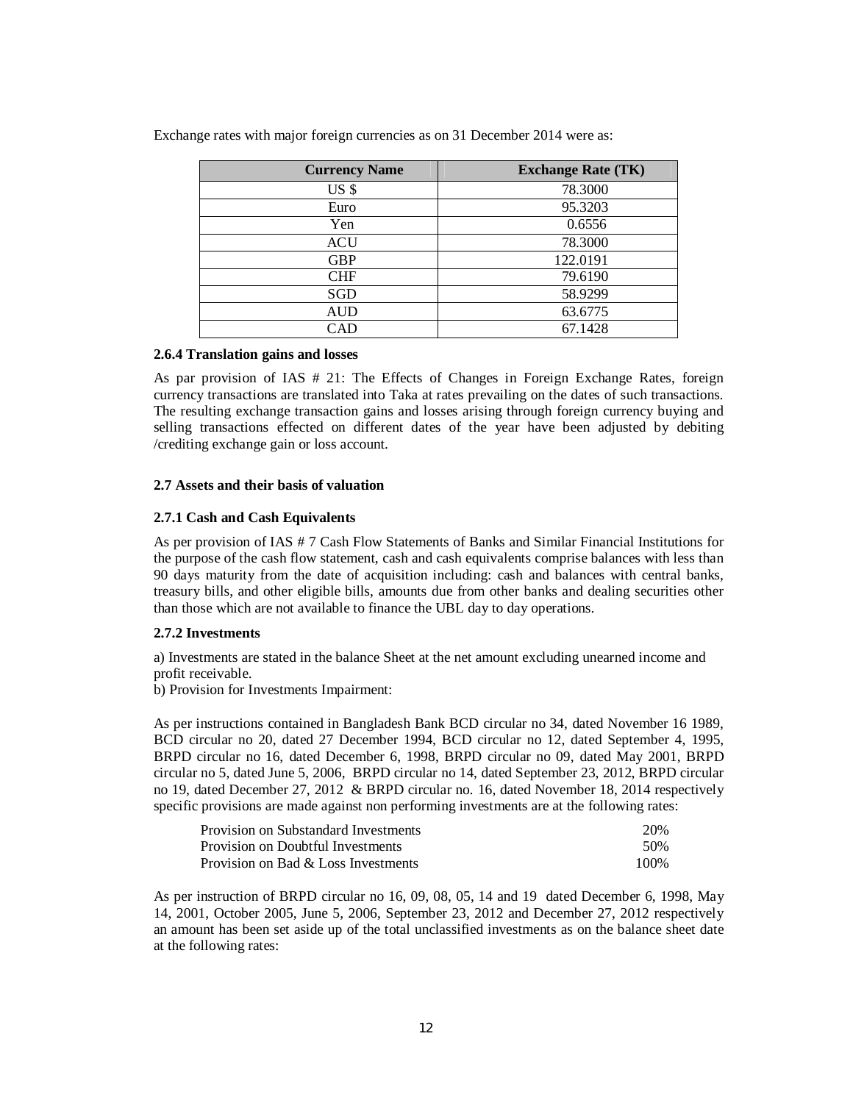| <b>Currency Name</b> | <b>Exchange Rate (TK)</b> |
|----------------------|---------------------------|
| US <sub>s</sub>      | 78.3000                   |
| Euro                 | 95.3203                   |
| Yen                  | 0.6556                    |
| <b>ACU</b>           | 78.3000                   |
| <b>GBP</b>           | 122.0191                  |
| <b>CHF</b>           | 79.6190                   |
| SGD                  | 58.9299                   |
| AUD                  | 63.6775                   |
| CAD                  | 67.1428                   |

Exchange rates with major foreign currencies as on 31 December 2014 were as:

### **2.6.4 Translation gains and losses**

As par provision of IAS # 21: The Effects of Changes in Foreign Exchange Rates, foreign currency transactions are translated into Taka at rates prevailing on the dates of such transactions. The resulting exchange transaction gains and losses arising through foreign currency buying and selling transactions effected on different dates of the year have been adjusted by debiting /crediting exchange gain or loss account.

## **2.7 Assets and their basis of valuation**

## **2.7.1 Cash and Cash Equivalents**

As per provision of IAS # 7 Cash Flow Statements of Banks and Similar Financial Institutions for the purpose of the cash flow statement, cash and cash equivalents comprise balances with less than 90 days maturity from the date of acquisition including: cash and balances with central banks, treasury bills, and other eligible bills, amounts due from other banks and dealing securities other than those which are not available to finance the UBL day to day operations.

### **2.7.2 Investments**

a) Investments are stated in the balance Sheet at the net amount excluding unearned income and profit receivable.

b) Provision for Investments Impairment:

As per instructions contained in Bangladesh Bank BCD circular no 34, dated November 16 1989, BCD circular no 20, dated 27 December 1994, BCD circular no 12, dated September 4, 1995, BRPD circular no 16, dated December 6, 1998, BRPD circular no 09, dated May 2001, BRPD circular no 5, dated June 5, 2006, BRPD circular no 14, dated September 23, 2012, BRPD circular no 19, dated December 27, 2012 & BRPD circular no. 16, dated November 18, 2014 respectively specific provisions are made against non performing investments are at the following rates:

| Provision on Substandard Investments | 20%  |
|--------------------------------------|------|
| Provision on Doubtful Investments    | .50% |
| Provision on Bad & Loss Investments  | 100% |

As per instruction of BRPD circular no 16, 09, 08, 05, 14 and 19 dated December 6, 1998, May 14, 2001, October 2005, June 5, 2006, September 23, 2012 and December 27, 2012 respectively an amount has been set aside up of the total unclassified investments as on the balance sheet date at the following rates: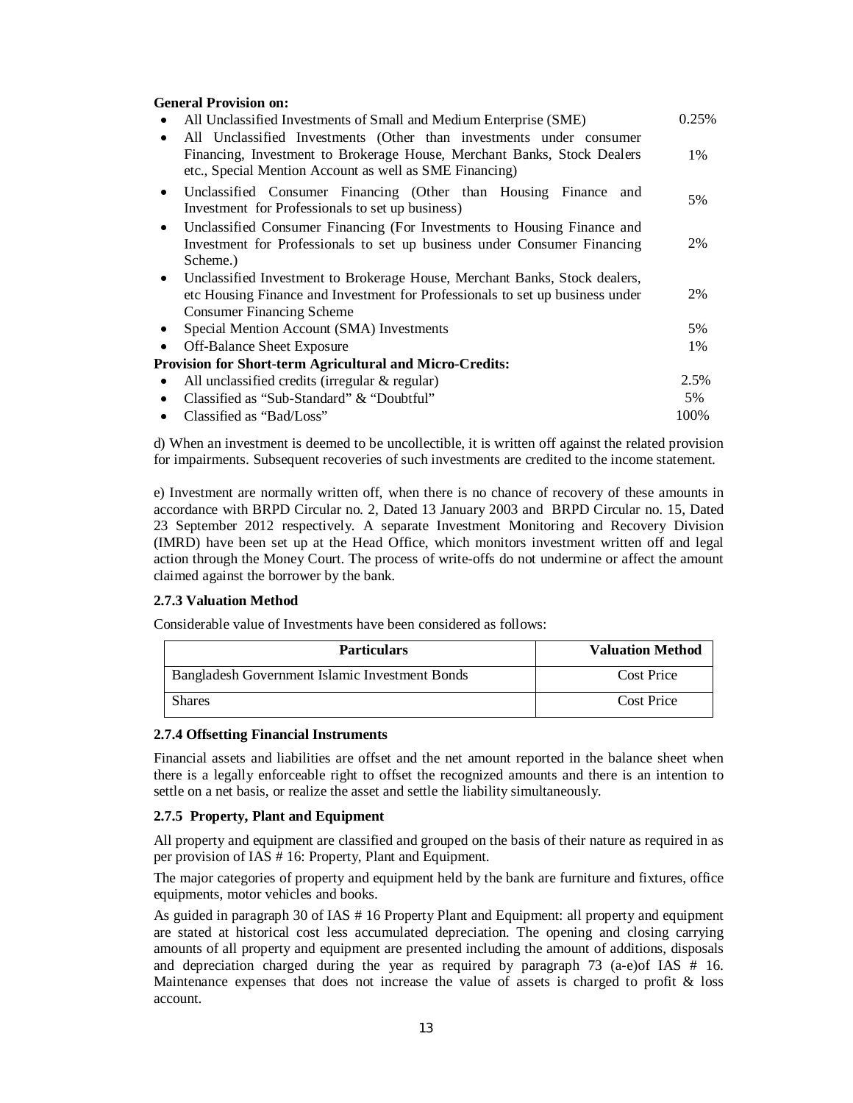## **General Provision on:**

|           | All Unclassified Investments of Small and Medium Enterprise (SME)                                                                                                                                         | 0.25% |
|-----------|-----------------------------------------------------------------------------------------------------------------------------------------------------------------------------------------------------------|-------|
|           | All Unclassified Investments (Other than investments under consumer<br>Financing, Investment to Brokerage House, Merchant Banks, Stock Dealers<br>etc., Special Mention Account as well as SME Financing) | 1%    |
| $\bullet$ | Unclassified Consumer Financing (Other than Housing Finance and<br>Investment for Professionals to set up business)                                                                                       | 5%    |
| $\bullet$ | Unclassified Consumer Financing (For Investments to Housing Finance and<br>Investment for Professionals to set up business under Consumer Financing<br>Scheme.)                                           | 2%    |
| $\bullet$ | Unclassified Investment to Brokerage House, Merchant Banks, Stock dealers,<br>etc Housing Finance and Investment for Professionals to set up business under<br><b>Consumer Financing Scheme</b>           | 2%    |
|           | Special Mention Account (SMA) Investments                                                                                                                                                                 | 5%    |
|           | Off-Balance Sheet Exposure                                                                                                                                                                                | 1%    |
|           | <b>Provision for Short-term Agricultural and Micro-Credits:</b>                                                                                                                                           |       |
|           | All unclassified credits (irregular $\&$ regular)                                                                                                                                                         | 2.5%  |
|           | Classified as "Sub-Standard" & "Doubtful"                                                                                                                                                                 | 5%    |
|           | Classified as "Bad/Loss"                                                                                                                                                                                  | 100%  |

d) When an investment is deemed to be uncollectible, it is written off against the related provision for impairments. Subsequent recoveries of such investments are credited to the income statement.

e) Investment are normally written off, when there is no chance of recovery of these amounts in accordance with BRPD Circular no. 2, Dated 13 January 2003 and BRPD Circular no. 15, Dated 23 September 2012 respectively. A separate Investment Monitoring and Recovery Division (IMRD) have been set up at the Head Office, which monitors investment written off and legal action through the Money Court. The process of write-offs do not undermine or affect the amount claimed against the borrower by the bank.

# **2.7.3 Valuation Method**

Considerable value of Investments have been considered as follows:

| <b>Particulars</b>                             | <b>Valuation Method</b> |
|------------------------------------------------|-------------------------|
| Bangladesh Government Islamic Investment Bonds | Cost Price              |
| <b>Shares</b>                                  | Cost Price              |

### **2.7.4 Offsetting Financial Instruments**

Financial assets and liabilities are offset and the net amount reported in the balance sheet when there is a legally enforceable right to offset the recognized amounts and there is an intention to settle on a net basis, or realize the asset and settle the liability simultaneously.

### **2.7.5 Property, Plant and Equipment**

All property and equipment are classified and grouped on the basis of their nature as required in as per provision of IAS # 16: Property, Plant and Equipment.

The major categories of property and equipment held by the bank are furniture and fixtures, office equipments, motor vehicles and books.

As guided in paragraph 30 of IAS # 16 Property Plant and Equipment: all property and equipment are stated at historical cost less accumulated depreciation. The opening and closing carrying amounts of all property and equipment are presented including the amount of additions, disposals and depreciation charged during the year as required by paragraph 73 (a-e)of IAS # 16. Maintenance expenses that does not increase the value of assets is charged to profit  $\&$  loss account.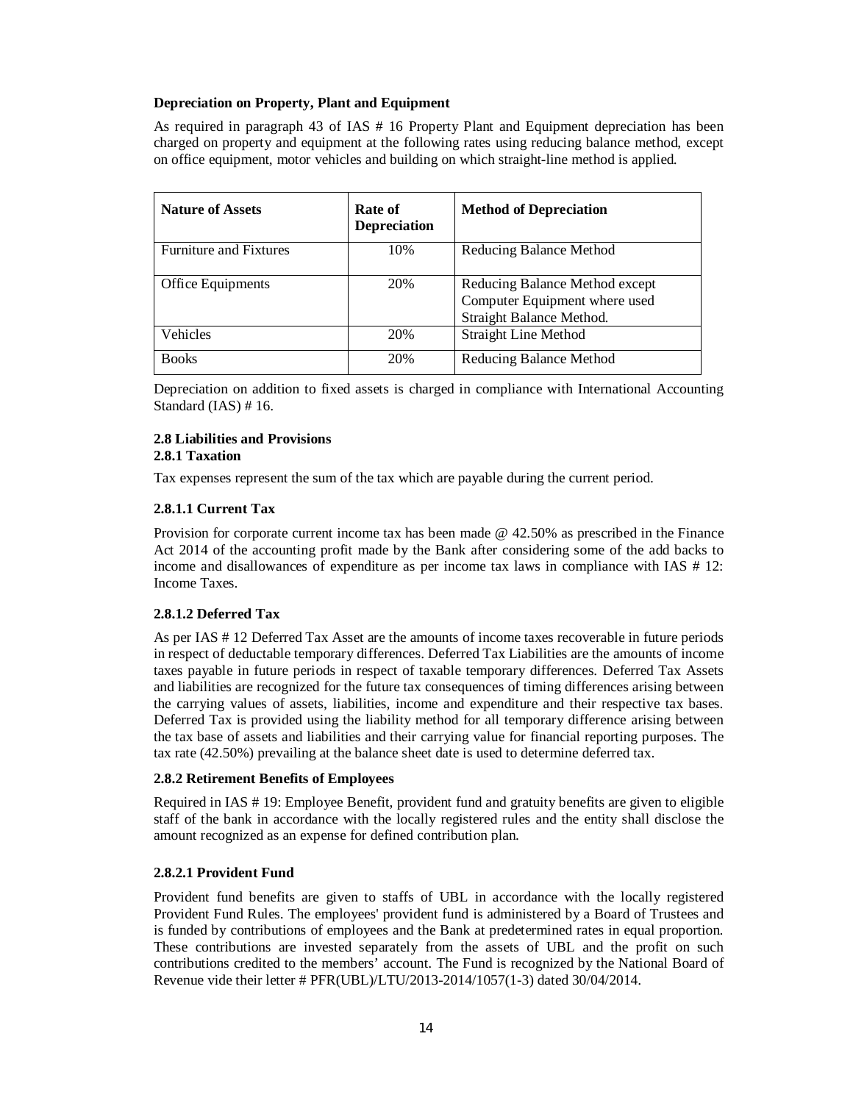# **Depreciation on Property, Plant and Equipment**

As required in paragraph 43 of IAS # 16 Property Plant and Equipment depreciation has been charged on property and equipment at the following rates using reducing balance method, except on office equipment, motor vehicles and building on which straight-line method is applied.

| <b>Nature of Assets</b>       | Rate of<br><b>Depreciation</b> | <b>Method of Depreciation</b>                                                               |
|-------------------------------|--------------------------------|---------------------------------------------------------------------------------------------|
| <b>Furniture and Fixtures</b> | 10%                            | Reducing Balance Method                                                                     |
| Office Equipments             | 20%                            | Reducing Balance Method except<br>Computer Equipment where used<br>Straight Balance Method. |
| Vehicles                      | 20%                            | <b>Straight Line Method</b>                                                                 |
| <b>Books</b>                  | 20%                            | Reducing Balance Method                                                                     |

Depreciation on addition to fixed assets is charged in compliance with International Accounting Standard (IAS) # 16.

### **2.8 Liabilities and Provisions 2.8.1 Taxation**

Tax expenses represent the sum of the tax which are payable during the current period.

# **2.8.1.1 Current Tax**

Provision for corporate current income tax has been made @ 42.50% as prescribed in the Finance Act 2014 of the accounting profit made by the Bank after considering some of the add backs to income and disallowances of expenditure as per income tax laws in compliance with IAS # 12: Income Taxes.

# **2.8.1.2 Deferred Tax**

As per IAS # 12 Deferred Tax Asset are the amounts of income taxes recoverable in future periods in respect of deductable temporary differences. Deferred Tax Liabilities are the amounts of income taxes payable in future periods in respect of taxable temporary differences. Deferred Tax Assets and liabilities are recognized for the future tax consequences of timing differences arising between the carrying values of assets, liabilities, income and expenditure and their respective tax bases. Deferred Tax is provided using the liability method for all temporary difference arising between the tax base of assets and liabilities and their carrying value for financial reporting purposes. The tax rate (42.50%) prevailing at the balance sheet date is used to determine deferred tax.

# **2.8.2 Retirement Benefits of Employees**

Required in IAS # 19: Employee Benefit, provident fund and gratuity benefits are given to eligible staff of the bank in accordance with the locally registered rules and the entity shall disclose the amount recognized as an expense for defined contribution plan.

# **2.8.2.1 Provident Fund**

Provident fund benefits are given to staffs of UBL in accordance with the locally registered Provident Fund Rules. The employees' provident fund is administered by a Board of Trustees and is funded by contributions of employees and the Bank at predetermined rates in equal proportion. These contributions are invested separately from the assets of UBL and the profit on such contributions credited to the members' account. The Fund is recognized by the National Board of Revenue vide their letter # PFR(UBL)/LTU/2013-2014/1057(1-3) dated 30/04/2014.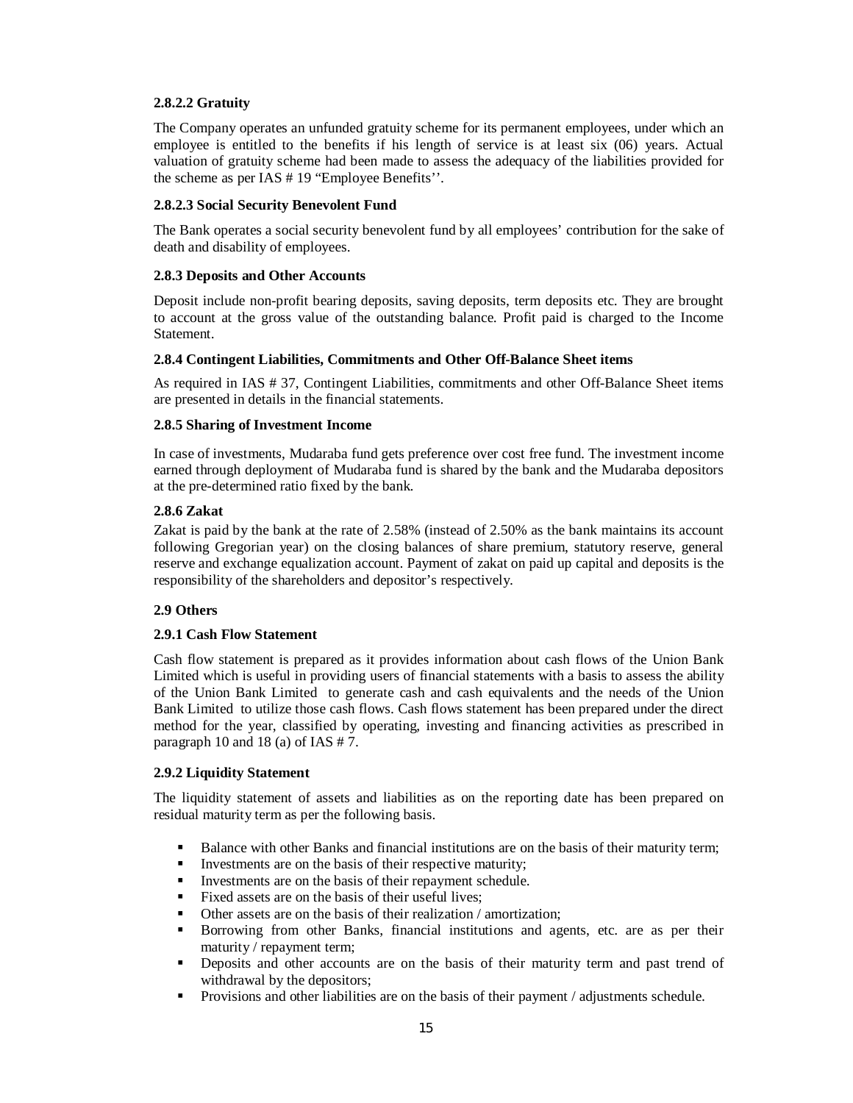# **2.8.2.2 Gratuity**

The Company operates an unfunded gratuity scheme for its permanent employees, under which an employee is entitled to the benefits if his length of service is at least six (06) years. Actual valuation of gratuity scheme had been made to assess the adequacy of the liabilities provided for the scheme as per IAS # 19 "Employee Benefits''.

# **2.8.2.3 Social Security Benevolent Fund**

The Bank operates a social security benevolent fund by all employees' contribution for the sake of death and disability of employees.

# **2.8.3 Deposits and Other Accounts**

Deposit include non-profit bearing deposits, saving deposits, term deposits etc. They are brought to account at the gross value of the outstanding balance. Profit paid is charged to the Income Statement.

# **2.8.4 Contingent Liabilities, Commitments and Other Off-Balance Sheet items**

As required in IAS # 37, Contingent Liabilities, commitments and other Off-Balance Sheet items are presented in details in the financial statements.

# **2.8.5 Sharing of Investment Income**

In case of investments, Mudaraba fund gets preference over cost free fund. The investment income earned through deployment of Mudaraba fund is shared by the bank and the Mudaraba depositors at the pre-determined ratio fixed by the bank.

# **2.8.6 Zakat**

Zakat is paid by the bank at the rate of 2.58% (instead of 2.50% as the bank maintains its account following Gregorian year) on the closing balances of share premium, statutory reserve, general reserve and exchange equalization account. Payment of zakat on paid up capital and deposits is the responsibility of the shareholders and depositor's respectively.

# **2.9 Others**

# **2.9.1 Cash Flow Statement**

Cash flow statement is prepared as it provides information about cash flows of the Union Bank Limited which is useful in providing users of financial statements with a basis to assess the ability of the Union Bank Limited to generate cash and cash equivalents and the needs of the Union Bank Limited to utilize those cash flows. Cash flows statement has been prepared under the direct method for the year, classified by operating, investing and financing activities as prescribed in paragraph 10 and 18 (a) of IAS # 7.

# **2.9.2 Liquidity Statement**

The liquidity statement of assets and liabilities as on the reporting date has been prepared on residual maturity term as per the following basis.

- Balance with other Banks and financial institutions are on the basis of their maturity term;
- Investments are on the basis of their respective maturity;
- Investments are on the basis of their repayment schedule.
- Fixed assets are on the basis of their useful lives;
- Other assets are on the basis of their realization / amortization;
- Borrowing from other Banks, financial institutions and agents, etc. are as per their maturity / repayment term;
- Deposits and other accounts are on the basis of their maturity term and past trend of withdrawal by the depositors;
- Provisions and other liabilities are on the basis of their payment / adjustments schedule.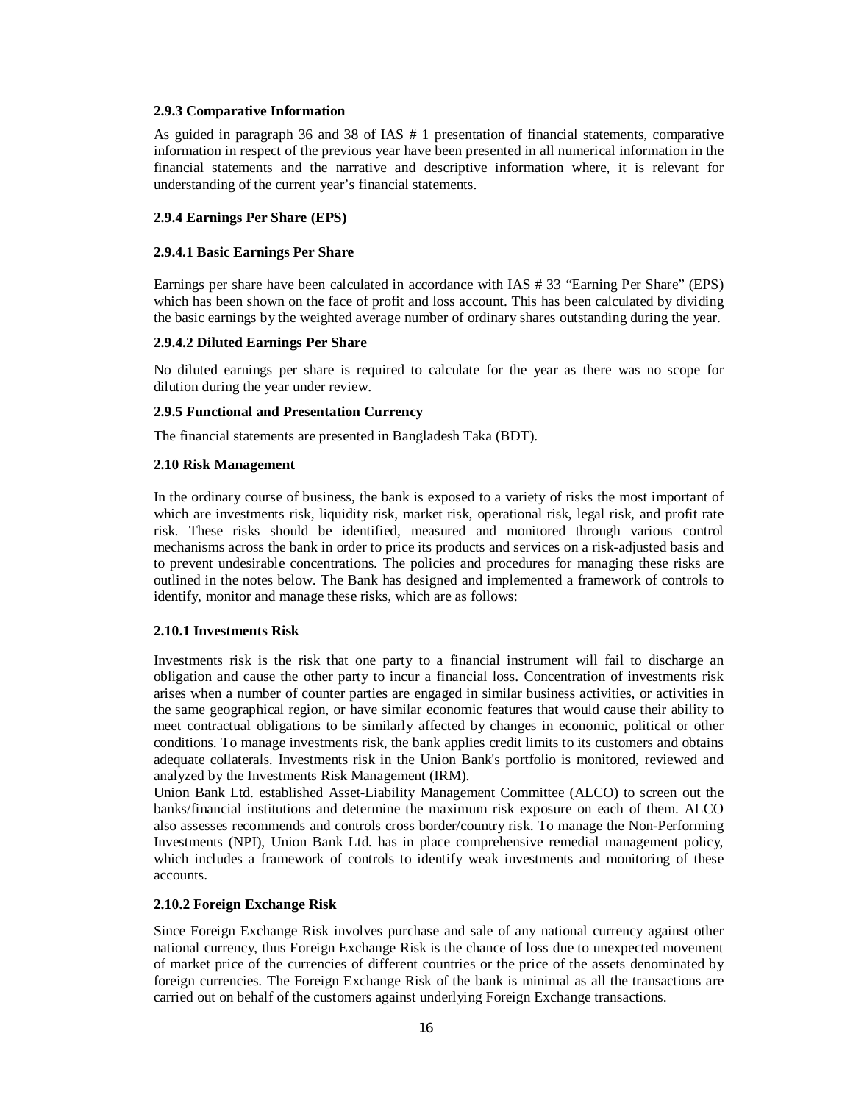## **2.9.3 Comparative Information**

As guided in paragraph 36 and 38 of IAS # 1 presentation of financial statements, comparative information in respect of the previous year have been presented in all numerical information in the financial statements and the narrative and descriptive information where, it is relevant for understanding of the current year's financial statements.

# **2.9.4 Earnings Per Share (EPS)**

## **2.9.4.1 Basic Earnings Per Share**

Earnings per share have been calculated in accordance with IAS # 33 "Earning Per Share" (EPS) which has been shown on the face of profit and loss account. This has been calculated by dividing the basic earnings by the weighted average number of ordinary shares outstanding during the year.

## **2.9.4.2 Diluted Earnings Per Share**

No diluted earnings per share is required to calculate for the year as there was no scope for dilution during the year under review.

### **2.9.5 Functional and Presentation Currency**

The financial statements are presented in Bangladesh Taka (BDT).

## **2.10 Risk Management**

In the ordinary course of business, the bank is exposed to a variety of risks the most important of which are investments risk, liquidity risk, market risk, operational risk, legal risk, and profit rate risk. These risks should be identified, measured and monitored through various control mechanisms across the bank in order to price its products and services on a risk-adjusted basis and to prevent undesirable concentrations. The policies and procedures for managing these risks are outlined in the notes below. The Bank has designed and implemented a framework of controls to identify, monitor and manage these risks, which are as follows:

### **2.10.1 Investments Risk**

Investments risk is the risk that one party to a financial instrument will fail to discharge an obligation and cause the other party to incur a financial loss. Concentration of investments risk arises when a number of counter parties are engaged in similar business activities, or activities in the same geographical region, or have similar economic features that would cause their ability to meet contractual obligations to be similarly affected by changes in economic, political or other conditions. To manage investments risk, the bank applies credit limits to its customers and obtains adequate collaterals. Investments risk in the Union Bank's portfolio is monitored, reviewed and analyzed by the Investments Risk Management (IRM).

Union Bank Ltd. established Asset-Liability Management Committee (ALCO) to screen out the banks/financial institutions and determine the maximum risk exposure on each of them. ALCO also assesses recommends and controls cross border/country risk. To manage the Non-Performing Investments (NPI), Union Bank Ltd. has in place comprehensive remedial management policy, which includes a framework of controls to identify weak investments and monitoring of these accounts.

# **2.10.2 Foreign Exchange Risk**

Since Foreign Exchange Risk involves purchase and sale of any national currency against other national currency, thus Foreign Exchange Risk is the chance of loss due to unexpected movement of market price of the currencies of different countries or the price of the assets denominated by foreign currencies. The Foreign Exchange Risk of the bank is minimal as all the transactions are carried out on behalf of the customers against underlying Foreign Exchange transactions.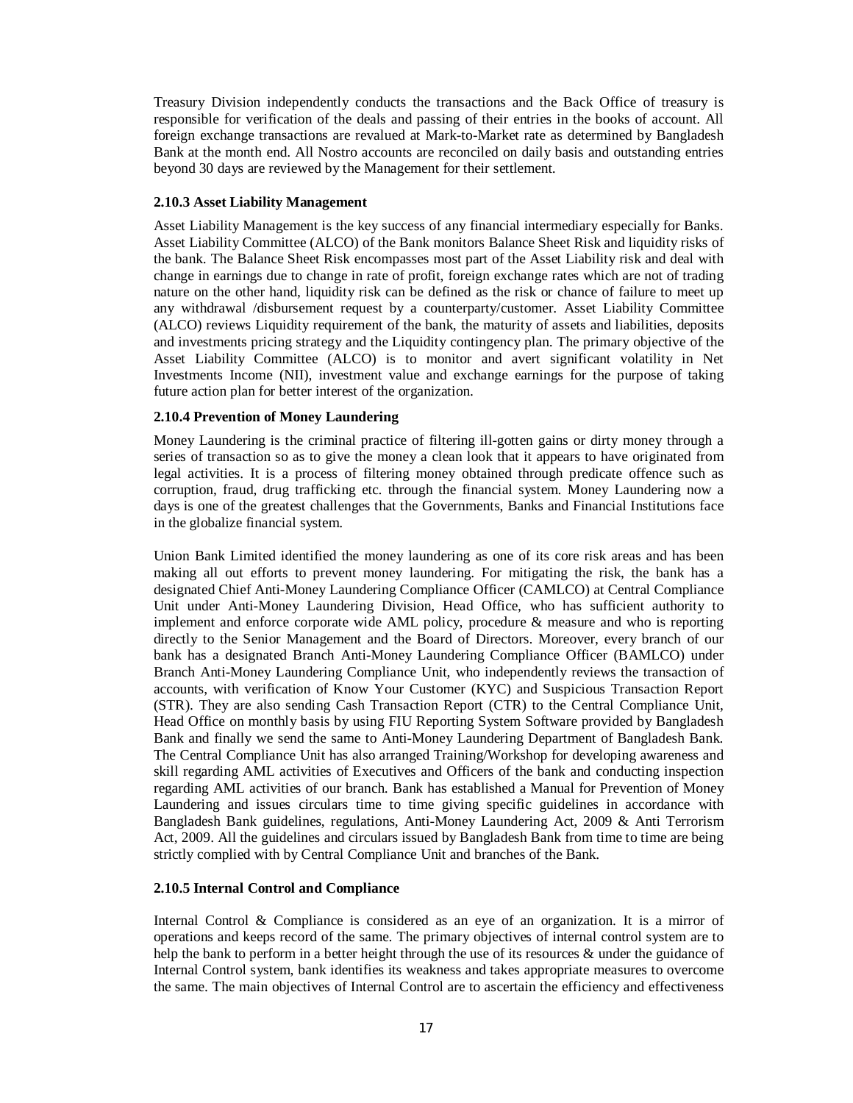Treasury Division independently conducts the transactions and the Back Office of treasury is responsible for verification of the deals and passing of their entries in the books of account. All foreign exchange transactions are revalued at Mark-to-Market rate as determined by Bangladesh Bank at the month end. All Nostro accounts are reconciled on daily basis and outstanding entries beyond 30 days are reviewed by the Management for their settlement.

# **2.10.3 Asset Liability Management**

Asset Liability Management is the key success of any financial intermediary especially for Banks. Asset Liability Committee (ALCO) of the Bank monitors Balance Sheet Risk and liquidity risks of the bank. The Balance Sheet Risk encompasses most part of the Asset Liability risk and deal with change in earnings due to change in rate of profit, foreign exchange rates which are not of trading nature on the other hand, liquidity risk can be defined as the risk or chance of failure to meet up any withdrawal /disbursement request by a counterparty/customer. Asset Liability Committee (ALCO) reviews Liquidity requirement of the bank, the maturity of assets and liabilities, deposits and investments pricing strategy and the Liquidity contingency plan. The primary objective of the Asset Liability Committee (ALCO) is to monitor and avert significant volatility in Net Investments Income (NII), investment value and exchange earnings for the purpose of taking future action plan for better interest of the organization.

## **2.10.4 Prevention of Money Laundering**

Money Laundering is the criminal practice of filtering ill-gotten gains or dirty money through a series of transaction so as to give the money a clean look that it appears to have originated from legal activities. It is a process of filtering money obtained through predicate offence such as corruption, fraud, drug trafficking etc. through the financial system. Money Laundering now a days is one of the greatest challenges that the Governments, Banks and Financial Institutions face in the globalize financial system.

Union Bank Limited identified the money laundering as one of its core risk areas and has been making all out efforts to prevent money laundering. For mitigating the risk, the bank has a designated Chief Anti-Money Laundering Compliance Officer (CAMLCO) at Central Compliance Unit under Anti-Money Laundering Division, Head Office, who has sufficient authority to implement and enforce corporate wide AML policy, procedure & measure and who is reporting directly to the Senior Management and the Board of Directors. Moreover, every branch of our bank has a designated Branch Anti-Money Laundering Compliance Officer (BAMLCO) under Branch Anti-Money Laundering Compliance Unit, who independently reviews the transaction of accounts, with verification of Know Your Customer (KYC) and Suspicious Transaction Report (STR). They are also sending Cash Transaction Report (CTR) to the Central Compliance Unit, Head Office on monthly basis by using FIU Reporting System Software provided by Bangladesh Bank and finally we send the same to Anti-Money Laundering Department of Bangladesh Bank. The Central Compliance Unit has also arranged Training/Workshop for developing awareness and skill regarding AML activities of Executives and Officers of the bank and conducting inspection regarding AML activities of our branch. Bank has established a Manual for Prevention of Money Laundering and issues circulars time to time giving specific guidelines in accordance with Bangladesh Bank guidelines, regulations, Anti-Money Laundering Act, 2009 & Anti Terrorism Act, 2009. All the guidelines and circulars issued by Bangladesh Bank from time to time are being strictly complied with by Central Compliance Unit and branches of the Bank.

## **2.10.5 Internal Control and Compliance**

Internal Control & Compliance is considered as an eye of an organization. It is a mirror of operations and keeps record of the same. The primary objectives of internal control system are to help the bank to perform in a better height through the use of its resources & under the guidance of Internal Control system, bank identifies its weakness and takes appropriate measures to overcome the same. The main objectives of Internal Control are to ascertain the efficiency and effectiveness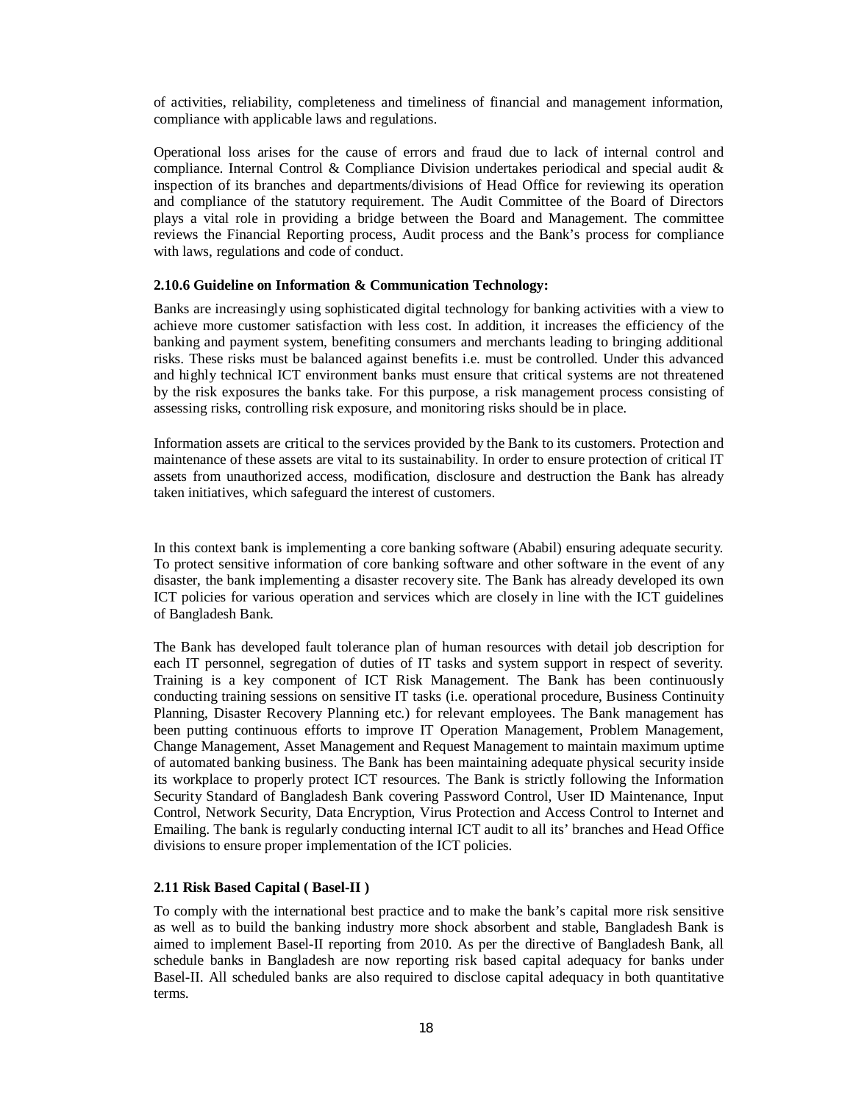of activities, reliability, completeness and timeliness of financial and management information, compliance with applicable laws and regulations.

Operational loss arises for the cause of errors and fraud due to lack of internal control and compliance. Internal Control & Compliance Division undertakes periodical and special audit & inspection of its branches and departments/divisions of Head Office for reviewing its operation and compliance of the statutory requirement. The Audit Committee of the Board of Directors plays a vital role in providing a bridge between the Board and Management. The committee reviews the Financial Reporting process, Audit process and the Bank's process for compliance with laws, regulations and code of conduct.

### **2.10.6 Guideline on Information & Communication Technology:**

Banks are increasingly using sophisticated digital technology for banking activities with a view to achieve more customer satisfaction with less cost. In addition, it increases the efficiency of the banking and payment system, benefiting consumers and merchants leading to bringing additional risks. These risks must be balanced against benefits i.e. must be controlled. Under this advanced and highly technical ICT environment banks must ensure that critical systems are not threatened by the risk exposures the banks take. For this purpose, a risk management process consisting of assessing risks, controlling risk exposure, and monitoring risks should be in place.

Information assets are critical to the services provided by the Bank to its customers. Protection and maintenance of these assets are vital to its sustainability. In order to ensure protection of critical IT assets from unauthorized access, modification, disclosure and destruction the Bank has already taken initiatives, which safeguard the interest of customers.

In this context bank is implementing a core banking software (Ababil) ensuring adequate security. To protect sensitive information of core banking software and other software in the event of any disaster, the bank implementing a disaster recovery site. The Bank has already developed its own ICT policies for various operation and services which are closely in line with the ICT guidelines of Bangladesh Bank.

The Bank has developed fault tolerance plan of human resources with detail job description for each IT personnel, segregation of duties of IT tasks and system support in respect of severity. Training is a key component of ICT Risk Management. The Bank has been continuously conducting training sessions on sensitive IT tasks (i.e. operational procedure, Business Continuity Planning, Disaster Recovery Planning etc.) for relevant employees. The Bank management has been putting continuous efforts to improve IT Operation Management, Problem Management, Change Management, Asset Management and Request Management to maintain maximum uptime of automated banking business. The Bank has been maintaining adequate physical security inside its workplace to properly protect ICT resources. The Bank is strictly following the Information Security Standard of Bangladesh Bank covering Password Control, User ID Maintenance, Input Control, Network Security, Data Encryption, Virus Protection and Access Control to Internet and Emailing. The bank is regularly conducting internal ICT audit to all its' branches and Head Office divisions to ensure proper implementation of the ICT policies.

## **2.11 Risk Based Capital ( Basel-II )**

To comply with the international best practice and to make the bank's capital more risk sensitive as well as to build the banking industry more shock absorbent and stable, Bangladesh Bank is aimed to implement Basel-II reporting from 2010. As per the directive of Bangladesh Bank, all schedule banks in Bangladesh are now reporting risk based capital adequacy for banks under Basel-II. All scheduled banks are also required to disclose capital adequacy in both quantitative terms.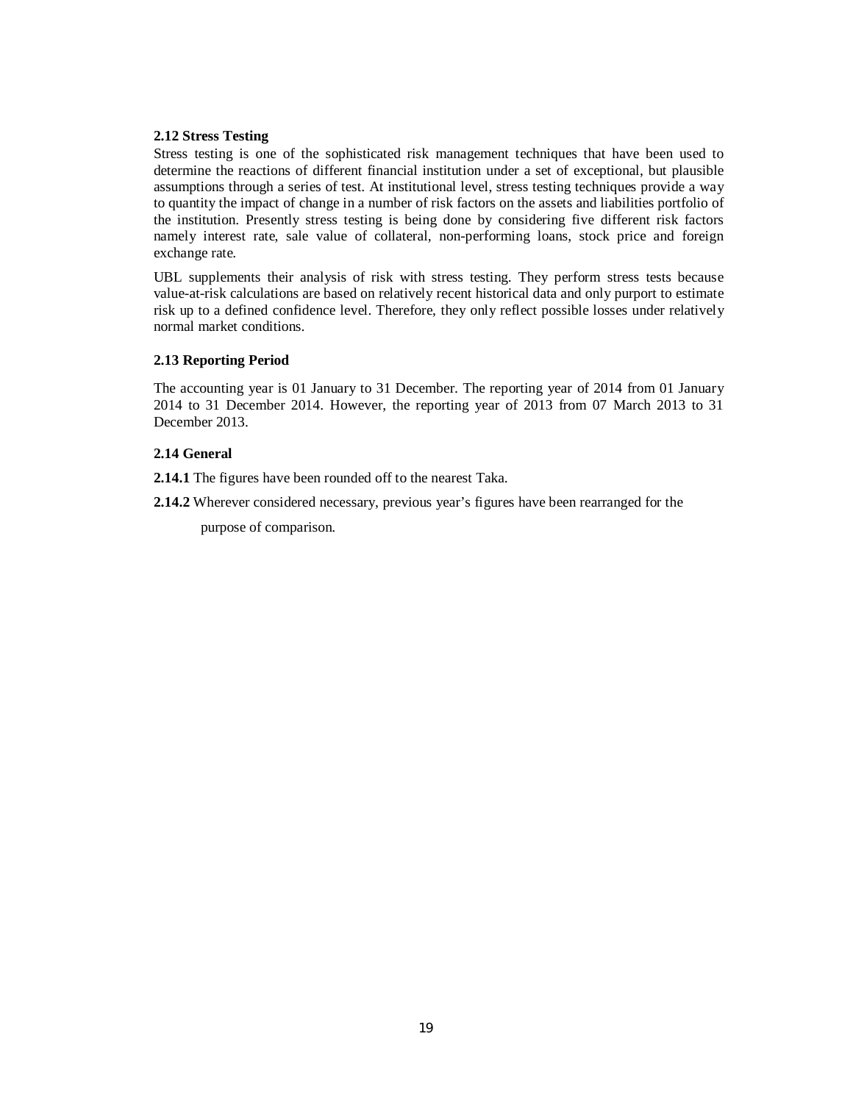## **2.12 Stress Testing**

Stress testing is one of the sophisticated risk management techniques that have been used to determine the reactions of different financial institution under a set of exceptional, but plausible assumptions through a series of test. At institutional level, stress testing techniques provide a way to quantity the impact of change in a number of risk factors on the assets and liabilities portfolio of the institution. Presently stress testing is being done by considering five different risk factors namely interest rate, sale value of collateral, non-performing loans, stock price and foreign exchange rate.

UBL supplements their analysis of risk with stress testing. They perform stress tests because value-at-risk calculations are based on relatively recent historical data and only purport to estimate risk up to a defined confidence level. Therefore, they only reflect possible losses under relatively normal market conditions.

## **2.13 Reporting Period**

The accounting year is 01 January to 31 December. The reporting year of 2014 from 01 January 2014 to 31 December 2014. However, the reporting year of 2013 from 07 March 2013 to 31 December 2013.

# **2.14 General**

**2.14.1** The figures have been rounded off to the nearest Taka.

**2.14.2** Wherever considered necessary, previous year's figures have been rearranged for the

purpose of comparison.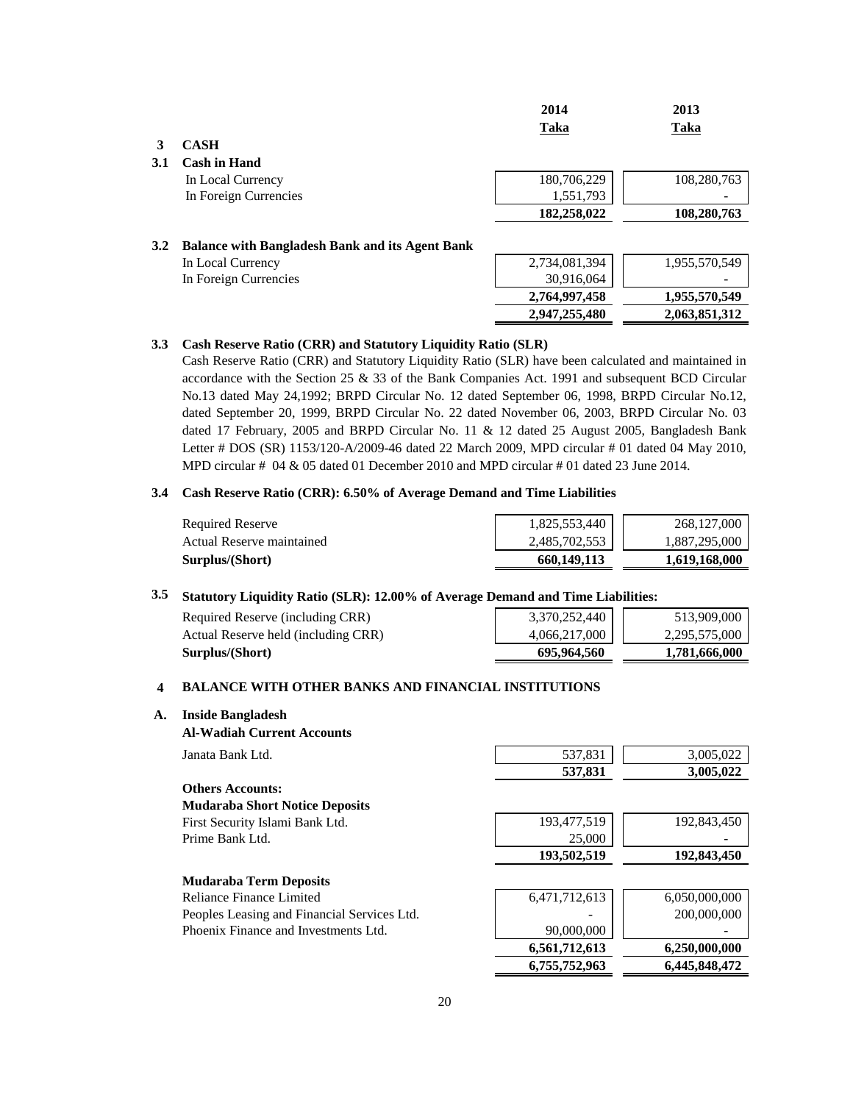|     |                                                        | 2014<br>Taka  | 2013<br>Taka  |
|-----|--------------------------------------------------------|---------------|---------------|
| 3   | <b>CASH</b>                                            |               |               |
| 3.1 | <b>Cash in Hand</b>                                    |               |               |
|     | In Local Currency                                      | 180,706,229   | 108,280,763   |
|     | In Foreign Currencies                                  | 1,551,793     |               |
|     |                                                        | 182,258,022   | 108,280,763   |
| 3.2 | <b>Balance with Bangladesh Bank and its Agent Bank</b> |               |               |
|     | In Local Currency                                      | 2,734,081,394 | 1,955,570,549 |
|     | In Foreign Currencies                                  | 30,916,064    |               |
|     |                                                        | 2,764,997,458 | 1,955,570,549 |
|     |                                                        | 2,947,255,480 | 2,063,851,312 |

### **3.3 Cash Reserve Ratio (CRR) and Statutory Liquidity Ratio (SLR)**

Cash Reserve Ratio (CRR) and Statutory Liquidity Ratio (SLR) have been calculated and maintained in accordance with the Section 25 & 33 of the Bank Companies Act. 1991 and subsequent BCD Circular No.13 dated May 24,1992; BRPD Circular No. 12 dated September 06, 1998, BRPD Circular No.12, dated September 20, 1999, BRPD Circular No. 22 dated November 06, 2003, BRPD Circular No. 03 dated 17 February, 2005 and BRPD Circular No. 11 & 12 dated 25 August 2005, Bangladesh Bank Letter # DOS (SR) 1153/120-A/2009-46 dated 22 March 2009, MPD circular # 01 dated 04 May 2010, MPD circular # 04 & 05 dated 01 December 2010 and MPD circular # 01 dated 23 June 2014.

### **3.4 Cash Reserve Ratio (CRR): 6.50% of Average Demand and Time Liabilities**

| <b>Required Reserve</b>   | 1,825,553,440 | 268,127,000   |
|---------------------------|---------------|---------------|
| Actual Reserve maintained | 2,485,702,553 | 1,887,295,000 |
| Surplus/(Short)           | 660.149.113   | 1,619,168,000 |

## **3.5 Statutory Liquidity Ratio (SLR): 12.00% of Average Demand and Time Liabilities:**

| Required Reserve (including CRR)<br>Actual Reserve held (including CRR) |
|-------------------------------------------------------------------------|
| Surplus/(Short)                                                         |

| Statutory Liquidity Ratio (SLR): 12.00% of Average Demand and Time Liabilities: |               |               |  |
|---------------------------------------------------------------------------------|---------------|---------------|--|
| Required Reserve (including CRR)                                                | 3,370,252,440 | 513,909,000   |  |
| Actual Reserve held (including CRR)                                             | 4,066,217,000 | 2.295.575.000 |  |
| Surplus/(Short)                                                                 | 695,964,560   | 1.781.666.000 |  |

### **4 BALANCE WITH OTHER BANKS AND FINANCIAL INSTITUTIONS**

## **A. Inside Bangladesh**

**Al-Wadiah Current Accounts**

| Janata Bank Ltd.        | 537.831 | 3.005.022 |
|-------------------------|---------|-----------|
|                         | 537,831 | 3.005.022 |
| <b>Others Accounts:</b> |         |           |

**Mudaraba Term Deposits** 

| <b>Mudaraba Short Notice Deposits</b> |
|---------------------------------------|
| First Security Islami Bank Ltd.       |
| Prime Bank Ltd.                       |

First Security Islami Bank Ltd. 193,477,519 192,843,450 Prime Bank Ltd. 25,000 - 25,000 - 25,000 - 25,000 - 25,000 - 25,000 - 25,000 - 25,000 - 25,000 - 25,000 - 25,000 - 25,000 - 25,000 - 25,000 - 25,000 - 25,000 - 25,000 - 25,000 - 25,000 - 25,000 - 25,000 - 25,000 - 25,000 - **193,502,519 192,843,450**

| <b>Extractive Loring Deposits</b>           |               |               |
|---------------------------------------------|---------------|---------------|
| Reliance Finance Limited                    | 6,471,712,613 | 6,050,000,000 |
| Peoples Leasing and Financial Services Ltd. | -             | 200,000,000   |
| Phoenix Finance and Investments Ltd.        | 90,000,000    |               |
|                                             | 6,561,712,613 | 6.250.000.000 |
|                                             | 6,755,752,963 | 6.445.848.472 |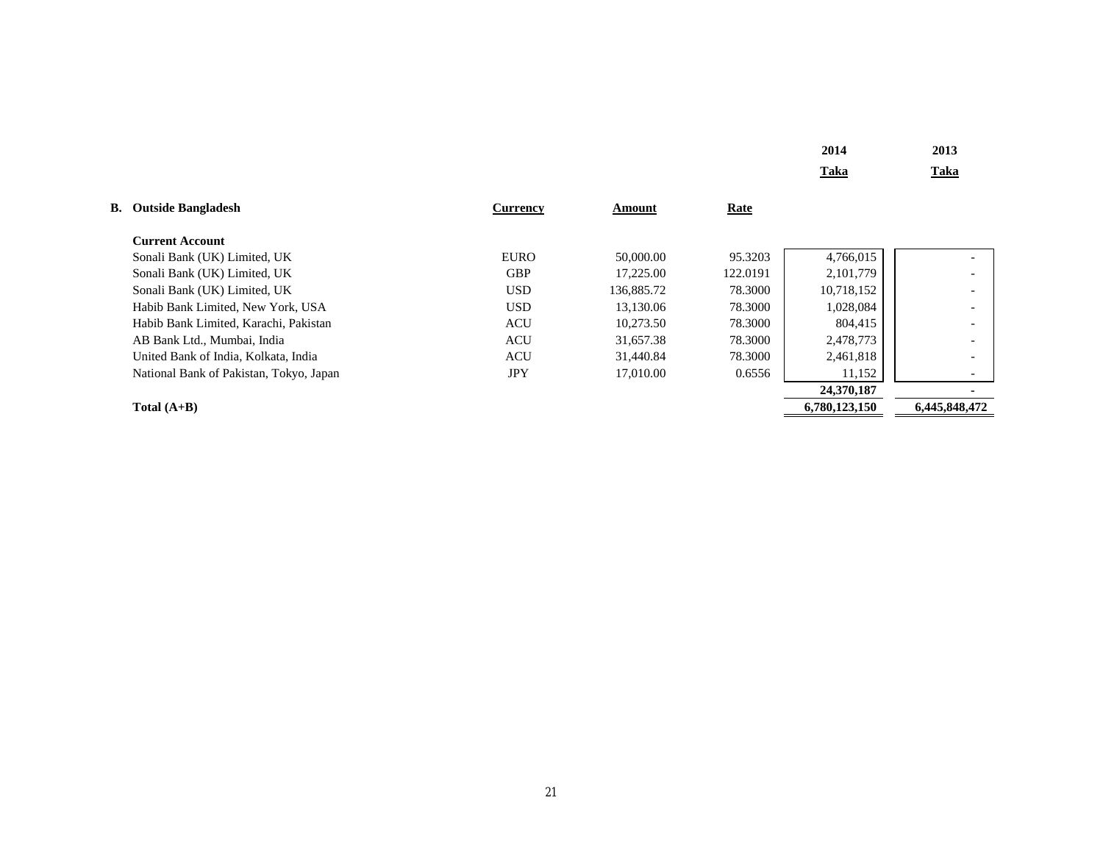| 2014 | 2013 |
|------|------|
| Taka | Taka |

| <b>B.</b> Outside Bangladesh            | Currency    | Amount     | Rate     |               |                          |
|-----------------------------------------|-------------|------------|----------|---------------|--------------------------|
| <b>Current Account</b>                  |             |            |          |               |                          |
| Sonali Bank (UK) Limited, UK            | <b>EURO</b> | 50,000.00  | 95.3203  | 4,766,015     |                          |
| Sonali Bank (UK) Limited, UK            | <b>GBP</b>  | 17.225.00  | 122.0191 | 2,101,779     |                          |
| Sonali Bank (UK) Limited, UK            | USD         | 136,885.72 | 78.3000  | 10,718,152    |                          |
| Habib Bank Limited. New York. USA       | USD         | 13.130.06  | 78.3000  | 1,028,084     | $\qquad \qquad$          |
| Habib Bank Limited, Karachi, Pakistan   | <b>ACU</b>  | 10.273.50  | 78.3000  | 804,415       | $\overline{\phantom{a}}$ |
| AB Bank Ltd., Mumbai, India             | <b>ACU</b>  | 31,657.38  | 78.3000  | 2,478,773     |                          |
| United Bank of India, Kolkata, India    | <b>ACU</b>  | 31.440.84  | 78.3000  | 2,461,818     |                          |
| National Bank of Pakistan, Tokyo, Japan | <b>JPY</b>  | 17,010.00  | 0.6556   | 11,152        |                          |
|                                         |             |            |          | 24,370,187    |                          |
| Total $(A+B)$                           |             |            |          | 6,780,123,150 | 6,445,848,472            |

21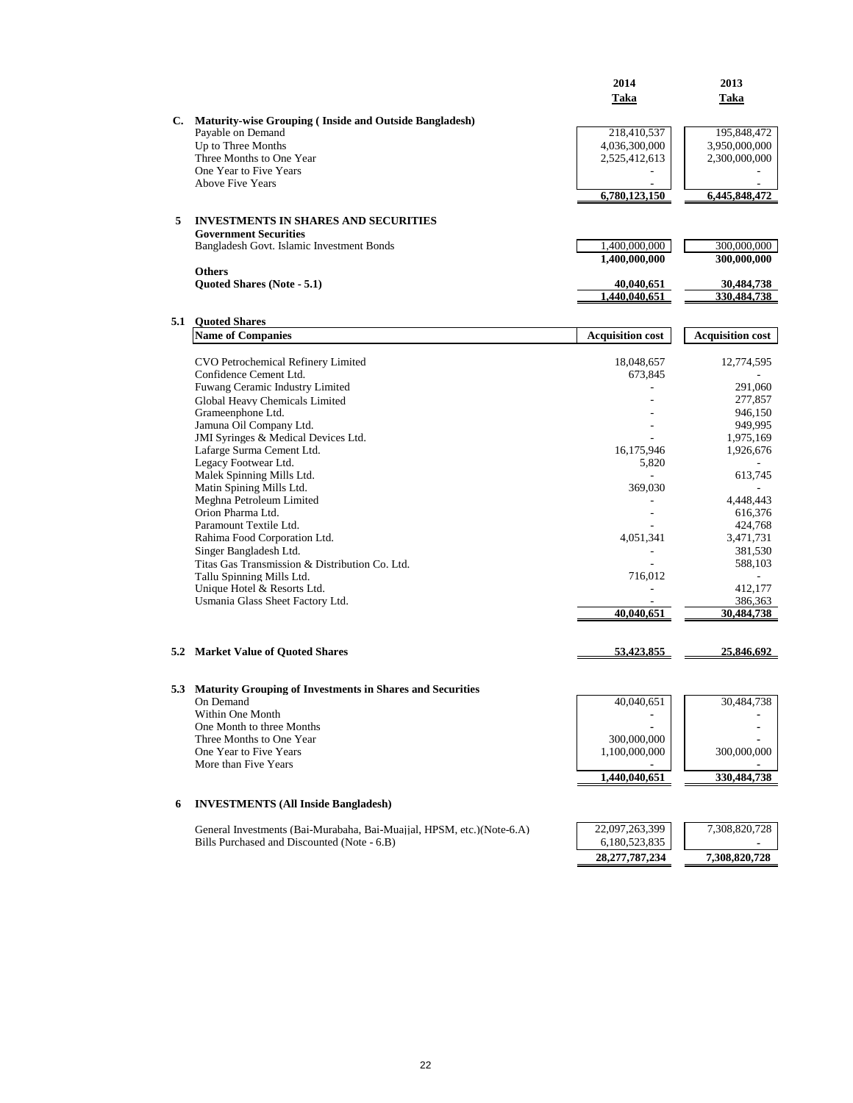|   |                                                                                | 2014                        | 2013                      |
|---|--------------------------------------------------------------------------------|-----------------------------|---------------------------|
|   |                                                                                | Taka                        | Taka                      |
|   |                                                                                |                             |                           |
|   | C. Maturity-wise Grouping (Inside and Outside Bangladesh)<br>Payable on Demand | 218,410,537                 | 195,848,472               |
|   | Up to Three Months                                                             | 4,036,300,000               | 3,950,000,000             |
|   | Three Months to One Year                                                       | 2,525,412,613               | 2,300,000,000             |
|   | One Year to Five Years                                                         |                             |                           |
|   | Above Five Years                                                               |                             |                           |
|   |                                                                                | 6,780,123,150               | 6,445,848,472             |
| 5 | <b>INVESTMENTS IN SHARES AND SECURITIES</b>                                    |                             |                           |
|   | <b>Government Securities</b>                                                   |                             |                           |
|   | Bangladesh Govt. Islamic Investment Bonds                                      | 1,400,000,000               | 300,000,000               |
|   |                                                                                | 1,400,000,000               | 300,000,000               |
|   | <b>Others</b>                                                                  |                             |                           |
|   | Quoted Shares (Note - 5.1)                                                     | 40,040,651<br>1.440.040.651 | 30,484,738<br>330,484,738 |
|   |                                                                                |                             |                           |
|   | 5.1 Quoted Shares                                                              |                             |                           |
|   | <b>Name of Companies</b>                                                       | <b>Acquisition cost</b>     | <b>Acquisition cost</b>   |
|   |                                                                                |                             |                           |
|   | CVO Petrochemical Refinery Limited                                             | 18,048,657                  | 12,774,595                |
|   | Confidence Cement Ltd.                                                         | 673,845<br>÷.               |                           |
|   | Fuwang Ceramic Industry Limited<br>Global Heavy Chemicals Limited              |                             | 291,060<br>277,857        |
|   | Grameenphone Ltd.                                                              |                             | 946,150                   |
|   | Jamuna Oil Company Ltd.                                                        | $\overline{a}$              | 949,995                   |
|   | JMI Syringes & Medical Devices Ltd.                                            |                             | 1.975.169                 |
|   | Lafarge Surma Cement Ltd.                                                      | 16,175,946                  | 1,926,676                 |
|   | Legacy Footwear Ltd.                                                           | 5.820                       |                           |
|   | Malek Spinning Mills Ltd.                                                      |                             | 613,745                   |
|   | Matin Spining Mills Ltd.<br>Meghna Petroleum Limited                           | 369,030<br>$\overline{a}$   | 4,448,443                 |
|   | Orion Pharma Ltd.                                                              | $\overline{\phantom{a}}$    | 616,376                   |
|   | Paramount Textile Ltd.                                                         |                             | 424,768                   |
|   | Rahima Food Corporation Ltd.                                                   | 4,051,341                   | 3,471,731                 |
|   | Singer Bangladesh Ltd.                                                         | $\overline{a}$              | 381,530                   |
|   | Titas Gas Transmission & Distribution Co. Ltd.                                 |                             | 588,103                   |
|   | Tallu Spinning Mills Ltd.                                                      | 716,012                     | $\sim$                    |
|   | Unique Hotel & Resorts Ltd.                                                    |                             | 412,177                   |
|   | Usmania Glass Sheet Factory Ltd.                                               | 40,040,651                  | 386,363<br>30,484,738     |
|   |                                                                                |                             |                           |
|   |                                                                                |                             |                           |
|   | <b>5.2 Market Value of Quoted Shares</b>                                       | 53,423,855                  | 25,846,692                |
|   |                                                                                |                             |                           |
|   | 5.3 Maturity Grouping of Investments in Shares and Securities                  |                             |                           |
|   | On Demand                                                                      | 40,040,651                  | 30,484,738                |
|   | Within One Month                                                               |                             |                           |
|   | One Month to three Months                                                      |                             |                           |
|   | Three Months to One Year                                                       | 300,000,000                 |                           |
|   | One Year to Five Years                                                         | 1,100,000,000               | 300,000,000               |
|   | More than Five Years                                                           |                             |                           |
|   |                                                                                | 1,440,040,651               | 330,484,738               |
| 6 | <b>INVESTMENTS (All Inside Bangladesh)</b>                                     |                             |                           |
|   | General Investments (Bai-Murabaha, Bai-Muajjal, HPSM, etc.) (Note-6.A)         | 22,097,263,399              | 7,308,820,728             |
|   | Bills Purchased and Discounted (Note - 6.B)                                    | 6,180,523,835               |                           |
|   |                                                                                | 28, 277, 787, 234           | 7,308,820,728             |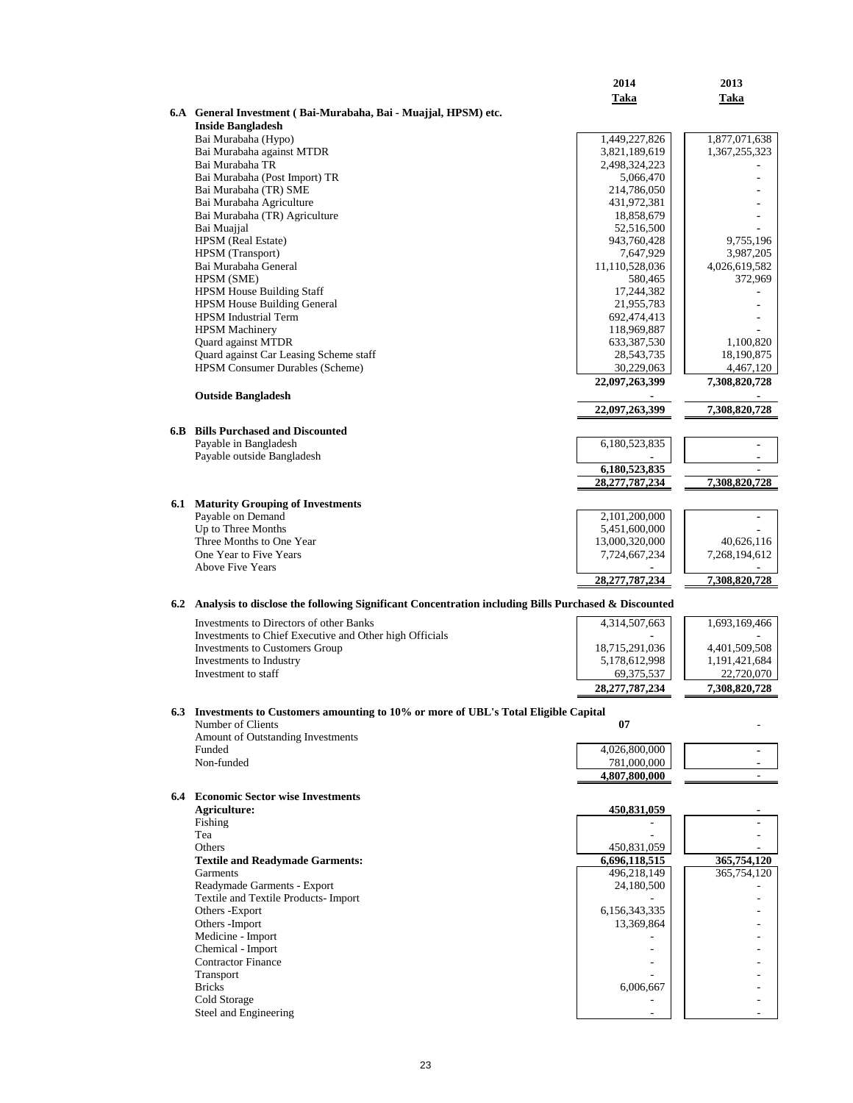|                                                                                                         | 2014                         | 2013                    |
|---------------------------------------------------------------------------------------------------------|------------------------------|-------------------------|
|                                                                                                         | Taka                         | Taka                    |
| 6.A General Investment (Bai-Murabaha, Bai - Muajjal, HPSM) etc.                                         |                              |                         |
| <b>Inside Bangladesh</b><br>Bai Murabaha (Hypo)                                                         | 1,449,227,826                | 1,877,071,638           |
| Bai Murabaha against MTDR                                                                               | 3,821,189,619                | 1,367,255,323           |
| Bai Murabaha TR                                                                                         | 2,498,324,223                |                         |
| Bai Murabaha (Post Import) TR                                                                           | 5,066,470                    |                         |
| Bai Murabaha (TR) SME                                                                                   | 214,786,050                  |                         |
| Bai Murabaha Agriculture<br>Bai Murabaha (TR) Agriculture                                               | 431,972,381<br>18,858,679    |                         |
| Bai Muajjal                                                                                             | 52,516,500                   |                         |
| HPSM (Real Estate)                                                                                      | 943,760,428                  | 9,755,196               |
| HPSM (Transport)                                                                                        | 7,647,929                    | 3,987,205               |
| Bai Murabaha General                                                                                    | 11,110,528,036               | 4,026,619,582           |
| HPSM (SME)<br><b>HPSM House Building Staff</b>                                                          | 580,465<br>17,244,382        | 372,969                 |
| <b>HPSM House Building General</b>                                                                      | 21,955,783                   |                         |
| <b>HPSM</b> Industrial Term                                                                             | 692,474,413                  |                         |
| <b>HPSM Machinery</b>                                                                                   | 118,969,887                  |                         |
| Quard against MTDR                                                                                      | 633, 387, 530                | 1,100,820               |
| Quard against Car Leasing Scheme staff<br><b>HPSM Consumer Durables (Scheme)</b>                        | 28,543,735<br>30,229,063     | 18,190,875<br>4,467,120 |
|                                                                                                         | 22,097,263,399               | 7,308,820,728           |
| <b>Outside Bangladesh</b>                                                                               |                              |                         |
|                                                                                                         | 22,097,263,399               | 7,308,820,728           |
|                                                                                                         |                              |                         |
| <b>6.B</b> Bills Purchased and Discounted<br>Payable in Bangladesh                                      | 6,180,523,835                | $\blacksquare$          |
| Payable outside Bangladesh                                                                              |                              |                         |
|                                                                                                         | 6,180,523,835                |                         |
|                                                                                                         | 28, 277, 787, 234            | 7,308,820,728           |
| <b>6.1 Maturity Grouping of Investments</b>                                                             |                              |                         |
| Payable on Demand                                                                                       | 2,101,200,000                |                         |
| Up to Three Months                                                                                      | 5,451,600,000                |                         |
| Three Months to One Year                                                                                | 13,000,320,000               | 40,626,116              |
| One Year to Five Years<br><b>Above Five Years</b>                                                       | 7,724,667,234                | 7,268,194,612           |
|                                                                                                         | 28,277,787,234               | 7,308,820,728           |
|                                                                                                         |                              |                         |
| 6.2 Analysis to disclose the following Significant Concentration including Bills Purchased & Discounted |                              |                         |
| Investments to Directors of other Banks                                                                 | 4,314,507,663                | 1,693,169,466           |
| Investments to Chief Executive and Other high Officials<br><b>Investments to Customers Group</b>        | 18,715,291,036               | 4,401,509,508           |
| Investments to Industry                                                                                 | 5,178,612,998                | 1,191,421,684           |
| Investment to staff                                                                                     | 69,375,537                   | 22,720,070              |
|                                                                                                         | 28, 277, 787, 234            | 7,308,820,728           |
| 6.3 Investments to Customers amounting to 10% or more of UBL's Total Eligible Capital                   |                              |                         |
| Number of Clients                                                                                       | 07                           |                         |
| Amount of Outstanding Investments                                                                       |                              |                         |
| Funded                                                                                                  | 4,026,800,000                |                         |
| Non-funded                                                                                              | 781,000,000<br>4,807,800,000 | $\blacksquare$          |
|                                                                                                         |                              |                         |
| <b>6.4</b> Economic Sector wise Investments<br>Agriculture:                                             |                              |                         |
| Fishing                                                                                                 | 450,831,059                  |                         |
| Tea                                                                                                     |                              |                         |
| Others                                                                                                  | 450,831,059                  |                         |
| <b>Textile and Readymade Garments:</b>                                                                  | 6,696,118,515                | 365,754,120             |
| Garments                                                                                                | 496,218,149                  | 365,754,120             |
| Readymade Garments - Export<br>Textile and Textile Products- Import                                     | 24,180,500                   |                         |
| Others -Export                                                                                          | 6,156,343,335                |                         |
| Others - Import                                                                                         | 13,369,864                   |                         |
| Medicine - Import                                                                                       |                              |                         |
| Chemical - Import<br><b>Contractor Finance</b>                                                          | $\overline{a}$               |                         |
| Transport                                                                                               |                              |                         |
| <b>Bricks</b>                                                                                           | 6,006,667                    |                         |
| Cold Storage                                                                                            |                              |                         |
| Steel and Engineering                                                                                   |                              |                         |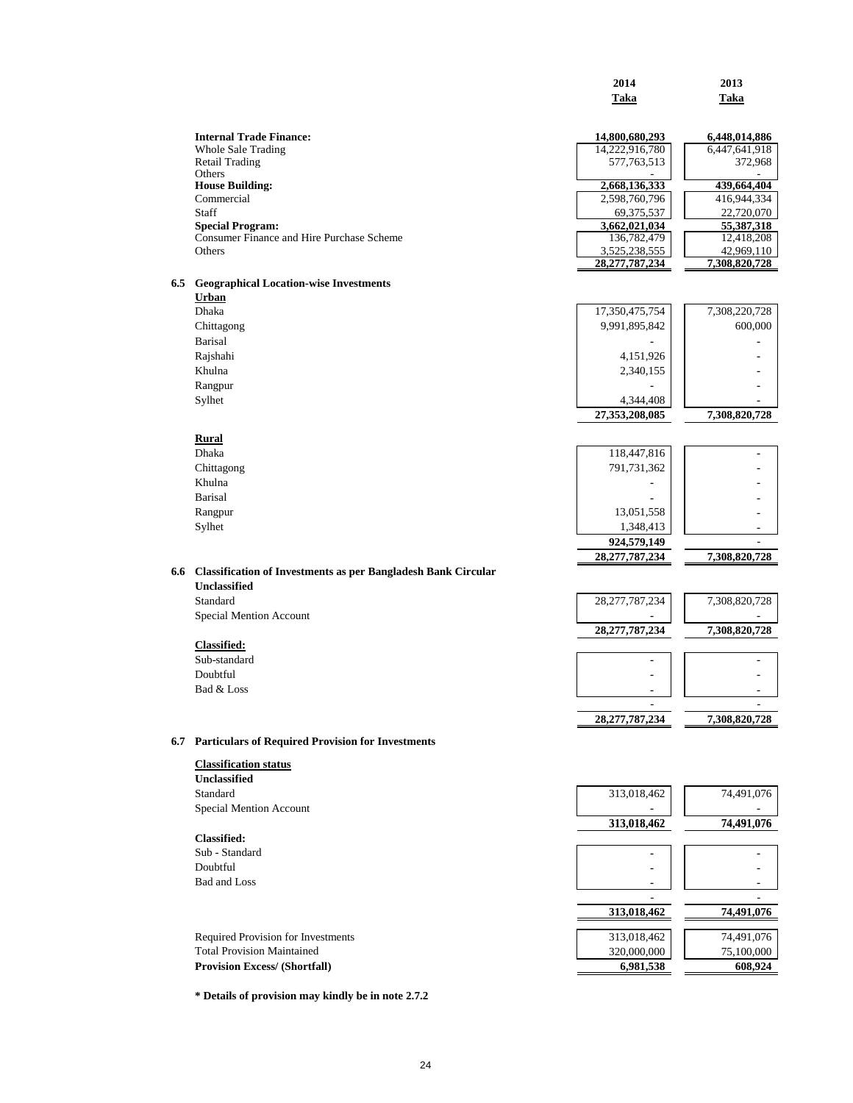|     |                                                                      | 2014                               | 2013                           |
|-----|----------------------------------------------------------------------|------------------------------------|--------------------------------|
|     |                                                                      | Taka                               | Taka                           |
|     |                                                                      |                                    |                                |
|     | <b>Internal Trade Finance:</b><br><b>Whole Sale Trading</b>          | 14,800,680,293<br>14,222,916,780   | 6,448,014,886<br>6,447,641,918 |
|     | <b>Retail Trading</b>                                                | 577,763,513                        | 372,968                        |
|     | Others                                                               |                                    |                                |
|     | <b>House Building:</b>                                               | 2,668,136,333                      | 439,664,404                    |
|     | Commercial                                                           | 2,598,760,796                      | 416,944,334                    |
|     | Staff                                                                | 69,375,537                         | 22,720,070                     |
|     | <b>Special Program:</b><br>Consumer Finance and Hire Purchase Scheme | 3,662,021,034                      | 55,387,318                     |
|     | Others                                                               | 136,782,479                        | 12,418,208                     |
|     |                                                                      | 3,525,238,555<br>28, 277, 787, 234 | 42,969,110<br>7,308,820,728    |
| 6.5 | <b>Geographical Location-wise Investments</b>                        |                                    |                                |
|     | Urban                                                                |                                    |                                |
|     | <b>Dhaka</b>                                                         | 17,350,475,754                     | 7,308,220,728                  |
|     | Chittagong                                                           | 9,991,895,842                      | 600,000                        |
|     | <b>Barisal</b>                                                       |                                    |                                |
|     | Rajshahi                                                             | 4,151,926                          |                                |
|     | Khulna                                                               | 2,340,155                          |                                |
|     | Rangpur                                                              |                                    |                                |
|     | Sylhet                                                               | 4,344,408                          |                                |
|     |                                                                      | 27,353,208,085                     | 7,308,820,728                  |
|     |                                                                      |                                    |                                |
|     | Rural                                                                |                                    |                                |
|     | <b>Dhaka</b>                                                         | 118,447,816                        |                                |
|     | Chittagong                                                           | 791,731,362                        |                                |
|     | Khulna                                                               |                                    |                                |
|     | Barisal                                                              |                                    |                                |
|     | Rangpur                                                              | 13,051,558                         |                                |
|     | Sylhet                                                               | 1,348,413                          |                                |
|     |                                                                      | 924,579,149                        | ٠                              |
|     |                                                                      | 28, 277, 787, 234                  | 7,308,820,728                  |
| 6.6 | <b>Classification of Investments as per Bangladesh Bank Circular</b> |                                    |                                |
|     | <b>Unclassified</b>                                                  |                                    |                                |
|     | Standard                                                             | 28, 277, 787, 234                  | 7,308,820,728                  |
|     | Special Mention Account                                              |                                    |                                |
|     |                                                                      | 28, 277, 787, 234                  | 7,308,820,728                  |
|     | <b>Classified:</b>                                                   |                                    |                                |
|     | Sub-standard                                                         |                                    |                                |
|     | Doubtful                                                             |                                    |                                |
|     | Bad & Loss                                                           | $\blacksquare$                     |                                |
|     |                                                                      |                                    |                                |
|     |                                                                      | 28,277,787,234                     | 7,308,820,728                  |
|     | 6.7 Particulars of Required Provision for Investments                |                                    |                                |
|     | <b>Classification status</b>                                         |                                    |                                |
|     | Unclassified                                                         |                                    |                                |
|     | Standard                                                             | 313,018,462                        | 74,491,076                     |
|     | Special Mention Account                                              |                                    |                                |
|     |                                                                      | 313,018,462                        | 74,491,076                     |
|     | <b>Classified:</b>                                                   |                                    |                                |
|     | Sub - Standard                                                       |                                    |                                |
|     | Doubtful                                                             |                                    |                                |
|     |                                                                      |                                    |                                |
|     | <b>Bad and Loss</b>                                                  |                                    |                                |
|     |                                                                      |                                    |                                |
|     |                                                                      | 313,018,462                        | 74,491,076                     |
|     | Required Provision for Investments                                   | 313,018,462                        | 74,491,076                     |
|     | <b>Total Provision Maintained</b>                                    | 320,000,000                        | 75,100,000                     |
|     | <b>Provision Excess/ (Shortfall)</b>                                 | 6,981,538                          | 608,924                        |
|     |                                                                      |                                    |                                |

**\* Details of provision may kindly be in note 2.7.2**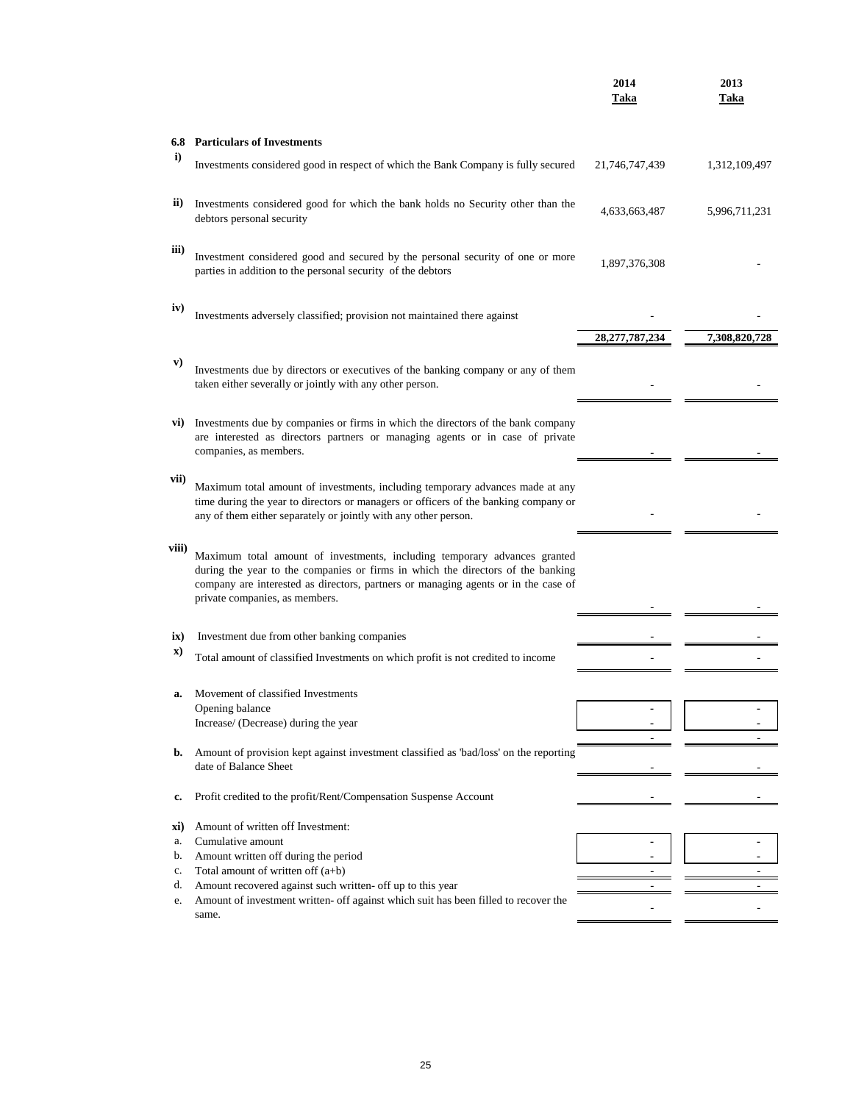|           |                                                                                                                                                                                                                                                                                      | 2014<br>Taka      | 2013<br>Taka  |
|-----------|--------------------------------------------------------------------------------------------------------------------------------------------------------------------------------------------------------------------------------------------------------------------------------------|-------------------|---------------|
|           | <b>6.8 Particulars of Investments</b>                                                                                                                                                                                                                                                |                   |               |
| i)        | Investments considered good in respect of which the Bank Company is fully secured                                                                                                                                                                                                    | 21,746,747,439    | 1,312,109,497 |
| ii)       | Investments considered good for which the bank holds no Security other than the<br>debtors personal security                                                                                                                                                                         | 4,633,663,487     | 5,996,711,231 |
| iii)      | Investment considered good and secured by the personal security of one or more<br>parties in addition to the personal security of the debtors                                                                                                                                        | 1,897,376,308     |               |
| iv)       | Investments adversely classified; provision not maintained there against                                                                                                                                                                                                             |                   |               |
|           |                                                                                                                                                                                                                                                                                      | 28, 277, 787, 234 | 7,308,820,728 |
| V)        | Investments due by directors or executives of the banking company or any of them<br>taken either severally or jointly with any other person.                                                                                                                                         |                   |               |
|           | vi) Investments due by companies or firms in which the directors of the bank company<br>are interested as directors partners or managing agents or in case of private<br>companies, as members.                                                                                      |                   |               |
| vii)      | Maximum total amount of investments, including temporary advances made at any<br>time during the year to directors or managers or officers of the banking company or<br>any of them either separately or jointly with any other person.                                              |                   |               |
| viii)     | Maximum total amount of investments, including temporary advances granted<br>during the year to the companies or firms in which the directors of the banking<br>company are interested as directors, partners or managing agents or in the case of<br>private companies, as members. |                   |               |
|           |                                                                                                                                                                                                                                                                                      |                   |               |
| ix)<br>X) | Investment due from other banking companies                                                                                                                                                                                                                                          |                   |               |
|           | Total amount of classified Investments on which profit is not credited to income                                                                                                                                                                                                     |                   |               |
|           | Movement of classified Investments                                                                                                                                                                                                                                                   |                   |               |
| a.        | Opening balance                                                                                                                                                                                                                                                                      |                   |               |
|           | Increase/ (Decrease) during the year                                                                                                                                                                                                                                                 |                   |               |
| b.        | Amount of provision kept against investment classified as 'bad/loss' on the reporting<br>date of Balance Sheet                                                                                                                                                                       | ٠                 |               |
|           |                                                                                                                                                                                                                                                                                      |                   |               |
| c.        | Profit credited to the profit/Rent/Compensation Suspense Account                                                                                                                                                                                                                     |                   |               |
| xi)       | Amount of written off Investment:                                                                                                                                                                                                                                                    |                   |               |
| a.        | Cumulative amount                                                                                                                                                                                                                                                                    |                   |               |
| b.        | Amount written off during the period                                                                                                                                                                                                                                                 |                   |               |
| c.<br>d.  | Total amount of written off $(a+b)$<br>Amount recovered against such written- off up to this year                                                                                                                                                                                    |                   |               |
| e.        | Amount of investment written- off against which suit has been filled to recover the                                                                                                                                                                                                  |                   |               |
|           | same.                                                                                                                                                                                                                                                                                |                   |               |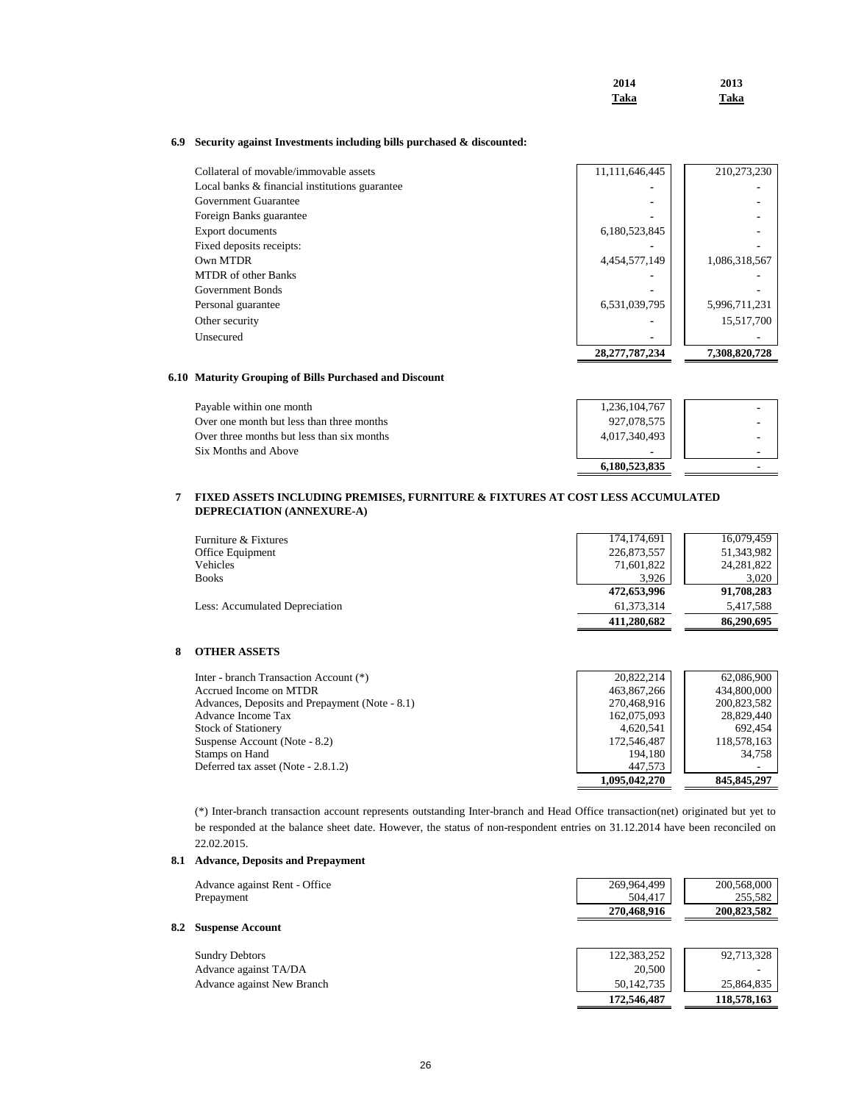| 2014 | 2013 |
|------|------|
| Taka | Taka |

 **172,546,487 118,578,163**

### **6.9 Security against Investments including bills purchased & discounted:**

|                | 15,517,700    |
|----------------|---------------|
| 6,531,039,795  | 5,996,711,231 |
|                |               |
|                |               |
| 4,454,577,149  | 1,086,318,567 |
|                |               |
| 6,180,523,845  |               |
|                |               |
|                |               |
|                |               |
| 11,111,646,445 | 210,273,230   |
|                |               |

### **6.10 Maturity Grouping of Bills Purchased and Discount**

| Payable within one month                   | 1,236,104,767 |  |
|--------------------------------------------|---------------|--|
| Over one month but less than three months  | 927,078,575   |  |
| Over three months but less than six months | 4,017,340,493 |  |
| Six Months and Above                       |               |  |
|                                            | 6.180.523.835 |  |

#### **7 FIXED ASSETS INCLUDING PREMISES, FURNITURE & FIXTURES AT COST LESS ACCUMULATED DEPRECIATION (ANNEXURE-A)**

| Furniture & Fixtures                  | 174, 174, 691 | 16,079,459   |
|---------------------------------------|---------------|--------------|
| Office Equipment                      | 226,873,557   | 51,343,982   |
| Vehicles                              | 71,601,822    | 24, 281, 822 |
| <b>Books</b>                          | 3.926         | 3,020        |
|                                       | 472,653,996   | 91,708,283   |
| <b>Less: Accumulated Depreciation</b> | 61.373.314    | 5,417,588    |
|                                       | 411.280.682   | 86,290,695   |

### **8 OTHER ASSETS**

| Inter - branch Transaction Account (*)         | 20.822.214    | 62,086,900    |
|------------------------------------------------|---------------|---------------|
| Accrued Income on MTDR                         | 463,867,266   | 434,800,000   |
| Advances, Deposits and Prepayment (Note - 8.1) | 270,468,916   | 200,823,582   |
| Advance Income Tax                             | 162,075,093   | 28,829,440    |
| <b>Stock of Stationery</b>                     | 4.620.541     | 692.454       |
| Suspense Account (Note - 8.2)                  | 172,546,487   | 118,578,163   |
| Stamps on Hand                                 | 194.180       | 34.758        |
| Deferred tax asset (Note - 2.8.1.2)            | 447.573       |               |
|                                                | 1,095,042,270 | 845, 845, 297 |

(\*) Inter-branch transaction account represents outstanding Inter-branch and Head Office transaction(net) originated but yet to be responded at the balance sheet date. However, the status of non-respondent entries on 31.12.2014 have been reconciled on 22.02.2015.

### **8.1 Advance, Deposits and Prepayment**

**8.2** 

| Advance against Rent - Office<br>Prepayment | 269,964,499<br>504.417 | 200,568,000<br>255,582 |
|---------------------------------------------|------------------------|------------------------|
|                                             | 270,468,916            | 200,823,582            |
| <b>Suspense Account</b>                     |                        |                        |
| <b>Sundry Debtors</b>                       | 122,383,252            | 92,713,328             |
| Advance against TA/DA                       | 20,500                 |                        |
| Advance against New Branch                  | 50,142,735             | 25,864,835             |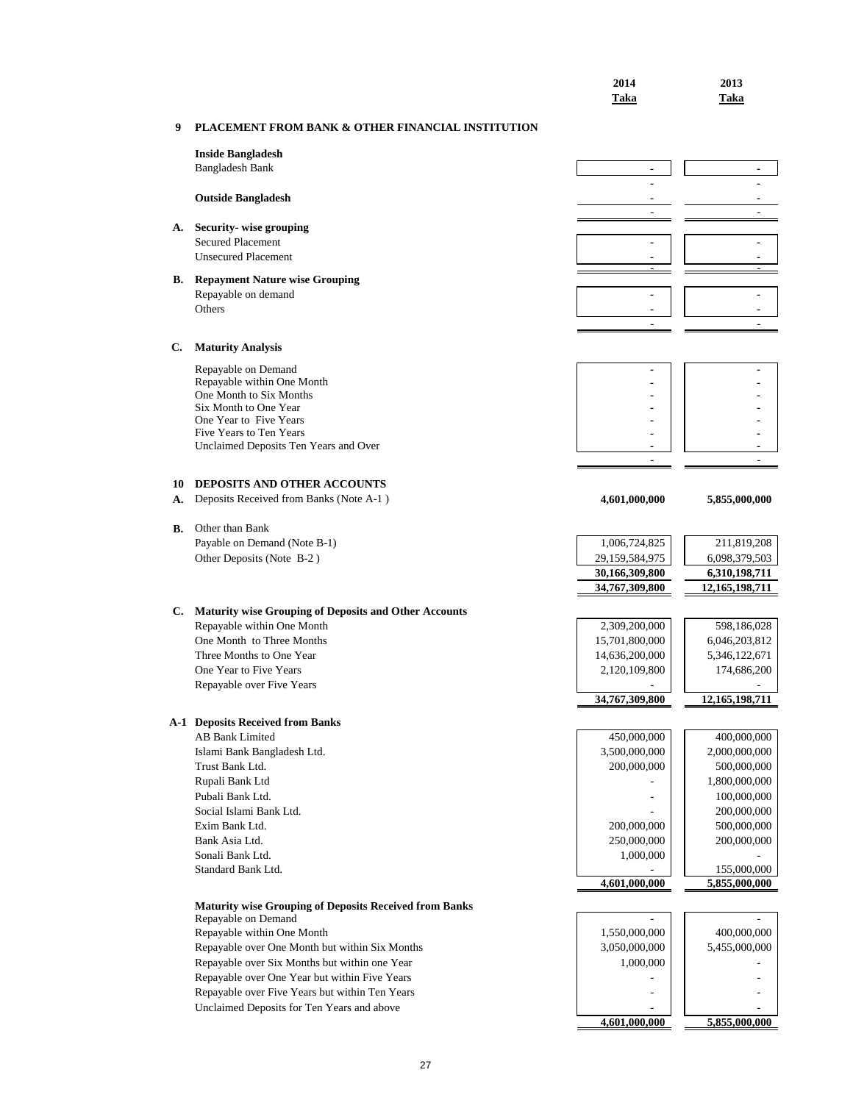|    |                                                                                                 | 2014<br>Taka                     | 2013<br>Taka                   |
|----|-------------------------------------------------------------------------------------------------|----------------------------------|--------------------------------|
| 9  | <b>PLACEMENT FROM BANK &amp; OTHER FINANCIAL INSTITUTION</b>                                    |                                  |                                |
|    | <b>Inside Bangladesh</b>                                                                        |                                  |                                |
|    | <b>Bangladesh Bank</b>                                                                          | $\qquad \qquad \blacksquare$     | $\qquad \qquad \blacksquare$   |
|    | <b>Outside Bangladesh</b>                                                                       |                                  |                                |
|    |                                                                                                 | $\overline{a}$                   |                                |
| А. | Security-wise grouping<br><b>Secured Placement</b>                                              |                                  |                                |
|    | <b>Unsecured Placement</b>                                                                      |                                  |                                |
|    |                                                                                                 |                                  |                                |
| В. | <b>Repayment Nature wise Grouping</b><br>Repayable on demand                                    | $\blacksquare$                   | $\blacksquare$                 |
|    | Others                                                                                          |                                  |                                |
|    |                                                                                                 | $\overline{a}$                   |                                |
| C. | <b>Maturity Analysis</b>                                                                        |                                  |                                |
|    | Repayable on Demand                                                                             |                                  |                                |
|    | Repayable within One Month                                                                      |                                  |                                |
|    | One Month to Six Months<br>Six Month to One Year                                                |                                  |                                |
|    | One Year to Five Years                                                                          |                                  |                                |
|    | Five Years to Ten Years<br>Unclaimed Deposits Ten Years and Over                                |                                  |                                |
|    |                                                                                                 |                                  |                                |
| 10 | <b>DEPOSITS AND OTHER ACCOUNTS</b>                                                              |                                  |                                |
| А. | Deposits Received from Banks (Note A-1)                                                         | 4,601,000,000                    | 5,855,000,000                  |
|    |                                                                                                 |                                  |                                |
| В. | Other than Bank<br>Payable on Demand (Note B-1)                                                 | 1,006,724,825                    | 211,819,208                    |
|    | Other Deposits (Note B-2)                                                                       | 29,159,584,975                   | 6,098,379,503                  |
|    |                                                                                                 | 30,166,309,800                   | 6,310,198,711                  |
|    |                                                                                                 | 34,767,309,800                   | 12,165,198,711                 |
| C. | Maturity wise Grouping of Deposits and Other Accounts                                           |                                  |                                |
|    | Repayable within One Month                                                                      | 2,309,200,000                    | 598,186,028                    |
|    | One Month to Three Months<br>Three Months to One Year                                           | 15,701,800,000<br>14,636,200,000 | 6,046,203,812<br>5,346,122,671 |
|    | One Year to Five Years                                                                          | 2,120,109,800                    | 174,686,200                    |
|    | Repayable over Five Years                                                                       |                                  |                                |
|    |                                                                                                 | 34,767,309,800                   | 12,165,198,711                 |
|    | <b>A-1 Deposits Received from Banks</b>                                                         |                                  |                                |
|    | <b>AB Bank Limited</b>                                                                          | 450,000,000                      | 400,000,000                    |
|    | Islami Bank Bangladesh Ltd.<br>Trust Bank Ltd.                                                  | 3,500,000,000<br>200,000,000     | 2,000,000,000<br>500,000,000   |
|    | Rupali Bank Ltd                                                                                 |                                  | 1,800,000,000                  |
|    | Pubali Bank Ltd.                                                                                |                                  | 100,000,000                    |
|    | Social Islami Bank Ltd.<br>Exim Bank Ltd.                                                       | 200,000,000                      | 200,000,000                    |
|    | Bank Asia Ltd.                                                                                  | 250,000,000                      | 500,000,000<br>200,000,000     |
|    | Sonali Bank Ltd.                                                                                | 1,000,000                        |                                |
|    | Standard Bank Ltd.                                                                              |                                  | 155,000,000                    |
|    |                                                                                                 | 4,601,000,000                    | 5,855,000,000                  |
|    | <b>Maturity wise Grouping of Deposits Received from Banks</b><br>Repayable on Demand            |                                  |                                |
|    | Repayable within One Month                                                                      | 1,550,000,000                    | 400,000,000                    |
|    | Repayable over One Month but within Six Months                                                  | 3,050,000,000                    | 5,455,000,000                  |
|    | Repayable over Six Months but within one Year                                                   | 1,000,000                        |                                |
|    | Repayable over One Year but within Five Years<br>Repayable over Five Years but within Ten Years | $\overline{a}$                   |                                |
|    | Unclaimed Deposits for Ten Years and above                                                      |                                  |                                |
|    |                                                                                                 | 4,601,000,000                    | 5,855,000,000                  |

## 27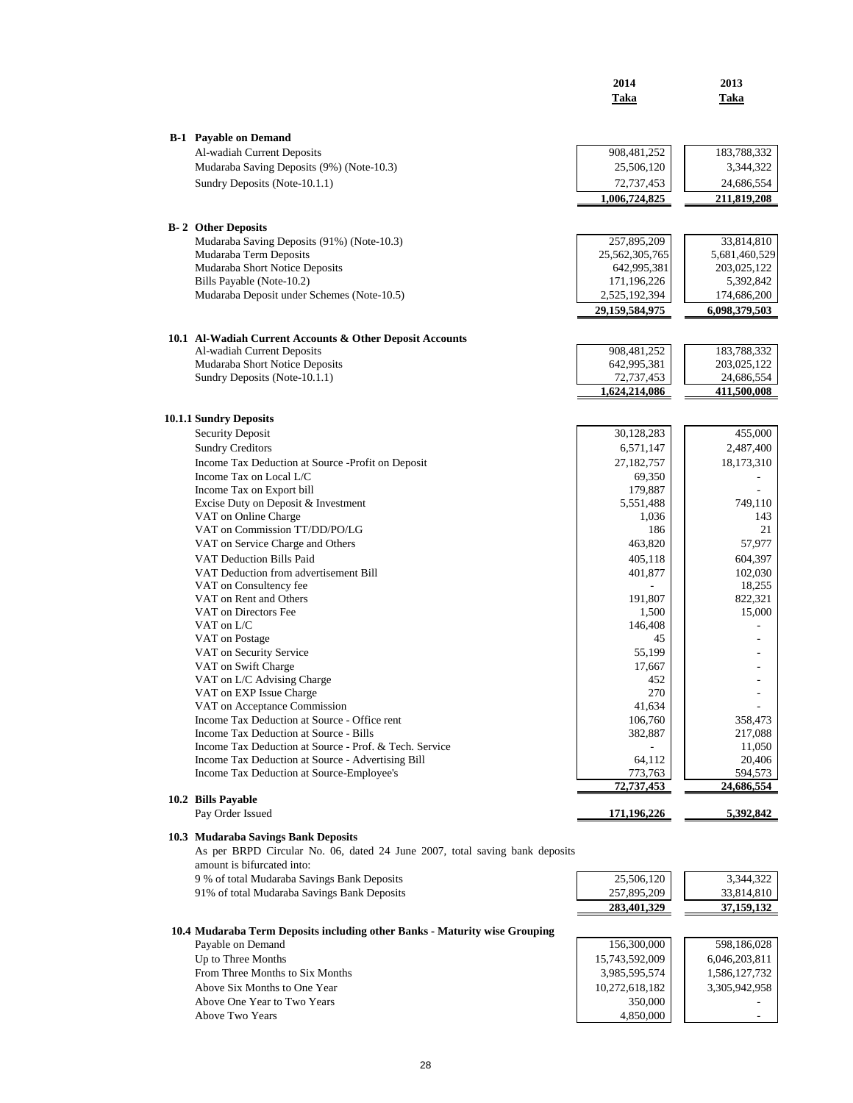|                                                                                                                    | 2014                         | 2013                       |
|--------------------------------------------------------------------------------------------------------------------|------------------------------|----------------------------|
|                                                                                                                    | Taka                         | Taka                       |
|                                                                                                                    |                              |                            |
| <b>B-1</b> Payable on Demand<br>Al-wadiah Current Deposits                                                         |                              |                            |
| Mudaraba Saving Deposits (9%) (Note-10.3)                                                                          | 908, 481, 252<br>25,506,120  | 183,788,332<br>3,344,322   |
| Sundry Deposits (Note-10.1.1)                                                                                      | 72,737,453                   | 24,686,554                 |
|                                                                                                                    | 1,006,724,825                | 211,819,208                |
|                                                                                                                    |                              |                            |
| <b>B-2</b> Other Deposits                                                                                          |                              |                            |
| Mudaraba Saving Deposits (91%) (Note-10.3)                                                                         | 257,895,209                  | 33,814,810                 |
| Mudaraba Term Deposits                                                                                             | 25,562,305,765               | 5,681,460,529              |
| Mudaraba Short Notice Deposits<br>Bills Payable (Note-10.2)                                                        | 642,995,381<br>171,196,226   | 203,025,122<br>5,392,842   |
| Mudaraba Deposit under Schemes (Note-10.5)                                                                         | 2,525,192,394                | 174,686,200                |
|                                                                                                                    | 29,159,584,975               | 6,098,379,503              |
|                                                                                                                    |                              |                            |
| 10.1 Al-Wadiah Current Accounts & Other Deposit Accounts<br>Al-wadiah Current Deposits                             |                              |                            |
| Mudaraba Short Notice Deposits                                                                                     | 908, 481, 252<br>642,995,381 | 183,788,332<br>203,025,122 |
| Sundry Deposits (Note-10.1.1)                                                                                      | 72,737,453                   | 24,686,554                 |
|                                                                                                                    | 1,624,214,086                | 411.500.008                |
| 10.1.1 Sundry Deposits                                                                                             |                              |                            |
| Security Deposit                                                                                                   | 30,128,283                   | 455,000                    |
| <b>Sundry Creditors</b>                                                                                            | 6,571,147                    | 2,487,400                  |
| Income Tax Deduction at Source -Profit on Deposit                                                                  | 27,182,757                   | 18,173,310                 |
| Income Tax on Local $L/C$                                                                                          | 69,350                       |                            |
| Income Tax on Export bill                                                                                          | 179,887                      |                            |
| Excise Duty on Deposit & Investment                                                                                | 5,551,488                    | 749,110                    |
| VAT on Online Charge                                                                                               | 1,036                        | 143                        |
| VAT on Commission TT/DD/PO/LG<br>VAT on Service Charge and Others                                                  | 186<br>463,820               | 21<br>57,977               |
| VAT Deduction Bills Paid                                                                                           | 405,118                      | 604,397                    |
| VAT Deduction from advertisement Bill                                                                              | 401,877                      | 102,030                    |
| VAT on Consultency fee                                                                                             |                              | 18,255                     |
| VAT on Rent and Others                                                                                             | 191,807                      | 822,321                    |
| VAT on Directors Fee                                                                                               | 1,500                        | 15,000                     |
| VAT on L/C                                                                                                         | 146,408                      |                            |
| VAT on Postage<br>VAT on Security Service                                                                          | 45                           |                            |
| VAT on Swift Charge                                                                                                | 55,199<br>17,667             |                            |
| VAT on L/C Advising Charge                                                                                         | 452                          |                            |
| VAT on EXP Issue Charge                                                                                            | 270                          | $\overline{\phantom{a}}$   |
| VAT on Acceptance Commission                                                                                       | 41,634                       |                            |
| Income Tax Deduction at Source - Office rent                                                                       | 106,760                      | 358,473                    |
| Income Tax Deduction at Source - Bills                                                                             | 382,887                      | 217,088                    |
| Income Tax Deduction at Source - Prof. & Tech. Service<br>Income Tax Deduction at Source - Advertising Bill        | 64,112                       | 11,050<br>20,406           |
| Income Tax Deduction at Source-Employee's                                                                          | 773,763                      | 594,573                    |
|                                                                                                                    | 72,737,453                   | 24,686,554                 |
| 10.2 Bills Payable<br>Pay Order Issued                                                                             | 171,196,226                  | 5,392,842                  |
|                                                                                                                    |                              |                            |
| 10.3 Mudaraba Savings Bank Deposits<br>As per BRPD Circular No. 06, dated 24 June 2007, total saving bank deposits |                              |                            |
| amount is bifurcated into:                                                                                         |                              |                            |
| 9 % of total Mudaraba Savings Bank Deposits                                                                        | 25,506,120                   | 3,344,322                  |
| 91% of total Mudaraba Savings Bank Deposits                                                                        | 257,895,209                  | 33,814,810                 |
|                                                                                                                    | 283,401,329                  | 37,159,132                 |
| 10.4 Mudaraba Term Deposits including other Banks - Maturity wise Grouping                                         |                              |                            |
| Payable on Demand                                                                                                  | 156,300,000                  | 598,186,028                |
| Up to Three Months                                                                                                 | 15,743,592,009               | 6,046,203,811              |
| From Three Months to Six Months                                                                                    | 3,985,595,574                | 1,586,127,732              |
| Above Six Months to One Year                                                                                       | 10,272,618,182               | 3,305,942,958              |
| Above One Year to Two Years                                                                                        | 350,000                      |                            |
| Above Two Years                                                                                                    | 4,850,000                    |                            |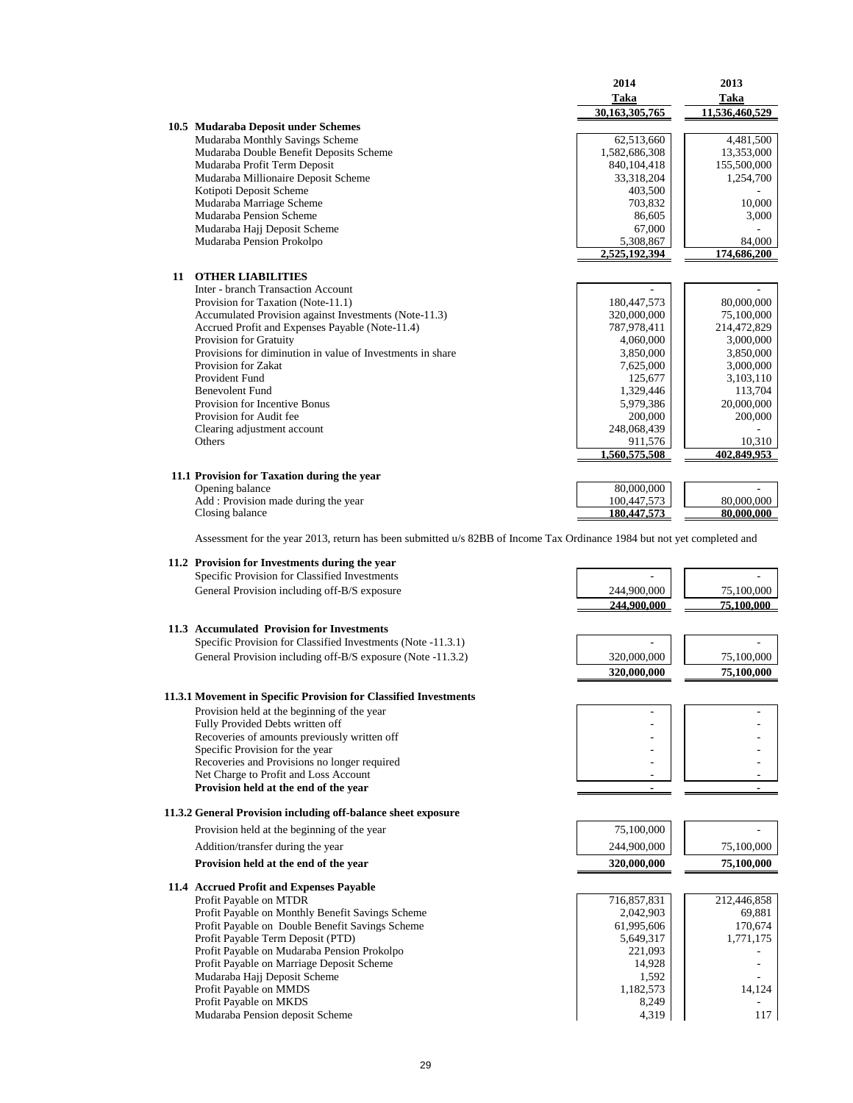|    |                                                                                                                         | 2014<br>Taka<br>30,163,305,765 | 2013<br>Taka<br>11,536,460,529 |
|----|-------------------------------------------------------------------------------------------------------------------------|--------------------------------|--------------------------------|
|    | 10.5 Mudaraba Deposit under Schemes                                                                                     |                                |                                |
|    | Mudaraba Monthly Savings Scheme                                                                                         | 62,513,660                     | 4,481,500                      |
|    | Mudaraba Double Benefit Deposits Scheme                                                                                 | 1,582,686,308                  | 13,353,000                     |
|    | Mudaraba Profit Term Deposit                                                                                            | 840, 104, 418                  | 155,500,000                    |
|    | Mudaraba Millionaire Deposit Scheme                                                                                     | 33,318,204                     | 1,254,700                      |
|    | Kotipoti Deposit Scheme                                                                                                 | 403,500                        |                                |
|    | Mudaraba Marriage Scheme                                                                                                | 703,832                        | 10,000                         |
|    | Mudaraba Pension Scheme                                                                                                 | 86.605                         | 3,000                          |
|    | Mudaraba Hajj Deposit Scheme                                                                                            | 67,000                         |                                |
|    | Mudaraba Pension Prokolpo                                                                                               | 5,308,867<br>2,525,192,394     | 84,000<br>174,686,200          |
|    |                                                                                                                         |                                |                                |
| 11 | <b>OTHER LIABILITIES</b>                                                                                                |                                |                                |
|    | Inter - branch Transaction Account                                                                                      |                                |                                |
|    | Provision for Taxation (Note-11.1)                                                                                      | 180,447,573                    | 80,000,000                     |
|    | Accumulated Provision against Investments (Note-11.3)                                                                   | 320,000,000                    | 75,100,000                     |
|    | Accrued Profit and Expenses Payable (Note-11.4)                                                                         | 787,978,411                    | 214,472,829                    |
|    | Provision for Gratuity<br>Provisions for diminution in value of Investments in share                                    | 4,060,000                      | 3,000,000                      |
|    | Provision for Zakat                                                                                                     | 3,850,000<br>7,625,000         | 3,850,000<br>3,000,000         |
|    | Provident Fund                                                                                                          | 125,677                        | 3,103,110                      |
|    | <b>Benevolent Fund</b>                                                                                                  | 1,329,446                      | 113,704                        |
|    | Provision for Incentive Bonus                                                                                           | 5,979,386                      | 20,000,000                     |
|    | Provision for Audit fee                                                                                                 | 200,000                        | 200,000                        |
|    | Clearing adjustment account                                                                                             | 248,068,439                    |                                |
|    | Others                                                                                                                  | 911,576                        | 10,310                         |
|    |                                                                                                                         | 1,560,575,508                  | 402,849,953                    |
|    | 11.1 Provision for Taxation during the year                                                                             |                                |                                |
|    | Opening balance                                                                                                         | 80,000,000                     |                                |
|    | Add : Provision made during the year                                                                                    | 100,447,573                    | 80,000,000                     |
|    | Closing balance                                                                                                         | 180,447,573                    | 80,000,000                     |
|    | Assessment for the year 2013, return has been submitted u/s 82BB of Income Tax Ordinance 1984 but not yet completed and |                                |                                |
|    | 11.2 Provision for Investments during the year                                                                          |                                |                                |
|    | Specific Provision for Classified Investments                                                                           | L.                             |                                |
|    | General Provision including off-B/S exposure                                                                            | 244,900,000                    | 75,100,000                     |
|    |                                                                                                                         | 244,900,000                    | 75.100.000                     |
|    |                                                                                                                         |                                |                                |
|    | 11.3 Accumulated Provision for Investments                                                                              |                                |                                |
|    | Specific Provision for Classified Investments (Note -11.3.1)                                                            |                                |                                |
|    | General Provision including off-B/S exposure (Note -11.3.2)                                                             | 320,000,000                    | 75,100,000                     |
|    |                                                                                                                         | 320,000,000                    | 75,100,000                     |
|    |                                                                                                                         |                                |                                |
|    | 11.3.1 Movement in Specific Provision for Classified Investments                                                        |                                |                                |
|    | Provision held at the beginning of the year                                                                             |                                |                                |
|    | Fully Provided Debts written off                                                                                        |                                |                                |
|    | Recoveries of amounts previously written off                                                                            |                                |                                |
|    | Specific Provision for the year<br>Recoveries and Provisions no longer required                                         |                                |                                |
|    | Net Charge to Profit and Loss Account                                                                                   |                                |                                |
|    | Provision held at the end of the year                                                                                   |                                |                                |
|    |                                                                                                                         |                                |                                |
|    | 11.3.2 General Provision including off-balance sheet exposure                                                           |                                |                                |
|    | Provision held at the beginning of the year                                                                             | 75,100,000                     |                                |

Addition/transfer during the year 244,900,000 75,100,000 75,100,000

**Provision held at the end of the year 320,000,000 75,100,000**

### **11.4 Accrued Profit and Expenses Payable**

Profit Payable on MTDR<br>
Profit Payable on Monthly Benefit Savings Scheme<br>
2,042,903<br>
69,881<br>
69,881 Profit Payable on Monthly Benefit Savings Scheme 2,042,903 69,881<br>Profit Payable on Double Benefit Savings Scheme 61,995,606 61,995,606 170,674 Profit Payable on Double Benefit Savings Scheme 61,995,606 170,674<br>Profit Payable Term Deposit (PTD) 5,649,317 1,771,175 Profit Payable Term Deposit (PTD) 5,649,317<br>Profit Payable on Mudaraba Pension Prokolpo 221,093 Profit Payable on Mudaraba Pension Prokolpo 221,093<br>
Profit Payable on Mudaraba Pension Prokolpo 221,093<br>
Profit Payable on Marriage Deposit Scheme 14.928 Profit Payable on Marriage Deposit Scheme 14,928<br>Mudaraba Hajj Deposit Scheme 1592 - 1592 Mudaraba Hajj Deposit Scheme 1,592 - 1,182,573 - 14,124 - 14,124 - 14,124 - 14,124 - 14,124 - 14,124 - 14,124 - 14,124 - 14,124 - 14,124 - 14,124 - 14,124 - 14,124 - 14,124 - 14,124 - 14,124 - 14,124 - 14,124 - 14,124 - 14 Profit Payable on MMDS 1,182,573<br>Profit Payable on MKDS 3,249 Profit Payable on MKDS 8,249 8,249 - 117 Mudaraba Pension deposit Scheme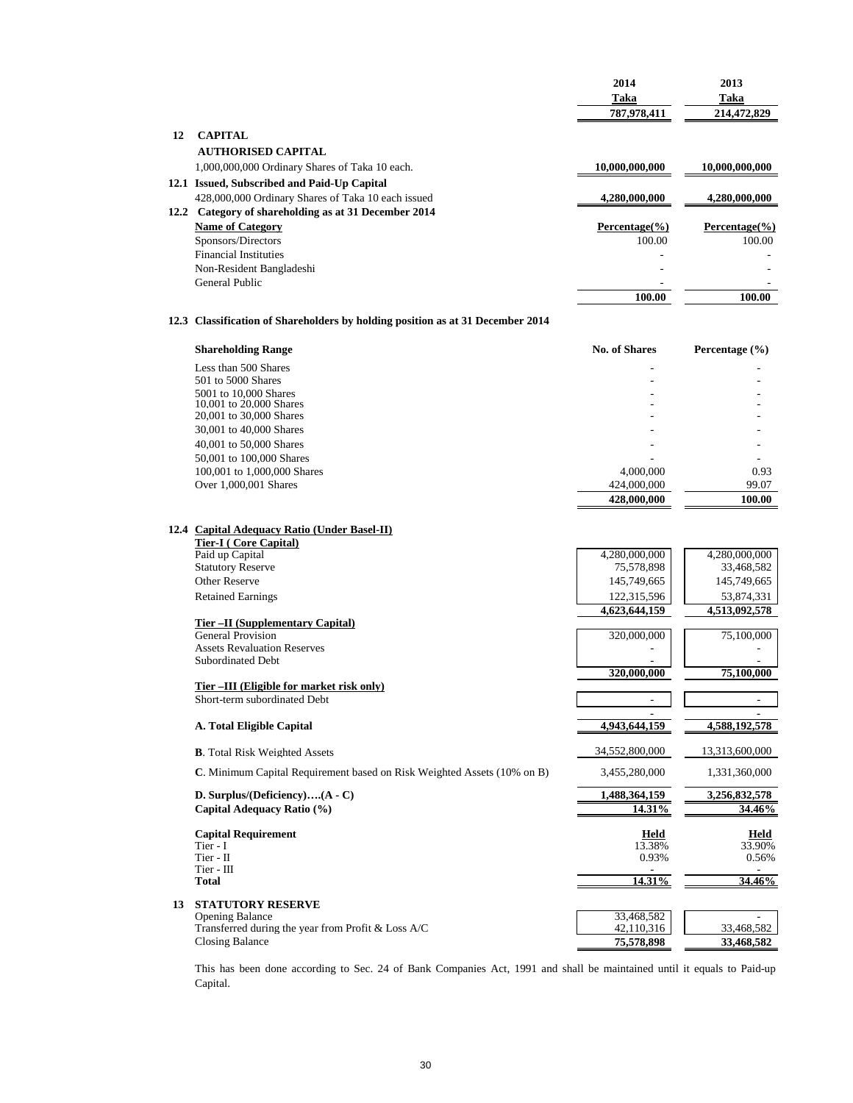|    |                                                                                 | 2014<br>Taka<br>787,978,411 | 2013<br>Taka<br>214,472,829       |
|----|---------------------------------------------------------------------------------|-----------------------------|-----------------------------------|
| 12 |                                                                                 |                             |                                   |
|    | <b>CAPITAL</b><br><b>AUTHORISED CAPITAL</b>                                     |                             |                                   |
|    | 1,000,000,000 Ordinary Shares of Taka 10 each.                                  | 10,000,000,000              | 10,000,000,000                    |
|    | 12.1 Issued, Subscribed and Paid-Up Capital                                     |                             |                                   |
|    | 428,000,000 Ordinary Shares of Taka 10 each issued                              | 4,280,000,000               | 4,280,000,000                     |
|    | 12.2 Category of shareholding as at 31 December 2014<br><b>Name of Category</b> | $Percentage^(%)$            | Percentage $(\% )$                |
|    | Sponsors/Directors                                                              | 100.00                      | 100.00                            |
|    | <b>Financial Instituties</b>                                                    |                             |                                   |
|    | Non-Resident Bangladeshi                                                        |                             |                                   |
|    | General Public                                                                  |                             |                                   |
|    |                                                                                 | 100.00                      | 100.00                            |
|    | 12.3 Classification of Shareholders by holding position as at 31 December 2014  |                             |                                   |
|    | <b>Shareholding Range</b>                                                       | <b>No. of Shares</b>        | Percentage $(\% )$                |
|    | Less than 500 Shares                                                            |                             |                                   |
|    | 501 to 5000 Shares<br>5001 to 10,000 Shares                                     |                             |                                   |
|    | 10.001 to 20.000 Shares                                                         |                             |                                   |
|    | 20,001 to 30,000 Shares                                                         |                             |                                   |
|    | 30,001 to 40,000 Shares                                                         |                             |                                   |
|    | 40,001 to 50,000 Shares                                                         |                             |                                   |
|    | 50,001 to 100,000 Shares<br>100,001 to 1,000,000 Shares                         | 4,000,000                   | 0.93                              |
|    | Over 1,000,001 Shares                                                           | 424,000,000                 | 99.07                             |
|    |                                                                                 | 428,000,000                 | 100.00                            |
|    | 12.4 Capital Adequacy Ratio (Under Basel-II)<br><b>Tier-I</b> (Core Capital)    |                             |                                   |
|    | Paid up Capital                                                                 | 4,280,000,000               | 4,280,000,000                     |
|    | <b>Statutory Reserve</b><br><b>Other Reserve</b>                                | 75,578,898<br>145,749,665   | 33,468,582<br>145,749,665         |
|    | <b>Retained Earnings</b>                                                        | 122,315,596                 | 53,874,331                        |
|    |                                                                                 | 4,623,644,159               | 4,513,092,578                     |
|    | Tier - II (Supplementary Capital)                                               |                             |                                   |
|    | <b>General Provision</b><br><b>Assets Revaluation Reserves</b>                  | 320,000,000                 | 75,100,000                        |
|    | <b>Subordinated Debt</b>                                                        |                             |                                   |
|    |                                                                                 | 320,000,000                 | 75,100,000                        |
|    | Tier-III (Eligible for market risk only)                                        |                             |                                   |
|    | Short-term subordinated Debt                                                    |                             |                                   |
|    | A. Total Eligible Capital                                                       | 4,943,644,159               | 4,588,192,578                     |
|    | <b>B.</b> Total Risk Weighted Assets                                            | 34,552,800,000              | 13,313,600,000                    |
|    | C. Minimum Capital Requirement based on Risk Weighted Assets (10% on B)         | 3,455,280,000               | 1,331,360,000                     |
|    | D. Surplus/(Deficiency) $(A - C)$                                               | 1,488,364,159               | 3,256,832,578                     |
|    | Capital Adequacy Ratio (%)                                                      | 14.31%                      | 34.46%                            |
|    | <b>Capital Requirement</b>                                                      | Held                        | Held                              |
|    | Tier - I                                                                        | 13.38%                      | 33.90%                            |
|    | Tier - II<br>Tier - III                                                         | 0.93%                       | 0.56%<br>$\overline{\phantom{a}}$ |
|    | <b>Total</b>                                                                    | 14.31%                      | 34.46%                            |
| 13 | <b>STATUTORY RESERVE</b>                                                        |                             |                                   |
|    | <b>Opening Balance</b>                                                          | 33,468,582                  |                                   |
|    | Transferred during the year from Profit & Loss A/C                              | 42,110,316                  | 33,468,582                        |
|    | <b>Closing Balance</b>                                                          | 75,578,898                  | 33,468,582                        |

This has been done according to Sec. 24 of Bank Companies Act, 1991 and shall be maintained until it equals to Paid-up Capital.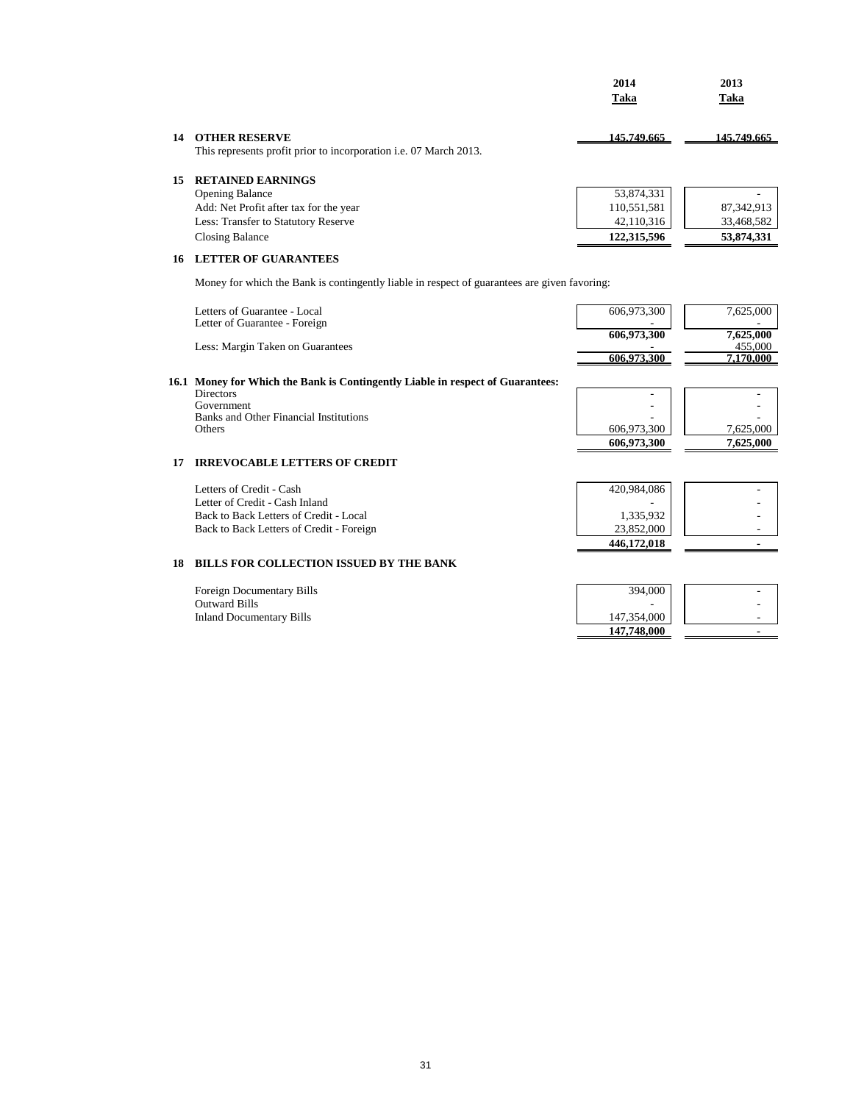|    |                                                                                                  | 2014<br>Taka | 2013<br>Taka |
|----|--------------------------------------------------------------------------------------------------|--------------|--------------|
| 14 | <b>OTHER RESERVE</b><br>This represents profit prior to incorporation <i>i.e.</i> 07 March 2013. | 145.749.665  | 145,749,665  |
| 15 | <b>RETAINED EARNINGS</b>                                                                         |              |              |
|    | <b>Opening Balance</b>                                                                           | 53,874,331   |              |
|    | Add: Net Profit after tax for the year                                                           | 110,551,581  | 87, 342, 913 |
|    | Less: Transfer to Statutory Reserve                                                              | 42,110,316   | 33,468,582   |
|    | Closing Balance                                                                                  | 122,315,596  | 53,874,331   |
| 16 | <b>LETTER OF GUARANTEES</b>                                                                      |              |              |

Money for which the Bank is contingently liable in respect of guarantees are given favoring:

|    | Letters of Guarantee - Local<br>Letter of Guarantee - Foreign<br>Less: Margin Taken on Guarantees                                                                           | 606,973,300<br>606,973,300<br>606.973.300             | 7,625,000<br>7,625,000<br>455,000<br>7,170,000 |
|----|-----------------------------------------------------------------------------------------------------------------------------------------------------------------------------|-------------------------------------------------------|------------------------------------------------|
|    | 16.1 Money for Which the Bank is Contingently Liable in respect of Guarantees:<br><b>Directors</b><br>Government<br>Banks and Other Financial Institutions<br><b>Others</b> | 606,973,300<br>606,973,300                            | 7,625,000<br>7,625,000                         |
| 17 | <b>IRREVOCABLE LETTERS OF CREDIT</b>                                                                                                                                        |                                                       |                                                |
|    | Letters of Credit - Cash<br>Letter of Credit - Cash Inland<br>Back to Back Letters of Credit - Local<br>Back to Back Letters of Credit - Foreign                            | 420,984,086<br>1,335,932<br>23,852,000<br>446,172,018 |                                                |
| 18 | <b>BILLS FOR COLLECTION ISSUED BY THE BANK</b>                                                                                                                              |                                                       |                                                |
|    | Foreign Documentary Bills<br><b>Outward Bills</b><br><b>Inland Documentary Bills</b>                                                                                        | 394,000<br>147,354,000<br>147,748,000                 |                                                |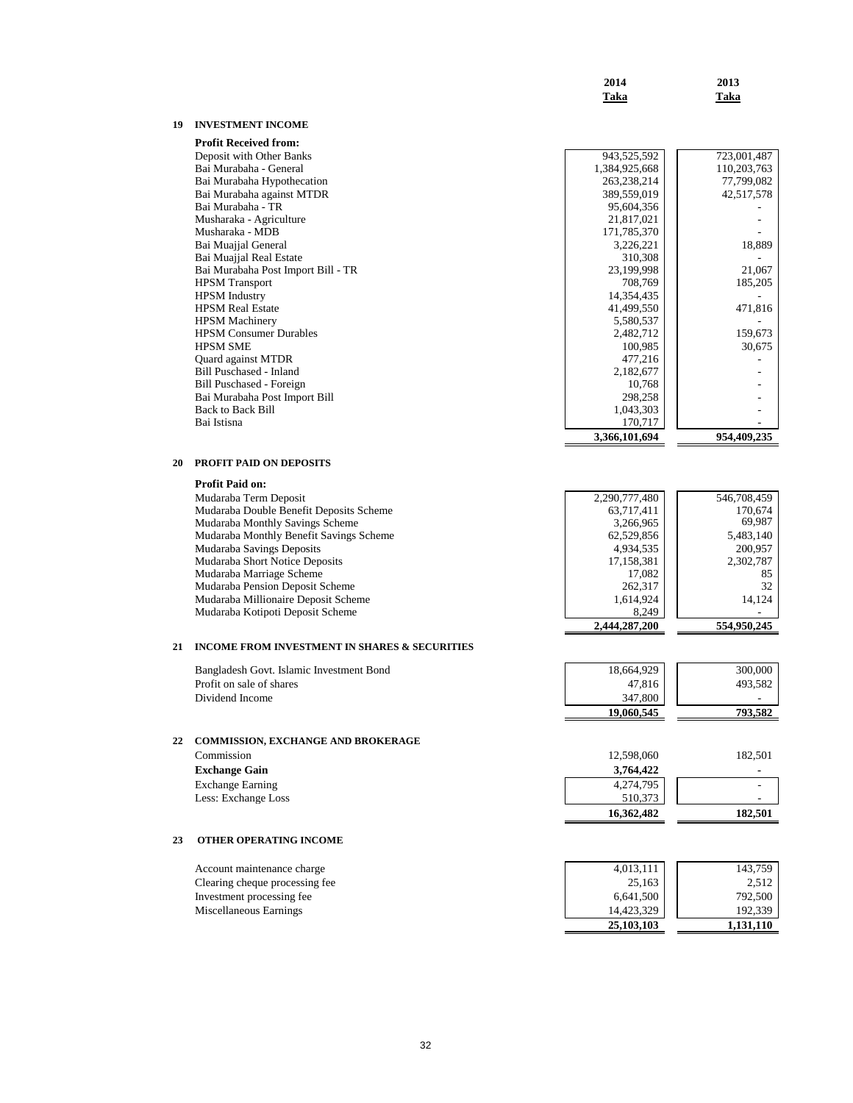|          |                                                                         | 2014<br>Taka            | 2013<br>Taka                                                            |
|----------|-------------------------------------------------------------------------|-------------------------|-------------------------------------------------------------------------|
| 19       | <b>INVESTMENT INCOME</b>                                                |                         |                                                                         |
|          | <b>Profit Received from:</b>                                            |                         |                                                                         |
|          | Deposit with Other Banks                                                | 943,525,592             | 723,001,487                                                             |
|          | Bai Murabaha - General                                                  | 1,384,925,668           | 110,203,763                                                             |
|          | Bai Murabaha Hypothecation                                              | 263,238,214             | 77,799,082                                                              |
|          | Bai Murabaha against MTDR                                               | 389,559,019             | 42,517,578                                                              |
|          | Bai Murabaha - TR                                                       | 95,604,356              |                                                                         |
|          | Musharaka - Agriculture                                                 | 21,817,021              |                                                                         |
|          | Musharaka - MDB                                                         | 171,785,370             |                                                                         |
|          | Bai Muajjal General                                                     | 3,226,221               | 18,889                                                                  |
|          | Bai Muajjal Real Estate<br>Bai Murabaha Post Import Bill - TR           | 310,308<br>23,199,998   | 21,067                                                                  |
|          | <b>HPSM</b> Transport                                                   | 708,769                 | 185,205                                                                 |
|          | <b>HPSM</b> Industry                                                    | 14,354,435              |                                                                         |
|          | <b>HPSM Real Estate</b>                                                 | 41,499,550              | 471,816                                                                 |
|          | <b>HPSM</b> Machinery                                                   | 5,580,537               |                                                                         |
|          | <b>HPSM Consumer Durables</b>                                           | 2,482,712               | 159,673                                                                 |
|          | <b>HPSM SME</b>                                                         | 100,985                 | 30,675                                                                  |
|          | Quard against MTDR                                                      | 477,216                 | ٠                                                                       |
|          | Bill Puschased - Inland                                                 | 2,182,677               |                                                                         |
|          | Bill Puschased - Foreign                                                | 10,768                  |                                                                         |
|          | Bai Murabaha Post Import Bill                                           | 298,258                 |                                                                         |
|          | <b>Back to Back Bill</b>                                                | 1,043,303               |                                                                         |
|          | Bai Istisna                                                             | 170,717                 |                                                                         |
|          |                                                                         | 3,366,101,694           | 954,409,235                                                             |
| 20       | PROFIT PAID ON DEPOSITS                                                 |                         |                                                                         |
|          | <b>Profit Paid on:</b>                                                  |                         |                                                                         |
|          | Mudaraba Term Deposit                                                   | 2,290,777,480           | 546,708,459                                                             |
|          | Mudaraba Double Benefit Deposits Scheme                                 | 63,717,411              | 170,674                                                                 |
|          | Mudaraba Monthly Savings Scheme                                         | 3,266,965               | 69,987                                                                  |
|          | Mudaraba Monthly Benefit Savings Scheme<br>Mudaraba Savings Deposits    | 62,529,856              | 5,483,140<br>200,957                                                    |
|          | Mudaraba Short Notice Deposits                                          | 4,934,535<br>17,158,381 | 2,302,787                                                               |
|          | Mudaraba Marriage Scheme                                                | 17,082                  | 85                                                                      |
|          | Mudaraba Pension Deposit Scheme                                         | 262,317                 |                                                                         |
|          |                                                                         |                         |                                                                         |
|          |                                                                         |                         |                                                                         |
|          | Mudaraba Millionaire Deposit Scheme<br>Mudaraba Kotipoti Deposit Scheme | 1,614,924<br>8,249      |                                                                         |
|          |                                                                         | 2,444,287,200           |                                                                         |
|          | INCOME FROM INVESTMENT IN SHARES & SECURITIES                           |                         |                                                                         |
|          | Bangladesh Govt. Islamic Investment Bond                                | 18,664,929              |                                                                         |
|          | Profit on sale of shares                                                | 47,816                  |                                                                         |
|          | Dividend Income                                                         | 347,800                 |                                                                         |
|          |                                                                         | 19,060,545              |                                                                         |
|          | COMMISSION, EXCHANGE AND BROKERAGE                                      |                         |                                                                         |
|          | Commission                                                              | 12,598,060              |                                                                         |
|          |                                                                         | 3,764,422               |                                                                         |
|          | <b>Exchange Gain</b>                                                    | 4,274,795               |                                                                         |
| 21<br>22 | <b>Exchange Earning</b><br>Less: Exchange Loss                          | 510,373                 | 32<br>14,124<br>554,950,245<br>300,000<br>493,582<br>793,582<br>182,501 |
|          |                                                                         | 16,362,482              |                                                                         |
|          | OTHER OPERATING INCOME                                                  |                         |                                                                         |
|          | Account maintenance charge                                              | 4,013,111               |                                                                         |
|          | Clearing cheque processing fee                                          | 25,163                  |                                                                         |
|          | Investment processing fee                                               | 6,641,500               |                                                                         |
|          | Miscellaneous Earnings                                                  | 14,423,329              |                                                                         |
| 23       |                                                                         | 25,103,103              | 182,501<br>143,759<br>2,512<br>792,500<br>192,339<br>1,131,110          |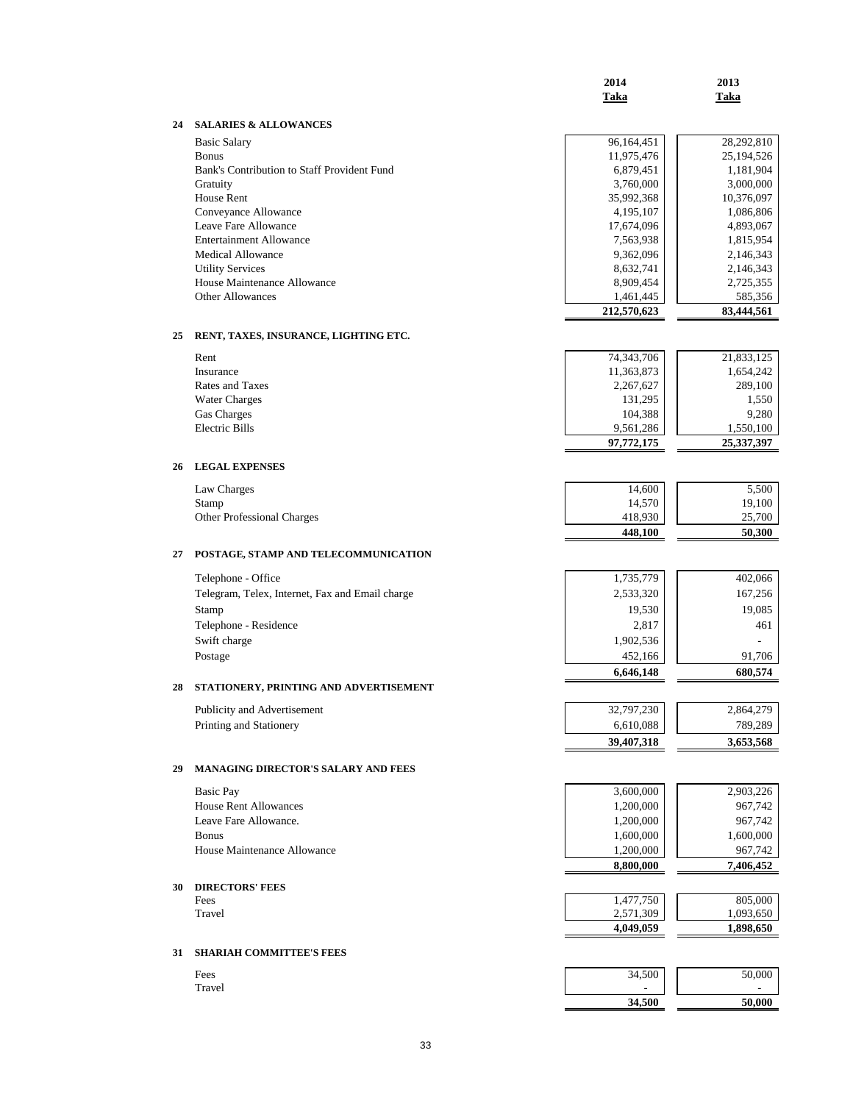|    |                                                 | 2014<br>Taka           | 2013<br>Taka           |
|----|-------------------------------------------------|------------------------|------------------------|
| 24 | <b>SALARIES &amp; ALLOWANCES</b>                |                        |                        |
|    | <b>Basic Salary</b>                             | 96,164,451             | 28,292,810             |
|    | <b>Bonus</b>                                    | 11,975,476             | 25,194,526             |
|    | Bank's Contribution to Staff Provident Fund     | 6,879,451              | 1,181,904              |
|    | Gratuity                                        | 3,760,000              | 3,000,000              |
|    | House Rent                                      | 35,992,368             | 10,376,097             |
|    | Conveyance Allowance                            | 4,195,107              | 1,086,806              |
|    | Leave Fare Allowance<br>Entertainment Allowance | 17,674,096             | 4,893,067              |
|    | <b>Medical Allowance</b>                        | 7,563,938<br>9,362,096 | 1,815,954<br>2,146,343 |
|    | <b>Utility Services</b>                         | 8,632,741              | 2,146,343              |
|    | House Maintenance Allowance                     | 8,909,454              | 2,725,355              |
|    | Other Allowances                                | 1,461,445              | 585,356                |
|    |                                                 | 212,570,623            | 83,444,561             |
| 25 | RENT, TAXES, INSURANCE, LIGHTING ETC.           |                        |                        |
|    | Rent                                            | 74, 343, 706           | 21,833,125             |
|    | Insurance                                       | 11,363,873             | 1,654,242              |
|    | Rates and Taxes                                 | 2,267,627              | 289,100                |
|    | <b>Water Charges</b>                            | 131,295                | 1,550                  |
|    | Gas Charges                                     | 104,388                | 9,280                  |
|    | <b>Electric Bills</b>                           | 9,561,286              | 1,550,100              |
|    |                                                 | 97,772,175             | 25,337,397             |
| 26 | <b>LEGAL EXPENSES</b>                           |                        |                        |
|    | Law Charges                                     | 14,600                 | 5,500                  |
|    | Stamp                                           | 14,570                 | 19,100                 |
|    | Other Professional Charges                      | 418,930                | 25,700                 |
|    |                                                 | 448,100                | 50,300                 |
| 27 | POSTAGE, STAMP AND TELECOMMUNICATION            |                        |                        |
|    | Telephone - Office                              | 1,735,779              | 402,066                |
|    | Telegram, Telex, Internet, Fax and Email charge | 2,533,320              | 167,256                |
|    | Stamp                                           | 19,530                 | 19,085                 |
|    | Telephone - Residence                           | 2,817                  | 461                    |
|    | Swift charge                                    | 1,902,536              |                        |
|    | Postage                                         | 452,166                | 91,706                 |
|    |                                                 | 6,646,148              | 680,574                |
| 28 | STATIONERY, PRINTING AND ADVERTISEMENT          |                        |                        |
|    | Publicity and Advertisement                     | 32,797,230             | 2,864,279              |
|    | Printing and Stationery                         | 6,610,088              | 789,289                |
|    |                                                 | 39,407,318             | 3,653,568              |
| 29 | MANAGING DIRECTOR'S SALARY AND FEES             |                        |                        |
|    | <b>Basic Pay</b>                                | 3,600,000              | 2,903,226              |
|    | <b>House Rent Allowances</b>                    | 1,200,000              | 967,742                |
|    | Leave Fare Allowance.                           | 1,200,000              | 967,742                |
|    | <b>Bonus</b>                                    | 1,600,000              | 1,600,000              |
|    | House Maintenance Allowance                     | 1,200,000              | 967,742                |
|    |                                                 | 8,800,000              | 7,406,452              |
| 30 | <b>DIRECTORS' FEES</b>                          |                        |                        |
|    | Fees<br>Travel                                  | 1,477,750<br>2,571,309 | 805,000<br>1,093,650   |
|    |                                                 | 4,049,059              | 1,898,650              |
| 31 | <b>SHARIAH COMMITTEE'S FEES</b>                 |                        |                        |
|    | Fees                                            | 34,500                 | 50,000                 |
|    | Travel                                          |                        |                        |
|    |                                                 | 34,500                 | 50,000                 |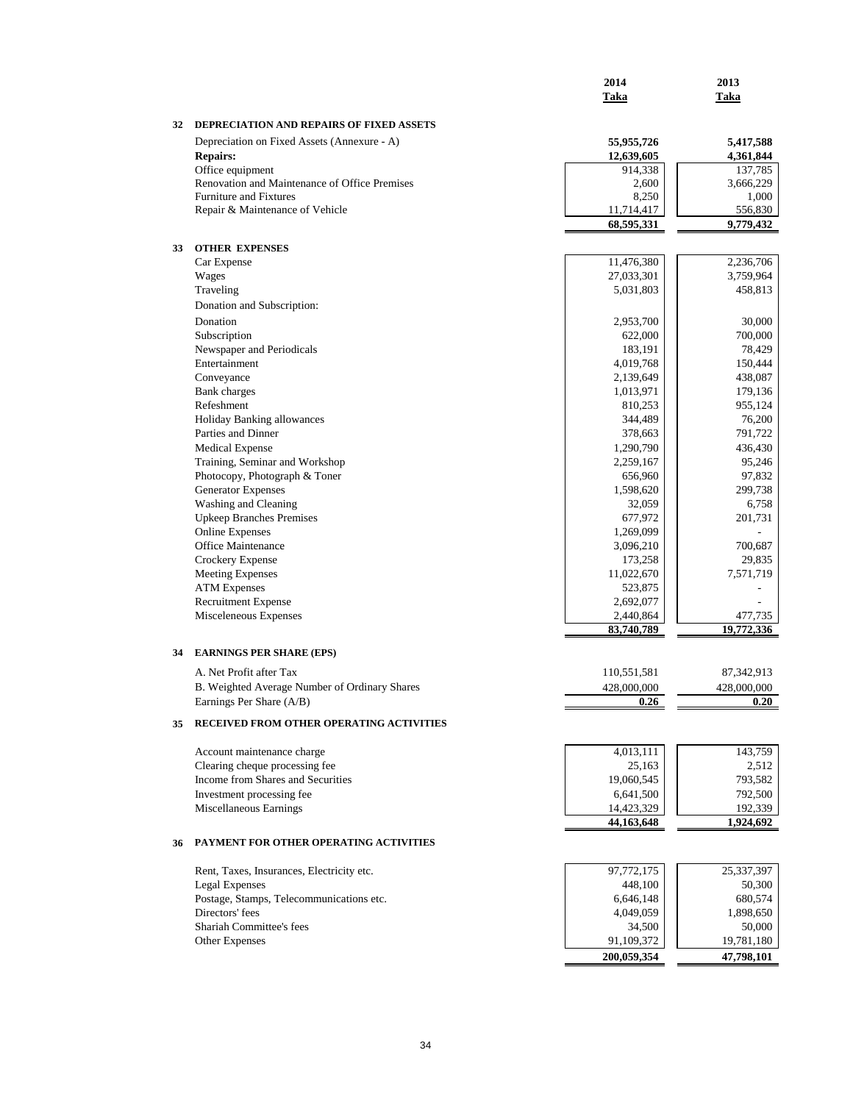|    |                                                                           | 2014                     | 2013                   |
|----|---------------------------------------------------------------------------|--------------------------|------------------------|
|    |                                                                           | Taka                     | Taka                   |
|    |                                                                           |                          |                        |
| 32 | DEPRECIATION AND REPAIRS OF FIXED ASSETS                                  |                          |                        |
|    | Depreciation on Fixed Assets (Annexure - A)<br><b>Repairs:</b>            | 55,955,726<br>12,639,605 | 5,417,588<br>4,361,844 |
|    | Office equipment                                                          | 914,338                  | 137,785                |
|    | Renovation and Maintenance of Office Premises                             | 2,600                    | 3,666,229              |
|    | <b>Furniture and Fixtures</b>                                             | 8,250                    | 1,000                  |
|    | Repair & Maintenance of Vehicle                                           | 11,714,417               | 556,830                |
|    |                                                                           | 68,595,331               | 9,779,432              |
| 33 | <b>OTHER EXPENSES</b>                                                     |                          |                        |
|    | Car Expense                                                               | 11,476,380               | 2,236,706              |
|    | Wages                                                                     | 27,033,301               | 3,759,964              |
|    | Traveling                                                                 | 5,031,803                | 458,813                |
|    | Donation and Subscription:                                                |                          |                        |
|    | Donation                                                                  | 2,953,700                | 30,000                 |
|    | Subscription                                                              | 622,000                  | 700,000                |
|    | Newspaper and Periodicals                                                 | 183,191                  | 78,429                 |
|    | Entertainment                                                             | 4,019,768                | 150,444                |
|    | Conveyance                                                                | 2,139,649                | 438,087                |
|    | <b>Bank</b> charges<br>Refeshment                                         | 1,013,971                | 179,136                |
|    | <b>Holiday Banking allowances</b>                                         | 810,253<br>344,489       | 955,124<br>76,200      |
|    | Parties and Dinner                                                        | 378,663                  | 791,722                |
|    | <b>Medical Expense</b>                                                    | 1,290,790                | 436,430                |
|    | Training, Seminar and Workshop                                            | 2,259,167                | 95,246                 |
|    | Photocopy, Photograph & Toner                                             | 656,960                  | 97,832                 |
|    | <b>Generator Expenses</b>                                                 | 1,598,620                | 299,738                |
|    | Washing and Cleaning                                                      | 32,059                   | 6,758                  |
|    | <b>Upkeep Branches Premises</b>                                           | 677,972                  | 201,731                |
|    | <b>Online Expenses</b>                                                    | 1,269,099                |                        |
|    | Office Maintenance                                                        | 3,096,210                | 700,687                |
|    | Crockery Expense<br><b>Meeting Expenses</b>                               | 173,258<br>11,022,670    | 29,835<br>7,571,719    |
|    | <b>ATM Expenses</b>                                                       | 523,875                  | L,                     |
|    | Recruitment Expense                                                       | 2,692,077                |                        |
|    | Misceleneous Expenses                                                     | 2,440,864                | 477,735                |
|    |                                                                           | 83,740,789               | 19,772,336             |
| 34 | <b>EARNINGS PER SHARE (EPS)</b>                                           |                          |                        |
|    |                                                                           |                          |                        |
|    | A. Net Profit after Tax                                                   | 110,551,581              | 87, 342, 913           |
|    | B. Weighted Average Number of Ordinary Shares<br>Earnings Per Share (A/B) | 428,000,000<br>V.Z6      | 428,000,000<br>v.zv    |
|    |                                                                           |                          |                        |
| 35 | RECEIVED FROM OTHER OPERATING ACTIVITIES                                  |                          |                        |
|    | Account maintenance charge                                                | 4,013,111                | 143,759                |
|    | Clearing cheque processing fee                                            | 25,163                   | 2,512                  |
|    | Income from Shares and Securities                                         | 19,060,545               | 793,582                |
|    | Investment processing fee                                                 | 6,641,500                | 792,500                |
|    | Miscellaneous Earnings                                                    | 14,423,329               | 192,339                |
|    |                                                                           | 44,163,648               | 1,924,692              |
| 36 | PAYMENT FOR OTHER OPERATING ACTIVITIES                                    |                          |                        |
|    | Rent, Taxes, Insurances, Electricity etc.                                 | 97,772,175               | 25,337,397             |
|    | Legal Expenses                                                            | 448,100                  | 50,300                 |
|    | Postage, Stamps, Telecommunications etc.                                  | 6,646,148                | 680,574                |
|    | Directors' fees                                                           | 4,049,059                | 1,898,650              |
|    | Shariah Committee's fees                                                  | 34,500                   | 50,000                 |
|    | Other Expenses                                                            | 91,109,372               | 19,781,180             |
|    |                                                                           | 200,059,354              | 47,798,101             |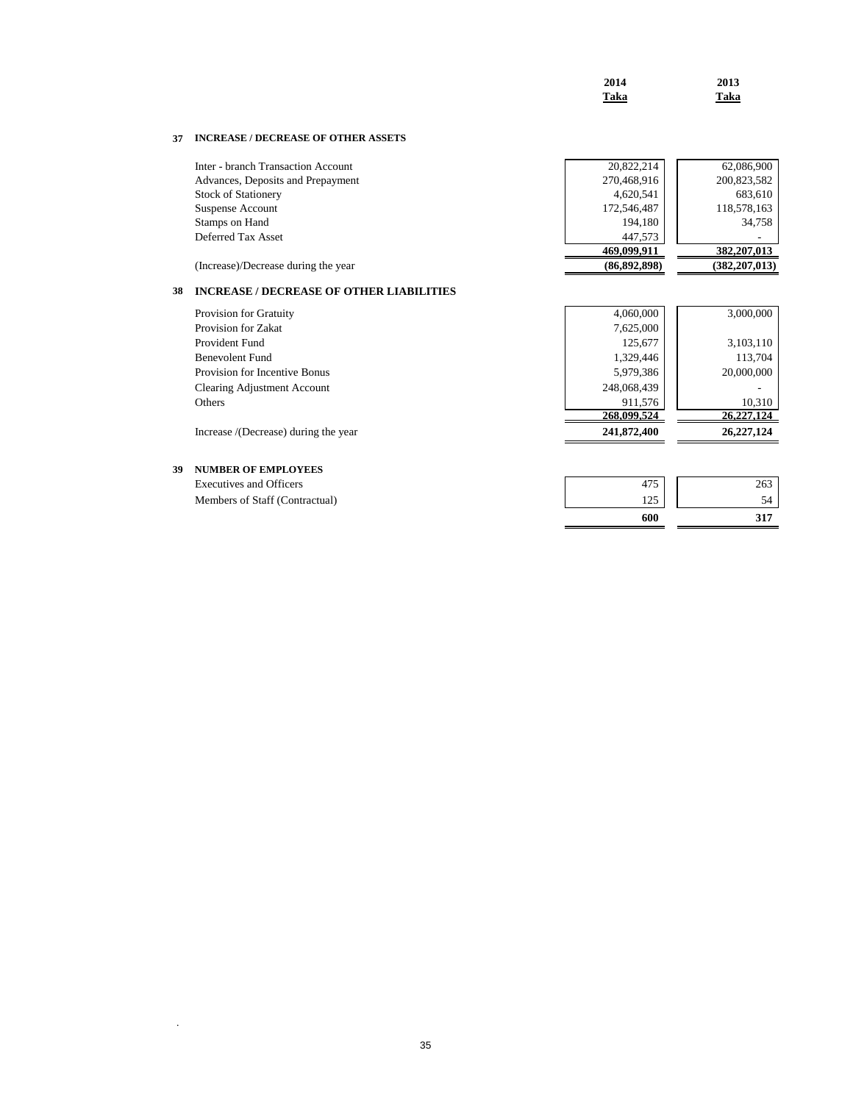| 2014 | 2013 |
|------|------|
| Taka | Taka |

# **37 INCREASE / DECREASE OF OTHER ASSETS**

| Inter - branch Transaction Account  | 20,822,214   | 62,086,900      |
|-------------------------------------|--------------|-----------------|
| Advances, Deposits and Prepayment   | 270,468,916  | 200,823,582     |
| <b>Stock of Stationery</b>          | 4,620,541    | 683,610         |
| Suspense Account                    | 172,546,487  | 118,578,163     |
| Stamps on Hand                      | 194,180      | 34,758          |
| Deferred Tax Asset                  | 447.573      | ۰               |
|                                     | 469,099,911  | 382, 207, 013   |
| (Increase)/Decrease during the year | (86,892,898) | (382, 207, 013) |

# **38 INCREASE / DECREASE OF OTHER LIABILITIES**

| Provision for Gratuity               | 4,060,000   | 3,000,000  |
|--------------------------------------|-------------|------------|
| Provision for Zakat                  | 7,625,000   |            |
| Provident Fund                       | 125,677     | 3,103,110  |
| Benevolent Fund                      | 1,329,446   | 113,704    |
| Provision for Incentive Bonus        | 5,979,386   | 20,000,000 |
| Clearing Adjustment Account          | 248,068,439 |            |
| Others                               | 911,576     | 10.310     |
|                                      | 268,099,524 | 26,227,124 |
| Increase /(Decrease) during the year | 241,872,400 | 26,227,124 |

| 39 | <b>NUMBER OF EMPLOYEES</b> |
|----|----------------------------|
|    |                            |

.

|                                | 600         |     |
|--------------------------------|-------------|-----|
| Members of Staff (Contractual) | 1つち<br>رے 1 |     |
| <b>Executives and Officers</b> | 475         | 263 |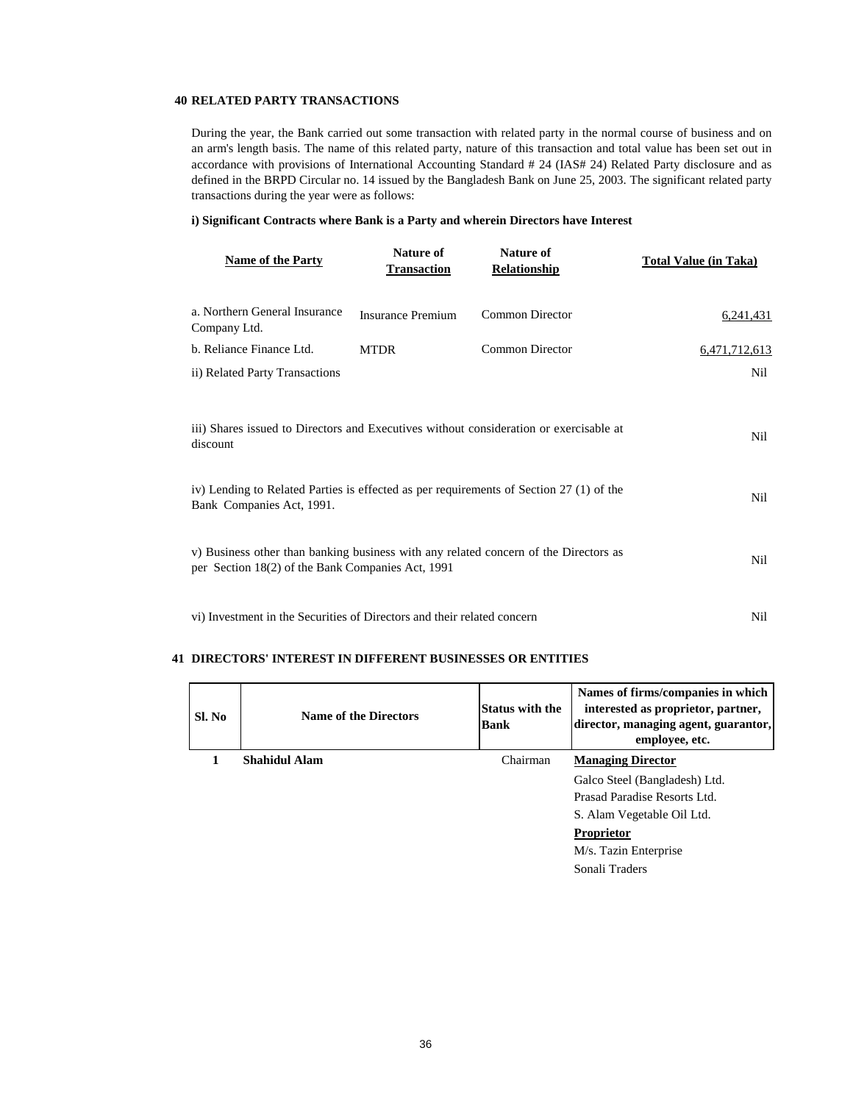## **40 RELATED PARTY TRANSACTIONS**

During the year, the Bank carried out some transaction with related party in the normal course of business and on an arm's length basis. The name of this related party, nature of this transaction and total value has been set out in accordance with provisions of International Accounting Standard # 24 (IAS# 24) Related Party disclosure and as defined in the BRPD Circular no. 14 issued by the Bangladesh Bank on June 25, 2003. The significant related party transactions during the year were as follows:

### **i) Significant Contracts where Bank is a Party and wherein Directors have Interest**

| <b>Name of the Party</b>                                                                                                                  | Nature of<br><b>Transaction</b> | <b>Nature of</b><br><b>Relationship</b> | <b>Total Value (in Taka)</b> |
|-------------------------------------------------------------------------------------------------------------------------------------------|---------------------------------|-----------------------------------------|------------------------------|
| a. Northern General Insurance<br>Company Ltd.                                                                                             | Insurance Premium               | <b>Common Director</b>                  | 6,241,431                    |
| b. Reliance Finance Ltd.                                                                                                                  | <b>MTDR</b>                     | <b>Common Director</b>                  | 6,471,712,613                |
| ii) Related Party Transactions                                                                                                            |                                 |                                         | Nil                          |
| iii) Shares issued to Directors and Executives without consideration or exercisable at<br>discount                                        | Nil                             |                                         |                              |
| iv) Lending to Related Parties is effected as per requirements of Section 27 (1) of the<br>Bank Companies Act, 1991.                      | Nil                             |                                         |                              |
| v) Business other than banking business with any related concern of the Directors as<br>per Section 18(2) of the Bank Companies Act, 1991 |                                 |                                         | Nil                          |
| vi) Investment in the Securities of Directors and their related concern                                                                   |                                 |                                         | Nil                          |

### **41 DIRECTORS' INTEREST IN DIFFERENT BUSINESSES OR ENTITIES**

| Sl. No | <b>Name of the Directors</b> | <b>Status with the</b><br><b>Bank</b> | Names of firms/companies in which<br>interested as proprietor, partner,<br>director, managing agent, guarantor,<br>employee, etc. |
|--------|------------------------------|---------------------------------------|-----------------------------------------------------------------------------------------------------------------------------------|
|        | <b>Shahidul Alam</b>         | Chairman                              | <b>Managing Director</b>                                                                                                          |
|        |                              |                                       | Galco Steel (Bangladesh) Ltd.                                                                                                     |
|        |                              |                                       | Prasad Paradise Resorts Ltd.                                                                                                      |
|        |                              |                                       | S. Alam Vegetable Oil Ltd.                                                                                                        |
|        |                              |                                       | Proprietor                                                                                                                        |
|        |                              |                                       | M/s. Tazin Enterprise                                                                                                             |
|        |                              |                                       | Sonali Traders                                                                                                                    |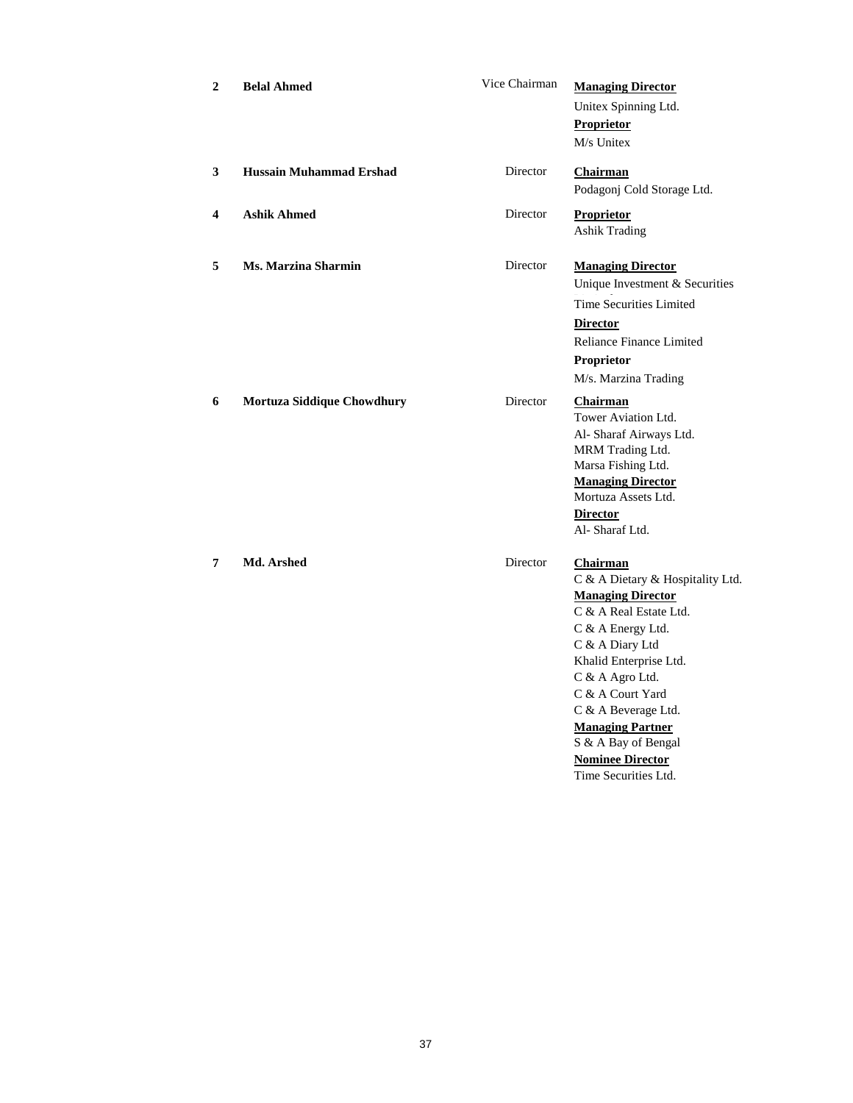| $\mathbf{2}$ | <b>Belal Ahmed</b>                | Vice Chairman | <b>Managing Director</b><br>Unitex Spinning Ltd.<br>Proprietor<br>M/s Unitex                                                                                                                                                                                                                                                                   |
|--------------|-----------------------------------|---------------|------------------------------------------------------------------------------------------------------------------------------------------------------------------------------------------------------------------------------------------------------------------------------------------------------------------------------------------------|
| 3            | <b>Hussain Muhammad Ershad</b>    | Director      | Chairman<br>Podagonj Cold Storage Ltd.                                                                                                                                                                                                                                                                                                         |
| 4            | <b>Ashik Ahmed</b>                | Director      | <b>Proprietor</b><br><b>Ashik Trading</b>                                                                                                                                                                                                                                                                                                      |
| 5            | Ms. Marzina Sharmin               | Director      | <b>Managing Director</b><br>Unique Investment & Securities<br><b>Time Securities Limited</b><br><b>Director</b><br>Reliance Finance Limited<br>Proprietor<br>M/s. Marzina Trading                                                                                                                                                              |
| 6            | <b>Mortuza Siddique Chowdhury</b> | Director      | <b>Chairman</b><br>Tower Aviation Ltd.<br>Al- Sharaf Airways Ltd.<br>MRM Trading Ltd.<br>Marsa Fishing Ltd.<br><b>Managing Director</b><br>Mortuza Assets Ltd.<br><b>Director</b><br>Al-Sharaf Ltd.                                                                                                                                            |
| 7            | Md. Arshed                        | Director      | <b>Chairman</b><br>C & A Dietary & Hospitality Ltd.<br><b>Managing Director</b><br>C & A Real Estate Ltd.<br>C & A Energy Ltd.<br>C & A Diary Ltd<br>Khalid Enterprise Ltd.<br>C & A Agro Ltd.<br>C & A Court Yard<br>C & A Beverage Ltd.<br><b>Managing Partner</b><br>S & A Bay of Bengal<br><b>Nominee Director</b><br>Time Securities Ltd. |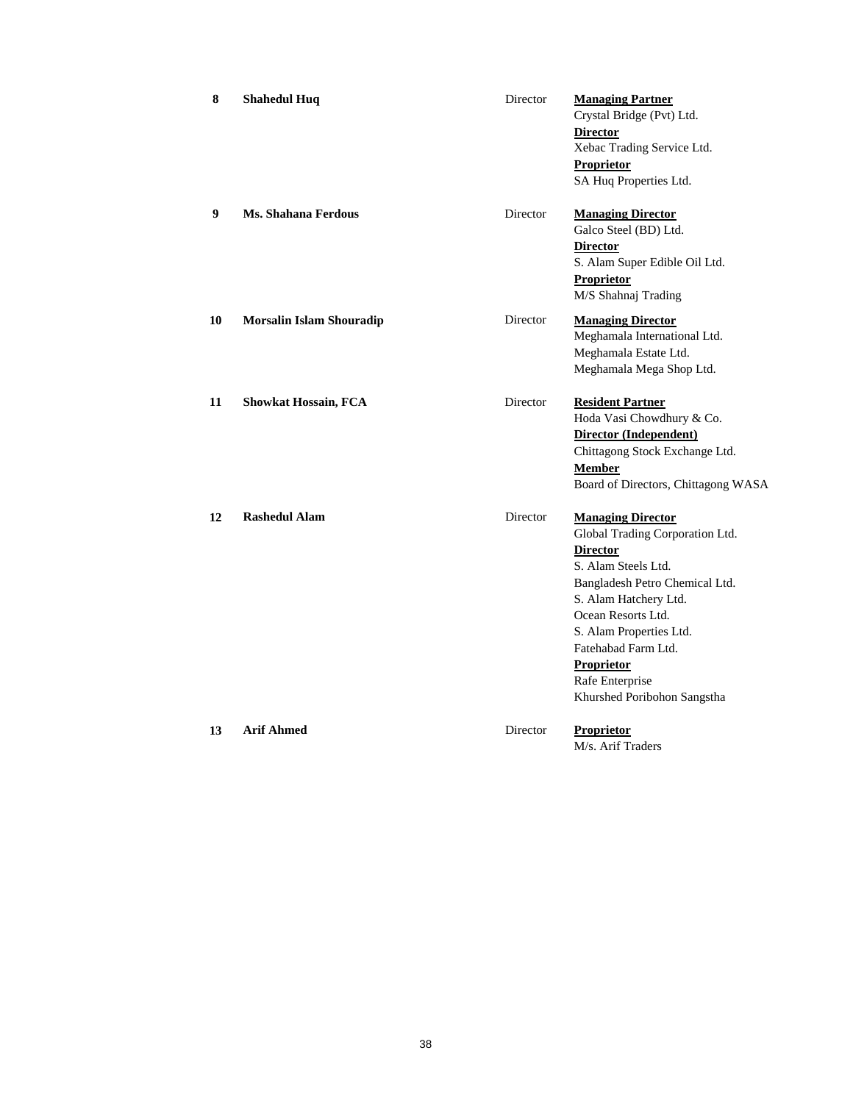| 8  | <b>Shahedul Huq</b>             | Director | <b>Managing Partner</b><br>Crystal Bridge (Pvt) Ltd.<br><b>Director</b><br>Xebac Trading Service Ltd.<br>Proprietor<br>SA Huq Properties Ltd.                                                                                                                                                                   |
|----|---------------------------------|----------|-----------------------------------------------------------------------------------------------------------------------------------------------------------------------------------------------------------------------------------------------------------------------------------------------------------------|
| 9  | Ms. Shahana Ferdous             | Director | <b>Managing Director</b><br>Galco Steel (BD) Ltd.<br><b>Director</b><br>S. Alam Super Edible Oil Ltd.<br><b>Proprietor</b><br>M/S Shahnaj Trading                                                                                                                                                               |
| 10 | <b>Morsalin Islam Shouradip</b> | Director | <b>Managing Director</b><br>Meghamala International Ltd.<br>Meghamala Estate Ltd.<br>Meghamala Mega Shop Ltd.                                                                                                                                                                                                   |
| 11 | <b>Showkat Hossain, FCA</b>     | Director | <b>Resident Partner</b><br>Hoda Vasi Chowdhury & Co.<br>Director (Independent)<br>Chittagong Stock Exchange Ltd.<br><b>Member</b><br>Board of Directors, Chittagong WASA                                                                                                                                        |
| 12 | <b>Rashedul Alam</b>            | Director | <b>Managing Director</b><br>Global Trading Corporation Ltd.<br><b>Director</b><br>S. Alam Steels Ltd.<br>Bangladesh Petro Chemical Ltd.<br>S. Alam Hatchery Ltd.<br>Ocean Resorts Ltd.<br>S. Alam Properties Ltd.<br>Fatehabad Farm Ltd.<br><b>Proprietor</b><br>Rafe Enterprise<br>Khurshed Poribohon Sangstha |
| 13 | <b>Arif Ahmed</b>               | Director | Proprietor<br>M/s. Arif Traders                                                                                                                                                                                                                                                                                 |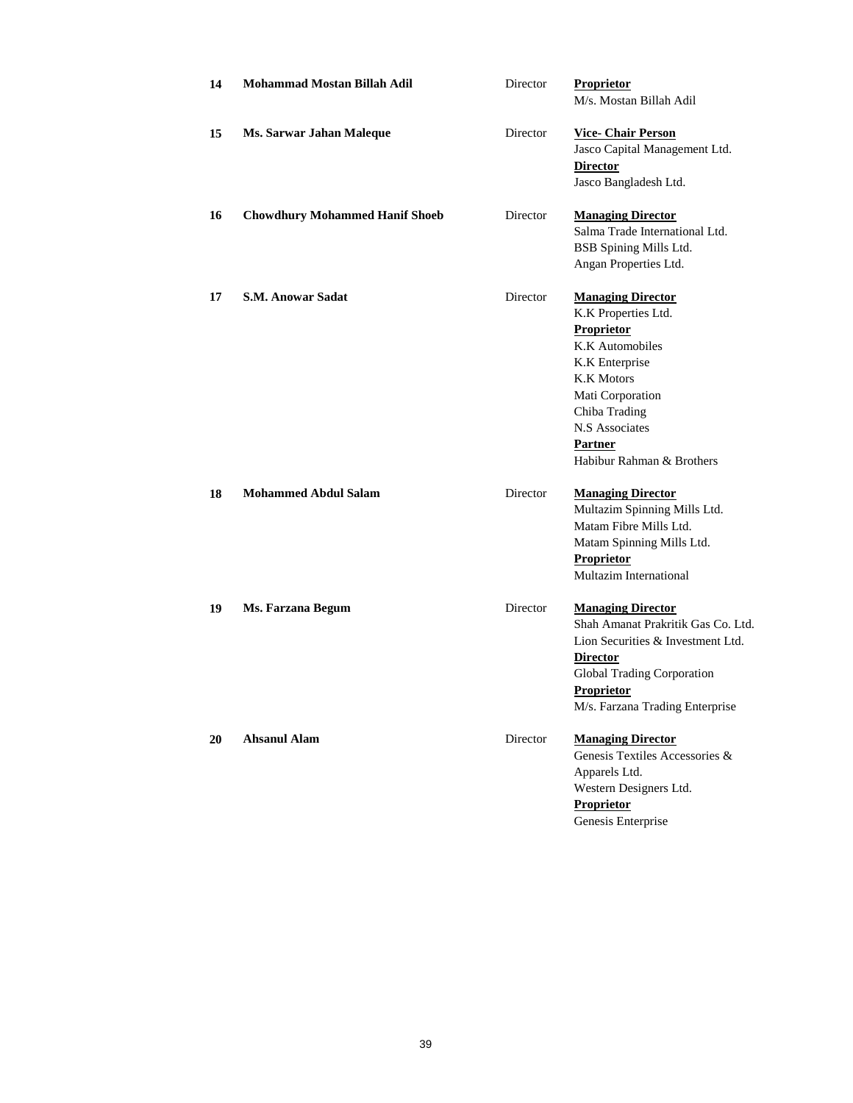| 14 | <b>Mohammad Mostan Billah Adil</b>    | Director | <b>Proprietor</b><br>M/s. Mostan Billah Adil                                                                                                                                                                           |
|----|---------------------------------------|----------|------------------------------------------------------------------------------------------------------------------------------------------------------------------------------------------------------------------------|
| 15 | Ms. Sarwar Jahan Maleque              | Director | <b>Vice-Chair Person</b><br>Jasco Capital Management Ltd.<br><b>Director</b><br>Jasco Bangladesh Ltd.                                                                                                                  |
| 16 | <b>Chowdhury Mohammed Hanif Shoeb</b> | Director | <b>Managing Director</b><br>Salma Trade International Ltd.<br>BSB Spining Mills Ltd.<br>Angan Properties Ltd.                                                                                                          |
| 17 | <b>S.M. Anowar Sadat</b>              | Director | <b>Managing Director</b><br>K.K Properties Ltd.<br>Proprietor<br>K.K Automobiles<br>K.K Enterprise<br><b>K.K Motors</b><br>Mati Corporation<br>Chiba Trading<br>N.S Associates<br>Partner<br>Habibur Rahman & Brothers |
| 18 | <b>Mohammed Abdul Salam</b>           | Director | <b>Managing Director</b><br>Multazim Spinning Mills Ltd.<br>Matam Fibre Mills Ltd.<br>Matam Spinning Mills Ltd.<br>Proprietor<br>Multazim International                                                                |
| 19 | Ms. Farzana Begum                     | Director | <b>Managing Director</b><br>Shah Amanat Prakritik Gas Co. Ltd.<br>Lion Securities & Investment Ltd.<br><b>Director</b><br>Global Trading Corporation<br>Proprietor<br>M/s. Farzana Trading Enterprise                  |
| 20 | <b>Ahsanul Alam</b>                   | Director | <b>Managing Director</b><br>Genesis Textiles Accessories &<br>Apparels Ltd.<br>Western Designers Ltd.<br><b>Proprietor</b><br>Genesis Enterprise                                                                       |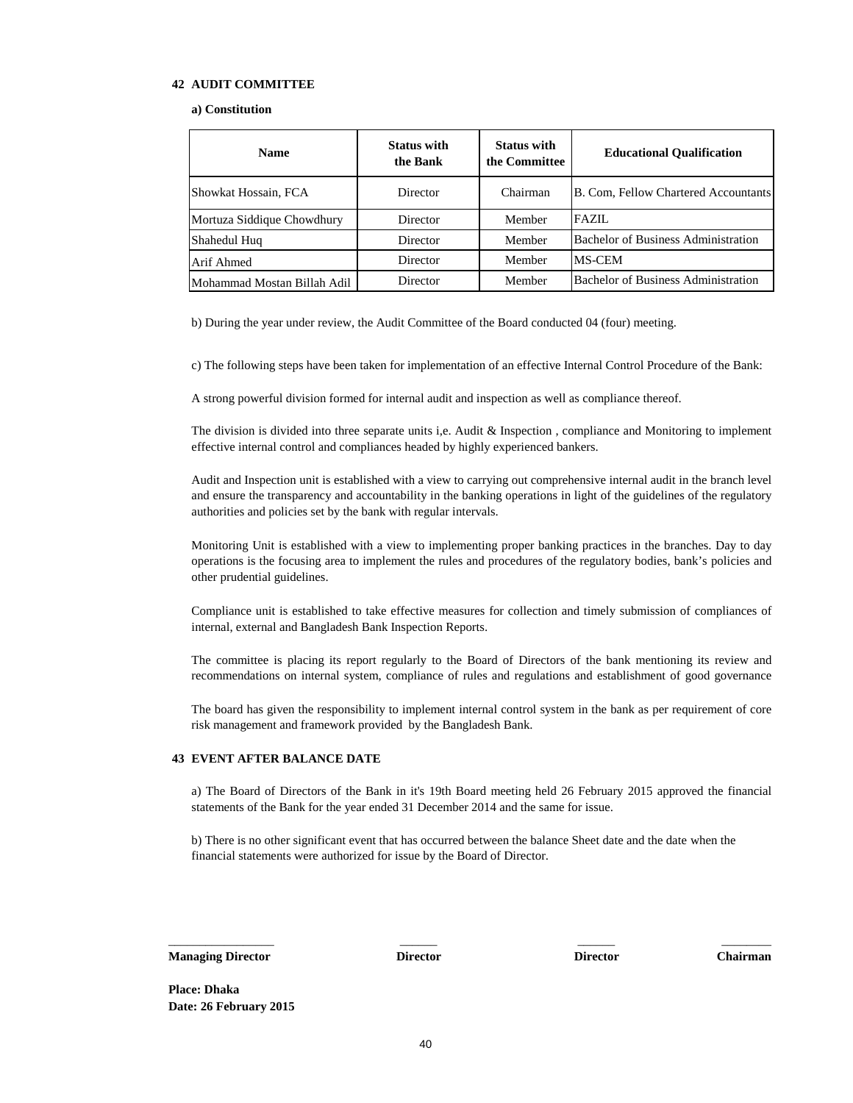### **42 AUDIT COMMITTEE**

### **a) Constitution**

| <b>Name</b>                 | <b>Status with</b><br>the Bank | <b>Status with</b><br>the Committee | <b>Educational Qualification</b>            |  |
|-----------------------------|--------------------------------|-------------------------------------|---------------------------------------------|--|
| Showkat Hossain, FCA        | Director                       | Chairman                            | <b>B. Com, Fellow Chartered Accountants</b> |  |
| Mortuza Siddique Chowdhury  | Director                       | Member                              | <b>FAZIL</b>                                |  |
| Shahedul Huq                | Director                       | Member                              | <b>Bachelor of Business Administration</b>  |  |
| Arif Ahmed                  | Director                       | Member                              | <b>MS-CEM</b>                               |  |
| Mohammad Mostan Billah Adil | Director                       | Member                              | <b>Bachelor of Business Administration</b>  |  |

b) During the year under review, the Audit Committee of the Board conducted 04 (four) meeting.

c) The following steps have been taken for implementation of an effective Internal Control Procedure of the Bank:

A strong powerful division formed for internal audit and inspection as well as compliance thereof.

The division is divided into three separate units i,e. Audit & Inspection , compliance and Monitoring to implement effective internal control and compliances headed by highly experienced bankers.

Audit and Inspection unit is established with a view to carrying out comprehensive internal audit in the branch level and ensure the transparency and accountability in the banking operations in light of the guidelines of the regulatory authorities and policies set by the bank with regular intervals.

Monitoring Unit is established with a view to implementing proper banking practices in the branches. Day to day operations is the focusing area to implement the rules and procedures of the regulatory bodies, bank's policies and other prudential guidelines.

Compliance unit is established to take effective measures for collection and timely submission of compliances of internal, external and Bangladesh Bank Inspection Reports.

The committee is placing its report regularly to the Board of Directors of the bank mentioning its review and recommendations on internal system, compliance of rules and regulations and establishment of good governance

The board has given the responsibility to implement internal control system in the bank as per requirement of core risk management and framework provided by the Bangladesh Bank.

### **43 EVENT AFTER BALANCE DATE**

a) The Board of Directors of the Bank in it's 19th Board meeting held 26 February 2015 approved the financial statements of the Bank for the year ended 31 December 2014 and the same for issue.

b) There is no other significant event that has occurred between the balance Sheet date and the date when the financial statements were authorized for issue by the Board of Director.

\_\_\_\_\_\_\_\_\_\_\_\_\_\_\_\_\_ \_\_\_\_\_\_ \_\_\_\_\_\_ \_\_\_\_\_\_\_\_

**Managing Director Director Director Director Chairman**

**Place: Dhaka Date: 26 February 2015**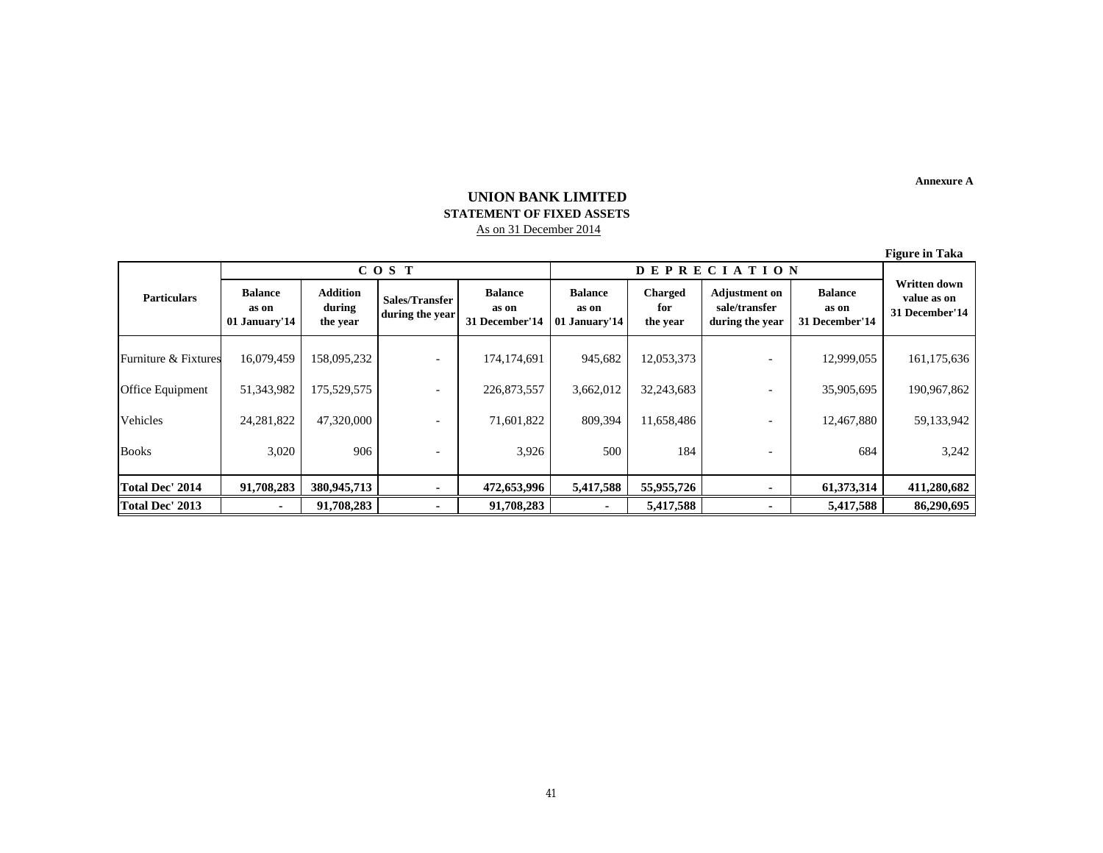**Annexure A**

# **UNION BANK LIMITED STATEMENT OF FIXED ASSETS**  As on 31 December 2014

**Figure in Taka**

|                         | COS T                                    |                                       |                                   |                                           | <b>DEPRECIATION</b>                      |                                   |                                                          |                                           | $\bf -$                                       |  |
|-------------------------|------------------------------------------|---------------------------------------|-----------------------------------|-------------------------------------------|------------------------------------------|-----------------------------------|----------------------------------------------------------|-------------------------------------------|-----------------------------------------------|--|
| <b>Particulars</b>      | <b>Balance</b><br>as on<br>01 January'14 | <b>Addition</b><br>during<br>the year | Sales/Transfer<br>during the year | <b>Balance</b><br>as on<br>31 December'14 | <b>Balance</b><br>as on<br>01 January'14 | <b>Charged</b><br>for<br>the year | <b>Adjustment on</b><br>sale/transfer<br>during the year | <b>Balance</b><br>as on<br>31 December'14 | Written down<br>value as on<br>31 December'14 |  |
| Furniture & Fixtures    | 16,079,459                               | 158,095,232                           |                                   | 174,174,691                               | 945,682                                  | 12,053,373                        |                                                          | 12,999,055                                | 161,175,636                                   |  |
| <b>Office Equipment</b> | 51,343,982                               | 175,529,575                           |                                   | 226,873,557                               | 3,662,012                                | 32,243,683                        |                                                          | 35,905,695                                | 190,967,862                                   |  |
| Vehicles                | 24, 281, 822                             | 47,320,000                            |                                   | 71,601,822                                | 809,394                                  | 11,658,486                        |                                                          | 12,467,880                                | 59,133,942                                    |  |
| <b>Books</b>            | 3,020                                    | 906                                   |                                   | 3,926                                     | 500                                      | 184                               |                                                          | 684                                       | 3,242                                         |  |
| Total Dec' 2014         | 91,708,283                               | 380,945,713                           |                                   | 472,653,996                               | 5,417,588                                | 55,955,726                        |                                                          | 61,373,314                                | 411,280,682                                   |  |
| Total Dec' 2013         |                                          | 91,708,283                            |                                   | 91,708,283                                | ۰                                        | 5,417,588                         |                                                          | 5,417,588                                 | 86,290,695                                    |  |